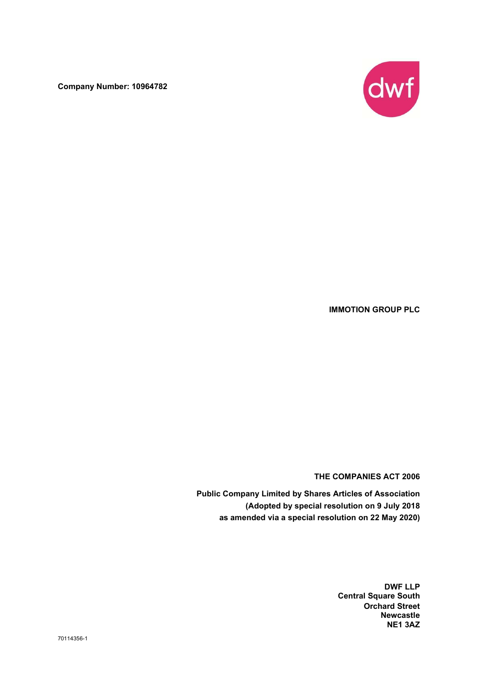Company Number: 10964782



IMMOTION GROUP PLC

THE COMPANIES ACT 2006

Public Company Limited by Shares Articles of Association (Adopted by special resolution on 9 July 2018 as amended via a special resolution on 22 May 2020)

> DWF LLP Central Square South Orchard Street Newcastle NE1 3AZ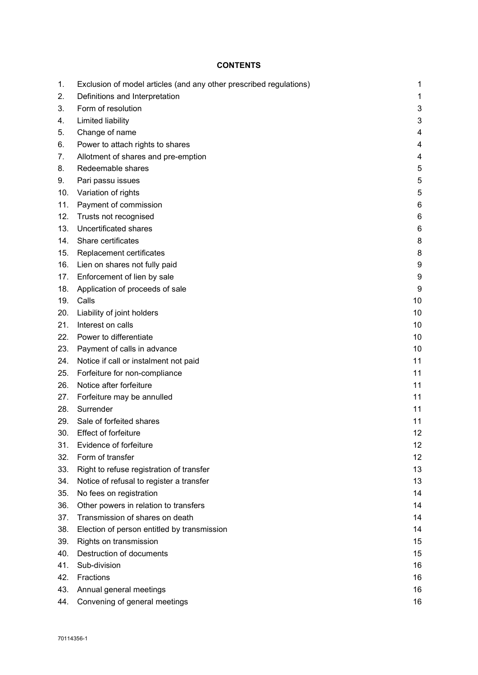# **CONTENTS**

| 1.  | Exclusion of model articles (and any other prescribed regulations) | 1  |
|-----|--------------------------------------------------------------------|----|
| 2.  | Definitions and Interpretation                                     | 1  |
| 3.  | Form of resolution                                                 | 3  |
| 4.  | Limited liability                                                  | 3  |
| 5.  | Change of name                                                     | 4  |
| 6.  | Power to attach rights to shares                                   | 4  |
| 7.  | Allotment of shares and pre-emption                                | 4  |
| 8.  | Redeemable shares                                                  | 5  |
| 9.  | Pari passu issues                                                  | 5  |
| 10. | Variation of rights                                                | 5  |
| 11. | Payment of commission                                              | 6  |
| 12. | Trusts not recognised                                              | 6  |
| 13. | <b>Uncertificated shares</b>                                       | 6  |
| 14. | Share certificates                                                 | 8  |
| 15. | Replacement certificates                                           | 8  |
| 16. | Lien on shares not fully paid                                      | 9  |
| 17. | Enforcement of lien by sale                                        | 9  |
| 18. | Application of proceeds of sale                                    | 9  |
| 19. | Calls                                                              | 10 |
| 20. | Liability of joint holders                                         | 10 |
| 21. | Interest on calls                                                  | 10 |
| 22. | Power to differentiate                                             | 10 |
| 23. | Payment of calls in advance                                        | 10 |
| 24. | Notice if call or instalment not paid                              | 11 |
| 25. | Forfeiture for non-compliance                                      | 11 |
| 26. | Notice after forfeiture                                            | 11 |
| 27. | Forfeiture may be annulled                                         | 11 |
| 28. | Surrender                                                          | 11 |
| 29. | Sale of forfeited shares                                           | 11 |
| 30. | <b>Effect of forfeiture</b>                                        | 12 |
| 31. | Evidence of forfeiture                                             | 12 |
| 32. | Form of transfer                                                   | 12 |
| 33. | Right to refuse registration of transfer                           | 13 |
| 34. | Notice of refusal to register a transfer                           | 13 |
| 35. | No fees on registration                                            | 14 |
| 36. | Other powers in relation to transfers                              | 14 |
| 37. | Transmission of shares on death                                    | 14 |
| 38. | Election of person entitled by transmission                        | 14 |
| 39. | Rights on transmission                                             | 15 |
| 40. | Destruction of documents                                           | 15 |
| 41. | Sub-division                                                       | 16 |
| 42. | Fractions                                                          | 16 |
| 43. | Annual general meetings                                            | 16 |
| 44. | Convening of general meetings                                      | 16 |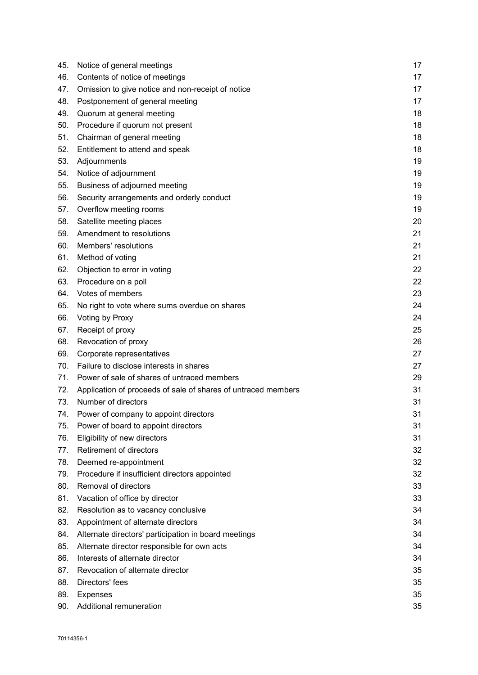| 45. | Notice of general meetings                                    | 17 |
|-----|---------------------------------------------------------------|----|
| 46. | Contents of notice of meetings                                | 17 |
| 47. | Omission to give notice and non-receipt of notice             | 17 |
| 48. | Postponement of general meeting                               | 17 |
| 49. | Quorum at general meeting                                     | 18 |
| 50. | Procedure if quorum not present                               | 18 |
| 51. | Chairman of general meeting                                   | 18 |
| 52. | Entitlement to attend and speak                               | 18 |
| 53. | Adjournments                                                  | 19 |
| 54. | Notice of adjournment                                         | 19 |
| 55. | Business of adjourned meeting                                 | 19 |
| 56. | Security arrangements and orderly conduct                     | 19 |
| 57. | Overflow meeting rooms                                        | 19 |
| 58. | Satellite meeting places                                      | 20 |
| 59. | Amendment to resolutions                                      | 21 |
| 60. | Members' resolutions                                          | 21 |
| 61. | Method of voting                                              | 21 |
| 62. | Objection to error in voting                                  | 22 |
| 63. | Procedure on a poll                                           | 22 |
| 64. | Votes of members                                              | 23 |
| 65. | No right to vote where sums overdue on shares                 | 24 |
| 66. | Voting by Proxy                                               | 24 |
| 67. | Receipt of proxy                                              | 25 |
| 68. | Revocation of proxy                                           | 26 |
| 69. | Corporate representatives                                     | 27 |
| 70. | Failure to disclose interests in shares                       | 27 |
| 71. | Power of sale of shares of untraced members                   | 29 |
| 72. | Application of proceeds of sale of shares of untraced members | 31 |
| 73. | Number of directors                                           | 31 |
| 74. | Power of company to appoint directors                         | 31 |
| 75. | Power of board to appoint directors                           | 31 |
| 76. | Eligibility of new directors                                  | 31 |
| 77. | Retirement of directors                                       | 32 |
| 78. | Deemed re-appointment                                         | 32 |
| 79. | Procedure if insufficient directors appointed                 | 32 |
| 80. | Removal of directors                                          | 33 |
| 81. | Vacation of office by director                                | 33 |
| 82. | Resolution as to vacancy conclusive                           | 34 |
| 83. | Appointment of alternate directors                            | 34 |
| 84. | Alternate directors' participation in board meetings          | 34 |
| 85. | Alternate director responsible for own acts                   | 34 |
| 86. | Interests of alternate director                               | 34 |
| 87. | Revocation of alternate director                              | 35 |
| 88. | Directors' fees                                               | 35 |
| 89. | <b>Expenses</b>                                               | 35 |
| 90. | Additional remuneration                                       | 35 |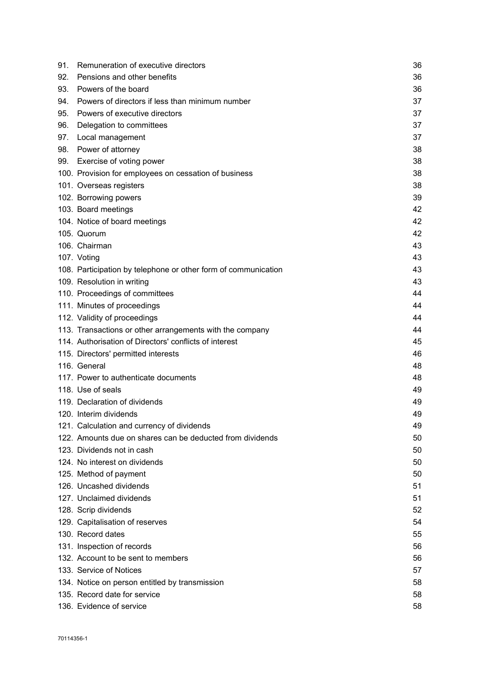| Pensions and other benefits<br>92.<br>36<br>93.<br>Powers of the board<br>36<br>Powers of directors if less than minimum number<br>37<br>94.<br>Powers of executive directors<br>95.<br>37<br>Delegation to committees<br>37<br>96.<br>97.<br>Local management<br>37<br>98.<br>Power of attorney<br>38<br>Exercise of voting power<br>99.<br>38<br>38<br>100. Provision for employees on cessation of business<br>101. Overseas registers<br>38<br>102. Borrowing powers<br>39<br>103. Board meetings<br>42<br>104. Notice of board meetings<br>42<br>105. Quorum<br>42<br>106. Chairman<br>43<br>107. Voting<br>43<br>43<br>108. Participation by telephone or other form of communication<br>109. Resolution in writing<br>43<br>44<br>110. Proceedings of committees<br>111. Minutes of proceedings<br>44<br>44<br>112. Validity of proceedings<br>44<br>113. Transactions or other arrangements with the company<br>114. Authorisation of Directors' conflicts of interest<br>45<br>115. Directors' permitted interests<br>46<br>116. General<br>48<br>117. Power to authenticate documents<br>48<br>118. Use of seals<br>49<br>119. Declaration of dividends<br>49<br>49<br>120. Interim dividends<br>121. Calculation and currency of dividends<br>49<br>122. Amounts due on shares can be deducted from dividends<br>50<br>123. Dividends not in cash<br>50<br>124. No interest on dividends<br>50<br>125. Method of payment<br>50<br>126. Uncashed dividends<br>51<br>127. Unclaimed dividends<br>51<br>128. Scrip dividends<br>52<br>129. Capitalisation of reserves<br>54<br>130. Record dates<br>55<br>131. Inspection of records<br>56<br>132. Account to be sent to members<br>56<br>133. Service of Notices<br>57<br>134. Notice on person entitled by transmission<br>58<br>135. Record date for service<br>58 | 91. | Remuneration of executive directors | 36 |
|-------------------------------------------------------------------------------------------------------------------------------------------------------------------------------------------------------------------------------------------------------------------------------------------------------------------------------------------------------------------------------------------------------------------------------------------------------------------------------------------------------------------------------------------------------------------------------------------------------------------------------------------------------------------------------------------------------------------------------------------------------------------------------------------------------------------------------------------------------------------------------------------------------------------------------------------------------------------------------------------------------------------------------------------------------------------------------------------------------------------------------------------------------------------------------------------------------------------------------------------------------------------------------------------------------------------------------------------------------------------------------------------------------------------------------------------------------------------------------------------------------------------------------------------------------------------------------------------------------------------------------------------------------------------------------------------------------------------------------------------------------------------------------------------------------------------------------|-----|-------------------------------------|----|
|                                                                                                                                                                                                                                                                                                                                                                                                                                                                                                                                                                                                                                                                                                                                                                                                                                                                                                                                                                                                                                                                                                                                                                                                                                                                                                                                                                                                                                                                                                                                                                                                                                                                                                                                                                                                                               |     |                                     |    |
|                                                                                                                                                                                                                                                                                                                                                                                                                                                                                                                                                                                                                                                                                                                                                                                                                                                                                                                                                                                                                                                                                                                                                                                                                                                                                                                                                                                                                                                                                                                                                                                                                                                                                                                                                                                                                               |     |                                     |    |
|                                                                                                                                                                                                                                                                                                                                                                                                                                                                                                                                                                                                                                                                                                                                                                                                                                                                                                                                                                                                                                                                                                                                                                                                                                                                                                                                                                                                                                                                                                                                                                                                                                                                                                                                                                                                                               |     |                                     |    |
|                                                                                                                                                                                                                                                                                                                                                                                                                                                                                                                                                                                                                                                                                                                                                                                                                                                                                                                                                                                                                                                                                                                                                                                                                                                                                                                                                                                                                                                                                                                                                                                                                                                                                                                                                                                                                               |     |                                     |    |
|                                                                                                                                                                                                                                                                                                                                                                                                                                                                                                                                                                                                                                                                                                                                                                                                                                                                                                                                                                                                                                                                                                                                                                                                                                                                                                                                                                                                                                                                                                                                                                                                                                                                                                                                                                                                                               |     |                                     |    |
|                                                                                                                                                                                                                                                                                                                                                                                                                                                                                                                                                                                                                                                                                                                                                                                                                                                                                                                                                                                                                                                                                                                                                                                                                                                                                                                                                                                                                                                                                                                                                                                                                                                                                                                                                                                                                               |     |                                     |    |
|                                                                                                                                                                                                                                                                                                                                                                                                                                                                                                                                                                                                                                                                                                                                                                                                                                                                                                                                                                                                                                                                                                                                                                                                                                                                                                                                                                                                                                                                                                                                                                                                                                                                                                                                                                                                                               |     |                                     |    |
|                                                                                                                                                                                                                                                                                                                                                                                                                                                                                                                                                                                                                                                                                                                                                                                                                                                                                                                                                                                                                                                                                                                                                                                                                                                                                                                                                                                                                                                                                                                                                                                                                                                                                                                                                                                                                               |     |                                     |    |
|                                                                                                                                                                                                                                                                                                                                                                                                                                                                                                                                                                                                                                                                                                                                                                                                                                                                                                                                                                                                                                                                                                                                                                                                                                                                                                                                                                                                                                                                                                                                                                                                                                                                                                                                                                                                                               |     |                                     |    |
|                                                                                                                                                                                                                                                                                                                                                                                                                                                                                                                                                                                                                                                                                                                                                                                                                                                                                                                                                                                                                                                                                                                                                                                                                                                                                                                                                                                                                                                                                                                                                                                                                                                                                                                                                                                                                               |     |                                     |    |
|                                                                                                                                                                                                                                                                                                                                                                                                                                                                                                                                                                                                                                                                                                                                                                                                                                                                                                                                                                                                                                                                                                                                                                                                                                                                                                                                                                                                                                                                                                                                                                                                                                                                                                                                                                                                                               |     |                                     |    |
|                                                                                                                                                                                                                                                                                                                                                                                                                                                                                                                                                                                                                                                                                                                                                                                                                                                                                                                                                                                                                                                                                                                                                                                                                                                                                                                                                                                                                                                                                                                                                                                                                                                                                                                                                                                                                               |     |                                     |    |
|                                                                                                                                                                                                                                                                                                                                                                                                                                                                                                                                                                                                                                                                                                                                                                                                                                                                                                                                                                                                                                                                                                                                                                                                                                                                                                                                                                                                                                                                                                                                                                                                                                                                                                                                                                                                                               |     |                                     |    |
|                                                                                                                                                                                                                                                                                                                                                                                                                                                                                                                                                                                                                                                                                                                                                                                                                                                                                                                                                                                                                                                                                                                                                                                                                                                                                                                                                                                                                                                                                                                                                                                                                                                                                                                                                                                                                               |     |                                     |    |
|                                                                                                                                                                                                                                                                                                                                                                                                                                                                                                                                                                                                                                                                                                                                                                                                                                                                                                                                                                                                                                                                                                                                                                                                                                                                                                                                                                                                                                                                                                                                                                                                                                                                                                                                                                                                                               |     |                                     |    |
|                                                                                                                                                                                                                                                                                                                                                                                                                                                                                                                                                                                                                                                                                                                                                                                                                                                                                                                                                                                                                                                                                                                                                                                                                                                                                                                                                                                                                                                                                                                                                                                                                                                                                                                                                                                                                               |     |                                     |    |
|                                                                                                                                                                                                                                                                                                                                                                                                                                                                                                                                                                                                                                                                                                                                                                                                                                                                                                                                                                                                                                                                                                                                                                                                                                                                                                                                                                                                                                                                                                                                                                                                                                                                                                                                                                                                                               |     |                                     |    |
|                                                                                                                                                                                                                                                                                                                                                                                                                                                                                                                                                                                                                                                                                                                                                                                                                                                                                                                                                                                                                                                                                                                                                                                                                                                                                                                                                                                                                                                                                                                                                                                                                                                                                                                                                                                                                               |     |                                     |    |
|                                                                                                                                                                                                                                                                                                                                                                                                                                                                                                                                                                                                                                                                                                                                                                                                                                                                                                                                                                                                                                                                                                                                                                                                                                                                                                                                                                                                                                                                                                                                                                                                                                                                                                                                                                                                                               |     |                                     |    |
|                                                                                                                                                                                                                                                                                                                                                                                                                                                                                                                                                                                                                                                                                                                                                                                                                                                                                                                                                                                                                                                                                                                                                                                                                                                                                                                                                                                                                                                                                                                                                                                                                                                                                                                                                                                                                               |     |                                     |    |
|                                                                                                                                                                                                                                                                                                                                                                                                                                                                                                                                                                                                                                                                                                                                                                                                                                                                                                                                                                                                                                                                                                                                                                                                                                                                                                                                                                                                                                                                                                                                                                                                                                                                                                                                                                                                                               |     |                                     |    |
|                                                                                                                                                                                                                                                                                                                                                                                                                                                                                                                                                                                                                                                                                                                                                                                                                                                                                                                                                                                                                                                                                                                                                                                                                                                                                                                                                                                                                                                                                                                                                                                                                                                                                                                                                                                                                               |     |                                     |    |
|                                                                                                                                                                                                                                                                                                                                                                                                                                                                                                                                                                                                                                                                                                                                                                                                                                                                                                                                                                                                                                                                                                                                                                                                                                                                                                                                                                                                                                                                                                                                                                                                                                                                                                                                                                                                                               |     |                                     |    |
|                                                                                                                                                                                                                                                                                                                                                                                                                                                                                                                                                                                                                                                                                                                                                                                                                                                                                                                                                                                                                                                                                                                                                                                                                                                                                                                                                                                                                                                                                                                                                                                                                                                                                                                                                                                                                               |     |                                     |    |
|                                                                                                                                                                                                                                                                                                                                                                                                                                                                                                                                                                                                                                                                                                                                                                                                                                                                                                                                                                                                                                                                                                                                                                                                                                                                                                                                                                                                                                                                                                                                                                                                                                                                                                                                                                                                                               |     |                                     |    |
|                                                                                                                                                                                                                                                                                                                                                                                                                                                                                                                                                                                                                                                                                                                                                                                                                                                                                                                                                                                                                                                                                                                                                                                                                                                                                                                                                                                                                                                                                                                                                                                                                                                                                                                                                                                                                               |     |                                     |    |
|                                                                                                                                                                                                                                                                                                                                                                                                                                                                                                                                                                                                                                                                                                                                                                                                                                                                                                                                                                                                                                                                                                                                                                                                                                                                                                                                                                                                                                                                                                                                                                                                                                                                                                                                                                                                                               |     |                                     |    |
|                                                                                                                                                                                                                                                                                                                                                                                                                                                                                                                                                                                                                                                                                                                                                                                                                                                                                                                                                                                                                                                                                                                                                                                                                                                                                                                                                                                                                                                                                                                                                                                                                                                                                                                                                                                                                               |     |                                     |    |
|                                                                                                                                                                                                                                                                                                                                                                                                                                                                                                                                                                                                                                                                                                                                                                                                                                                                                                                                                                                                                                                                                                                                                                                                                                                                                                                                                                                                                                                                                                                                                                                                                                                                                                                                                                                                                               |     |                                     |    |
|                                                                                                                                                                                                                                                                                                                                                                                                                                                                                                                                                                                                                                                                                                                                                                                                                                                                                                                                                                                                                                                                                                                                                                                                                                                                                                                                                                                                                                                                                                                                                                                                                                                                                                                                                                                                                               |     |                                     |    |
|                                                                                                                                                                                                                                                                                                                                                                                                                                                                                                                                                                                                                                                                                                                                                                                                                                                                                                                                                                                                                                                                                                                                                                                                                                                                                                                                                                                                                                                                                                                                                                                                                                                                                                                                                                                                                               |     |                                     |    |
|                                                                                                                                                                                                                                                                                                                                                                                                                                                                                                                                                                                                                                                                                                                                                                                                                                                                                                                                                                                                                                                                                                                                                                                                                                                                                                                                                                                                                                                                                                                                                                                                                                                                                                                                                                                                                               |     |                                     |    |
|                                                                                                                                                                                                                                                                                                                                                                                                                                                                                                                                                                                                                                                                                                                                                                                                                                                                                                                                                                                                                                                                                                                                                                                                                                                                                                                                                                                                                                                                                                                                                                                                                                                                                                                                                                                                                               |     |                                     |    |
|                                                                                                                                                                                                                                                                                                                                                                                                                                                                                                                                                                                                                                                                                                                                                                                                                                                                                                                                                                                                                                                                                                                                                                                                                                                                                                                                                                                                                                                                                                                                                                                                                                                                                                                                                                                                                               |     |                                     |    |
|                                                                                                                                                                                                                                                                                                                                                                                                                                                                                                                                                                                                                                                                                                                                                                                                                                                                                                                                                                                                                                                                                                                                                                                                                                                                                                                                                                                                                                                                                                                                                                                                                                                                                                                                                                                                                               |     |                                     |    |
|                                                                                                                                                                                                                                                                                                                                                                                                                                                                                                                                                                                                                                                                                                                                                                                                                                                                                                                                                                                                                                                                                                                                                                                                                                                                                                                                                                                                                                                                                                                                                                                                                                                                                                                                                                                                                               |     |                                     |    |
|                                                                                                                                                                                                                                                                                                                                                                                                                                                                                                                                                                                                                                                                                                                                                                                                                                                                                                                                                                                                                                                                                                                                                                                                                                                                                                                                                                                                                                                                                                                                                                                                                                                                                                                                                                                                                               |     |                                     |    |
|                                                                                                                                                                                                                                                                                                                                                                                                                                                                                                                                                                                                                                                                                                                                                                                                                                                                                                                                                                                                                                                                                                                                                                                                                                                                                                                                                                                                                                                                                                                                                                                                                                                                                                                                                                                                                               |     |                                     |    |
|                                                                                                                                                                                                                                                                                                                                                                                                                                                                                                                                                                                                                                                                                                                                                                                                                                                                                                                                                                                                                                                                                                                                                                                                                                                                                                                                                                                                                                                                                                                                                                                                                                                                                                                                                                                                                               |     |                                     |    |
|                                                                                                                                                                                                                                                                                                                                                                                                                                                                                                                                                                                                                                                                                                                                                                                                                                                                                                                                                                                                                                                                                                                                                                                                                                                                                                                                                                                                                                                                                                                                                                                                                                                                                                                                                                                                                               |     |                                     |    |
|                                                                                                                                                                                                                                                                                                                                                                                                                                                                                                                                                                                                                                                                                                                                                                                                                                                                                                                                                                                                                                                                                                                                                                                                                                                                                                                                                                                                                                                                                                                                                                                                                                                                                                                                                                                                                               |     |                                     |    |
|                                                                                                                                                                                                                                                                                                                                                                                                                                                                                                                                                                                                                                                                                                                                                                                                                                                                                                                                                                                                                                                                                                                                                                                                                                                                                                                                                                                                                                                                                                                                                                                                                                                                                                                                                                                                                               |     |                                     |    |
|                                                                                                                                                                                                                                                                                                                                                                                                                                                                                                                                                                                                                                                                                                                                                                                                                                                                                                                                                                                                                                                                                                                                                                                                                                                                                                                                                                                                                                                                                                                                                                                                                                                                                                                                                                                                                               |     |                                     |    |
|                                                                                                                                                                                                                                                                                                                                                                                                                                                                                                                                                                                                                                                                                                                                                                                                                                                                                                                                                                                                                                                                                                                                                                                                                                                                                                                                                                                                                                                                                                                                                                                                                                                                                                                                                                                                                               |     |                                     |    |
| 136. Evidence of service<br>58                                                                                                                                                                                                                                                                                                                                                                                                                                                                                                                                                                                                                                                                                                                                                                                                                                                                                                                                                                                                                                                                                                                                                                                                                                                                                                                                                                                                                                                                                                                                                                                                                                                                                                                                                                                                |     |                                     |    |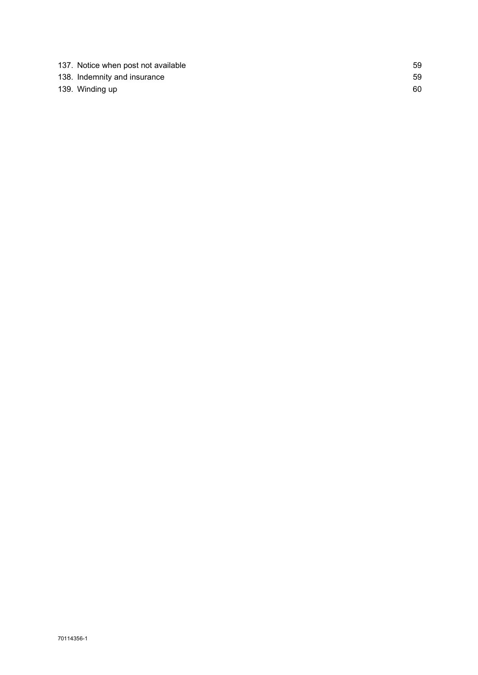| 137. Notice when post not available | 59 |
|-------------------------------------|----|
| 138. Indemnity and insurance        | 59 |
| 139. Winding up                     | 60 |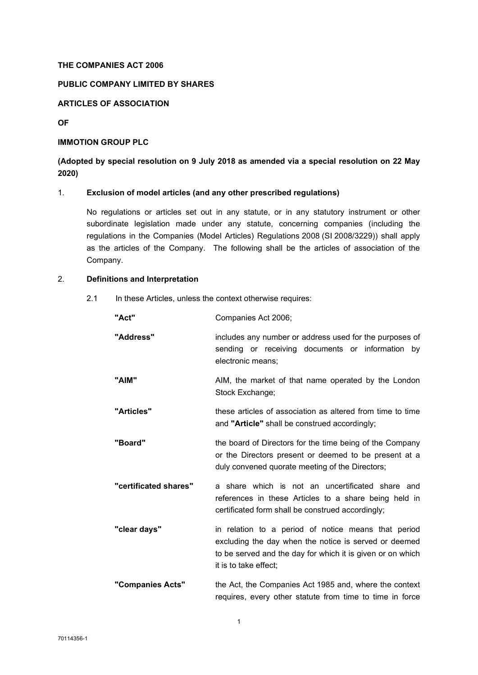## THE COMPANIES ACT 2006

# PUBLIC COMPANY LIMITED BY SHARES

# ARTICLES OF ASSOCIATION

OF

## IMMOTION GROUP PLC

# (Adopted by special resolution on 9 July 2018 as amended via a special resolution on 22 May 2020)

## 1. Exclusion of model articles (and any other prescribed regulations)

No regulations or articles set out in any statute, or in any statutory instrument or other subordinate legislation made under any statute, concerning companies (including the regulations in the Companies (Model Articles) Regulations 2008 (SI 2008/3229)) shall apply as the articles of the Company. The following shall be the articles of association of the Company.

# 2. Definitions and Interpretation

2.1 In these Articles, unless the context otherwise requires:

| "Act"                 | Companies Act 2006;                                                                                                                                                                                 |
|-----------------------|-----------------------------------------------------------------------------------------------------------------------------------------------------------------------------------------------------|
| "Address"             | includes any number or address used for the purposes of<br>sending or receiving documents or information by<br>electronic means;                                                                    |
| "AIM"                 | AIM, the market of that name operated by the London<br>Stock Exchange;                                                                                                                              |
| "Articles"            | these articles of association as altered from time to time<br>and "Article" shall be construed accordingly;                                                                                         |
| "Board"               | the board of Directors for the time being of the Company<br>or the Directors present or deemed to be present at a<br>duly convened quorate meeting of the Directors;                                |
| "certificated shares" | a share which is not an uncertificated share and<br>references in these Articles to a share being held in<br>certificated form shall be construed accordingly;                                      |
| "clear days"          | in relation to a period of notice means that period<br>excluding the day when the notice is served or deemed<br>to be served and the day for which it is given or on which<br>it is to take effect; |
| "Companies Acts"      | the Act, the Companies Act 1985 and, where the context<br>requires, every other statute from time to time in force                                                                                  |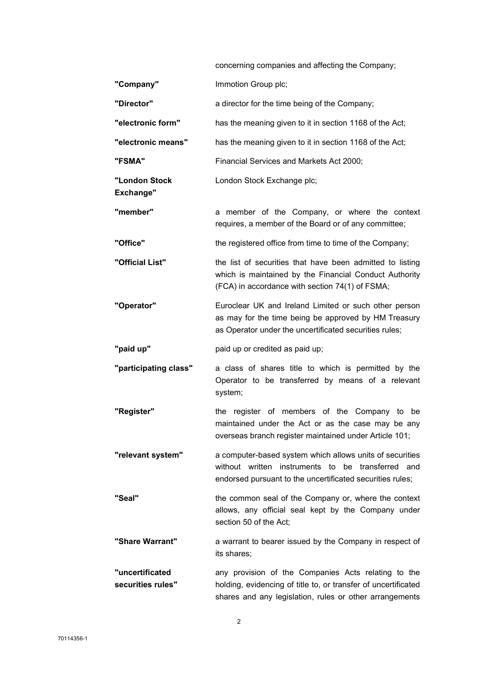|                                      | concerning companies and affecting the Company;                                                                                                                                  |
|--------------------------------------|----------------------------------------------------------------------------------------------------------------------------------------------------------------------------------|
| "Company"                            | Immotion Group plc;                                                                                                                                                              |
| "Director"                           | a director for the time being of the Company;                                                                                                                                    |
| "electronic form"                    | has the meaning given to it in section 1168 of the Act;                                                                                                                          |
| "electronic means"                   | has the meaning given to it in section 1168 of the Act;                                                                                                                          |
| "FSMA"                               | Financial Services and Markets Act 2000;                                                                                                                                         |
| "London Stock<br><b>Exchange"</b>    | London Stock Exchange plc;                                                                                                                                                       |
| "member"                             | a member of the Company, or where the context<br>requires, a member of the Board or of any committee;                                                                            |
| "Office"                             | the registered office from time to time of the Company;                                                                                                                          |
| "Official List"                      | the list of securities that have been admitted to listing<br>which is maintained by the Financial Conduct Authority<br>(FCA) in accordance with section 74(1) of FSMA;           |
| "Operator"                           | Euroclear UK and Ireland Limited or such other person<br>as may for the time being be approved by HM Treasury<br>as Operator under the uncertificated securities rules;          |
| "paid up"                            | paid up or credited as paid up;                                                                                                                                                  |
| "participating class"                | a class of shares title to which is permitted by the<br>Operator to be transferred by means of a relevant<br>system;                                                             |
| "Register"                           | the register of members of the Company to be<br>maintained under the Act or as the case may be any<br>overseas branch register maintained under Article 101;                     |
| "relevant system"                    | a computer-based system which allows units of securities<br>without written instruments to be transferred and<br>endorsed pursuant to the uncertificated securities rules;       |
| "Seal"                               | the common seal of the Company or, where the context<br>allows, any official seal kept by the Company under<br>section 50 of the Act;                                            |
| "Share Warrant"                      | a warrant to bearer issued by the Company in respect of<br>its shares;                                                                                                           |
| "uncertificated<br>securities rules" | any provision of the Companies Acts relating to the<br>holding, evidencing of title to, or transfer of uncertificated<br>shares and any legislation, rules or other arrangements |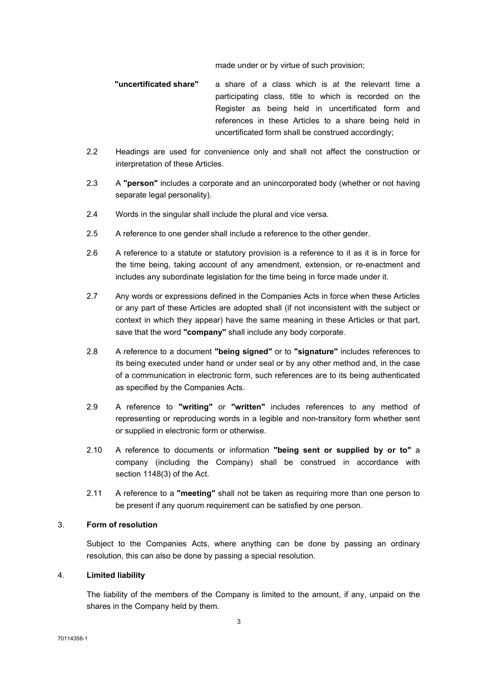made under or by virtue of such provision;

"uncertificated share" a share of a class which is at the relevant time a participating class, title to which is recorded on the Register as being held in uncertificated form and references in these Articles to a share being held in uncertificated form shall be construed accordingly;

- 2.2 Headings are used for convenience only and shall not affect the construction or interpretation of these Articles.
- 2.3 A "person" includes a corporate and an unincorporated body (whether or not having separate legal personality).
- 2.4 Words in the singular shall include the plural and vice versa.
- 2.5 A reference to one gender shall include a reference to the other gender.
- 2.6 A reference to a statute or statutory provision is a reference to it as it is in force for the time being, taking account of any amendment, extension, or re-enactment and includes any subordinate legislation for the time being in force made under it.
- 2.7 Any words or expressions defined in the Companies Acts in force when these Articles or any part of these Articles are adopted shall (if not inconsistent with the subject or context in which they appear) have the same meaning in these Articles or that part, save that the word "company" shall include any body corporate.
- 2.8 A reference to a document "being signed" or to "signature" includes references to its being executed under hand or under seal or by any other method and, in the case of a communication in electronic form, such references are to its being authenticated as specified by the Companies Acts.
- 2.9 A reference to "writing" or "written" includes references to any method of representing or reproducing words in a legible and non-transitory form whether sent or supplied in electronic form or otherwise.
- 2.10 A reference to documents or information "being sent or supplied by or to" a company (including the Company) shall be construed in accordance with section 1148(3) of the Act.
- 2.11 A reference to a "meeting" shall not be taken as requiring more than one person to be present if any quorum requirement can be satisfied by one person.

## 3. Form of resolution

Subject to the Companies Acts, where anything can be done by passing an ordinary resolution, this can also be done by passing a special resolution.

## 4. Limited liability

The liability of the members of the Company is limited to the amount, if any, unpaid on the shares in the Company held by them.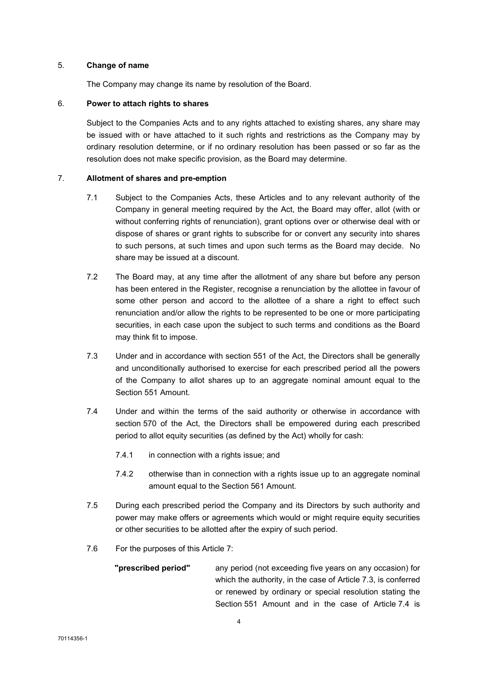#### 5. Change of name

The Company may change its name by resolution of the Board.

## 6. Power to attach rights to shares

Subject to the Companies Acts and to any rights attached to existing shares, any share may be issued with or have attached to it such rights and restrictions as the Company may by ordinary resolution determine, or if no ordinary resolution has been passed or so far as the resolution does not make specific provision, as the Board may determine.

# 7. Allotment of shares and pre-emption

- 7.1 Subject to the Companies Acts, these Articles and to any relevant authority of the Company in general meeting required by the Act, the Board may offer, allot (with or without conferring rights of renunciation), grant options over or otherwise deal with or dispose of shares or grant rights to subscribe for or convert any security into shares to such persons, at such times and upon such terms as the Board may decide. No share may be issued at a discount.
- 7.2 The Board may, at any time after the allotment of any share but before any person has been entered in the Register, recognise a renunciation by the allottee in favour of some other person and accord to the allottee of a share a right to effect such renunciation and/or allow the rights to be represented to be one or more participating securities, in each case upon the subject to such terms and conditions as the Board may think fit to impose.
- 7.3 Under and in accordance with section 551 of the Act, the Directors shall be generally and unconditionally authorised to exercise for each prescribed period all the powers of the Company to allot shares up to an aggregate nominal amount equal to the Section 551 Amount.
- 7.4 Under and within the terms of the said authority or otherwise in accordance with section 570 of the Act, the Directors shall be empowered during each prescribed period to allot equity securities (as defined by the Act) wholly for cash:
	- 7.4.1 in connection with a rights issue; and
	- 7.4.2 otherwise than in connection with a rights issue up to an aggregate nominal amount equal to the Section 561 Amount.
- 7.5 During each prescribed period the Company and its Directors by such authority and power may make offers or agreements which would or might require equity securities or other securities to be allotted after the expiry of such period.
- 7.6 For the purposes of this Article 7:
	- "**prescribed period"** any period (not exceeding five years on any occasion) for which the authority, in the case of Article 7.3, is conferred or renewed by ordinary or special resolution stating the Section 551 Amount and in the case of Article 7.4 is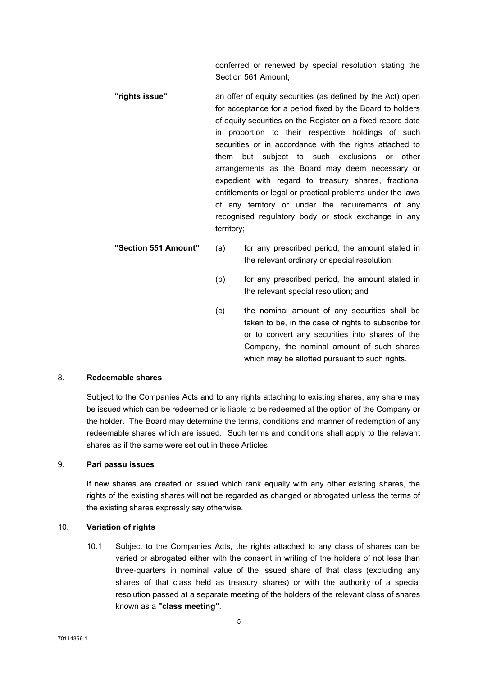conferred or renewed by special resolution stating the Section 561 Amount;

- "rights issue" an offer of equity securities (as defined by the Act) open for acceptance for a period fixed by the Board to holders of equity securities on the Register on a fixed record date in proportion to their respective holdings of such securities or in accordance with the rights attached to them but subject to such exclusions or other arrangements as the Board may deem necessary or expedient with regard to treasury shares, fractional entitlements or legal or practical problems under the laws of any territory or under the requirements of any recognised regulatory body or stock exchange in any territory;
- "Section 551 Amount" (a) for any prescribed period, the amount stated in the relevant ordinary or special resolution;
	- (b) for any prescribed period, the amount stated in the relevant special resolution; and
	- (c) the nominal amount of any securities shall be taken to be, in the case of rights to subscribe for or to convert any securities into shares of the Company, the nominal amount of such shares which may be allotted pursuant to such rights.

# 8. Redeemable shares

Subject to the Companies Acts and to any rights attaching to existing shares, any share may be issued which can be redeemed or is liable to be redeemed at the option of the Company or the holder. The Board may determine the terms, conditions and manner of redemption of any redeemable shares which are issued. Such terms and conditions shall apply to the relevant shares as if the same were set out in these Articles.

# 9. Pari passu issues

If new shares are created or issued which rank equally with any other existing shares, the rights of the existing shares will not be regarded as changed or abrogated unless the terms of the existing shares expressly say otherwise.

#### 10. Variation of rights

10.1 Subject to the Companies Acts, the rights attached to any class of shares can be varied or abrogated either with the consent in writing of the holders of not less than three-quarters in nominal value of the issued share of that class (excluding any shares of that class held as treasury shares) or with the authority of a special resolution passed at a separate meeting of the holders of the relevant class of shares known as a "class meeting".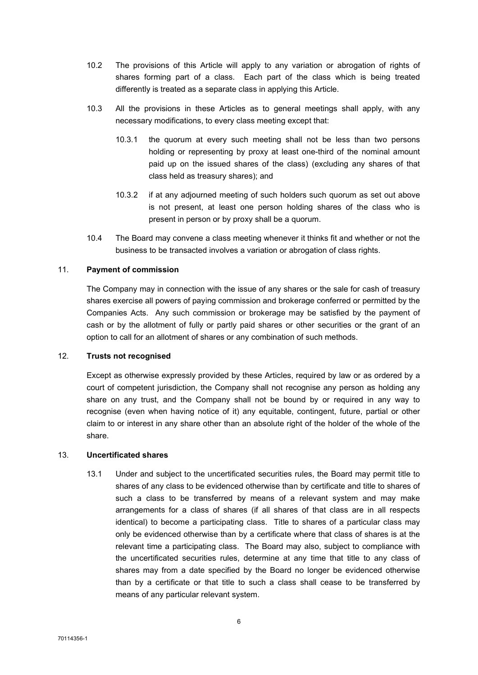- 10.2 The provisions of this Article will apply to any variation or abrogation of rights of shares forming part of a class. Each part of the class which is being treated differently is treated as a separate class in applying this Article.
- 10.3 All the provisions in these Articles as to general meetings shall apply, with any necessary modifications, to every class meeting except that:
	- 10.3.1 the quorum at every such meeting shall not be less than two persons holding or representing by proxy at least one-third of the nominal amount paid up on the issued shares of the class) (excluding any shares of that class held as treasury shares); and
	- 10.3.2 if at any adjourned meeting of such holders such quorum as set out above is not present, at least one person holding shares of the class who is present in person or by proxy shall be a quorum.
- 10.4 The Board may convene a class meeting whenever it thinks fit and whether or not the business to be transacted involves a variation or abrogation of class rights.

## 11. Payment of commission

The Company may in connection with the issue of any shares or the sale for cash of treasury shares exercise all powers of paying commission and brokerage conferred or permitted by the Companies Acts. Any such commission or brokerage may be satisfied by the payment of cash or by the allotment of fully or partly paid shares or other securities or the grant of an option to call for an allotment of shares or any combination of such methods.

# 12. Trusts not recognised

Except as otherwise expressly provided by these Articles, required by law or as ordered by a court of competent jurisdiction, the Company shall not recognise any person as holding any share on any trust, and the Company shall not be bound by or required in any way to recognise (even when having notice of it) any equitable, contingent, future, partial or other claim to or interest in any share other than an absolute right of the holder of the whole of the share.

## 13. Uncertificated shares

13.1 Under and subject to the uncertificated securities rules, the Board may permit title to shares of any class to be evidenced otherwise than by certificate and title to shares of such a class to be transferred by means of a relevant system and may make arrangements for a class of shares (if all shares of that class are in all respects identical) to become a participating class. Title to shares of a particular class may only be evidenced otherwise than by a certificate where that class of shares is at the relevant time a participating class. The Board may also, subject to compliance with the uncertificated securities rules, determine at any time that title to any class of shares may from a date specified by the Board no longer be evidenced otherwise than by a certificate or that title to such a class shall cease to be transferred by means of any particular relevant system.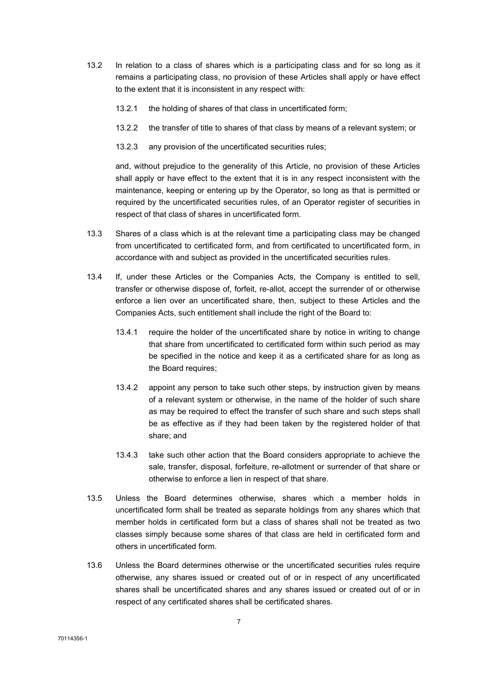- 13.2 In relation to a class of shares which is a participating class and for so long as it remains a participating class, no provision of these Articles shall apply or have effect to the extent that it is inconsistent in any respect with:
	- 13.2.1 the holding of shares of that class in uncertificated form;
	- 13.2.2 the transfer of title to shares of that class by means of a relevant system; or
	- 13.2.3 any provision of the uncertificated securities rules;

and, without prejudice to the generality of this Article, no provision of these Articles shall apply or have effect to the extent that it is in any respect inconsistent with the maintenance, keeping or entering up by the Operator, so long as that is permitted or required by the uncertificated securities rules, of an Operator register of securities in respect of that class of shares in uncertificated form.

- 13.3 Shares of a class which is at the relevant time a participating class may be changed from uncertificated to certificated form, and from certificated to uncertificated form, in accordance with and subject as provided in the uncertificated securities rules.
- 13.4 If, under these Articles or the Companies Acts, the Company is entitled to sell, transfer or otherwise dispose of, forfeit, re-allot, accept the surrender of or otherwise enforce a lien over an uncertificated share, then, subject to these Articles and the Companies Acts, such entitlement shall include the right of the Board to:
	- 13.4.1 require the holder of the uncertificated share by notice in writing to change that share from uncertificated to certificated form within such period as may be specified in the notice and keep it as a certificated share for as long as the Board requires;
	- 13.4.2 appoint any person to take such other steps, by instruction given by means of a relevant system or otherwise, in the name of the holder of such share as may be required to effect the transfer of such share and such steps shall be as effective as if they had been taken by the registered holder of that share; and
	- 13.4.3 take such other action that the Board considers appropriate to achieve the sale, transfer, disposal, forfeiture, re-allotment or surrender of that share or otherwise to enforce a lien in respect of that share.
- 13.5 Unless the Board determines otherwise, shares which a member holds in uncertificated form shall be treated as separate holdings from any shares which that member holds in certificated form but a class of shares shall not be treated as two classes simply because some shares of that class are held in certificated form and others in uncertificated form.
- 13.6 Unless the Board determines otherwise or the uncertificated securities rules require otherwise, any shares issued or created out of or in respect of any uncertificated shares shall be uncertificated shares and any shares issued or created out of or in respect of any certificated shares shall be certificated shares.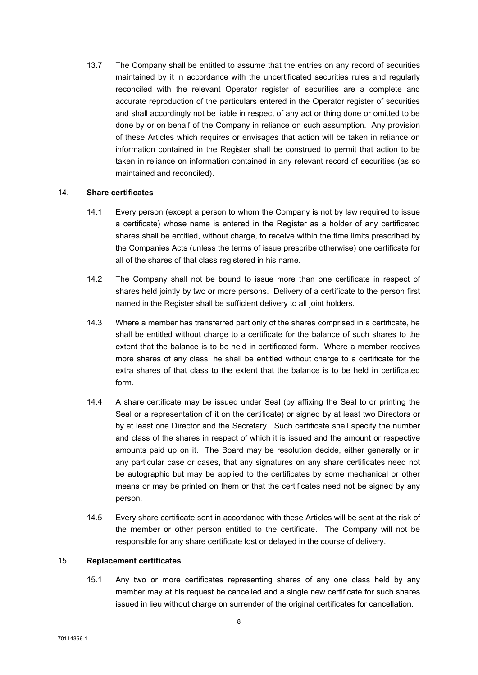13.7 The Company shall be entitled to assume that the entries on any record of securities maintained by it in accordance with the uncertificated securities rules and regularly reconciled with the relevant Operator register of securities are a complete and accurate reproduction of the particulars entered in the Operator register of securities and shall accordingly not be liable in respect of any act or thing done or omitted to be done by or on behalf of the Company in reliance on such assumption. Any provision of these Articles which requires or envisages that action will be taken in reliance on information contained in the Register shall be construed to permit that action to be taken in reliance on information contained in any relevant record of securities (as so maintained and reconciled).

## 14. Share certificates

- 14.1 Every person (except a person to whom the Company is not by law required to issue a certificate) whose name is entered in the Register as a holder of any certificated shares shall be entitled, without charge, to receive within the time limits prescribed by the Companies Acts (unless the terms of issue prescribe otherwise) one certificate for all of the shares of that class registered in his name.
- 14.2 The Company shall not be bound to issue more than one certificate in respect of shares held jointly by two or more persons. Delivery of a certificate to the person first named in the Register shall be sufficient delivery to all joint holders.
- 14.3 Where a member has transferred part only of the shares comprised in a certificate, he shall be entitled without charge to a certificate for the balance of such shares to the extent that the balance is to be held in certificated form. Where a member receives more shares of any class, he shall be entitled without charge to a certificate for the extra shares of that class to the extent that the balance is to be held in certificated form.
- 14.4 A share certificate may be issued under Seal (by affixing the Seal to or printing the Seal or a representation of it on the certificate) or signed by at least two Directors or by at least one Director and the Secretary. Such certificate shall specify the number and class of the shares in respect of which it is issued and the amount or respective amounts paid up on it. The Board may be resolution decide, either generally or in any particular case or cases, that any signatures on any share certificates need not be autographic but may be applied to the certificates by some mechanical or other means or may be printed on them or that the certificates need not be signed by any person.
- 14.5 Every share certificate sent in accordance with these Articles will be sent at the risk of the member or other person entitled to the certificate. The Company will not be responsible for any share certificate lost or delayed in the course of delivery.

#### 15. Replacement certificates

15.1 Any two or more certificates representing shares of any one class held by any member may at his request be cancelled and a single new certificate for such shares issued in lieu without charge on surrender of the original certificates for cancellation.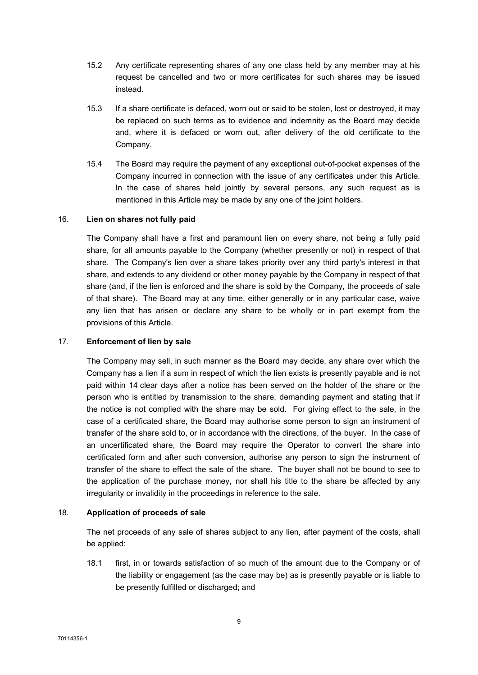- 15.2 Any certificate representing shares of any one class held by any member may at his request be cancelled and two or more certificates for such shares may be issued instead.
- 15.3 If a share certificate is defaced, worn out or said to be stolen, lost or destroyed, it may be replaced on such terms as to evidence and indemnity as the Board may decide and, where it is defaced or worn out, after delivery of the old certificate to the Company.
- 15.4 The Board may require the payment of any exceptional out-of-pocket expenses of the Company incurred in connection with the issue of any certificates under this Article. In the case of shares held jointly by several persons, any such request as is mentioned in this Article may be made by any one of the joint holders.

## 16. Lien on shares not fully paid

The Company shall have a first and paramount lien on every share, not being a fully paid share, for all amounts payable to the Company (whether presently or not) in respect of that share. The Company's lien over a share takes priority over any third party's interest in that share, and extends to any dividend or other money payable by the Company in respect of that share (and, if the lien is enforced and the share is sold by the Company, the proceeds of sale of that share). The Board may at any time, either generally or in any particular case, waive any lien that has arisen or declare any share to be wholly or in part exempt from the provisions of this Article.

## 17. Enforcement of lien by sale

The Company may sell, in such manner as the Board may decide, any share over which the Company has a lien if a sum in respect of which the lien exists is presently payable and is not paid within 14 clear days after a notice has been served on the holder of the share or the person who is entitled by transmission to the share, demanding payment and stating that if the notice is not complied with the share may be sold. For giving effect to the sale, in the case of a certificated share, the Board may authorise some person to sign an instrument of transfer of the share sold to, or in accordance with the directions, of the buyer. In the case of an uncertificated share, the Board may require the Operator to convert the share into certificated form and after such conversion, authorise any person to sign the instrument of transfer of the share to effect the sale of the share. The buyer shall not be bound to see to the application of the purchase money, nor shall his title to the share be affected by any irregularity or invalidity in the proceedings in reference to the sale.

## 18. Application of proceeds of sale

The net proceeds of any sale of shares subject to any lien, after payment of the costs, shall be applied:

18.1 first, in or towards satisfaction of so much of the amount due to the Company or of the liability or engagement (as the case may be) as is presently payable or is liable to be presently fulfilled or discharged; and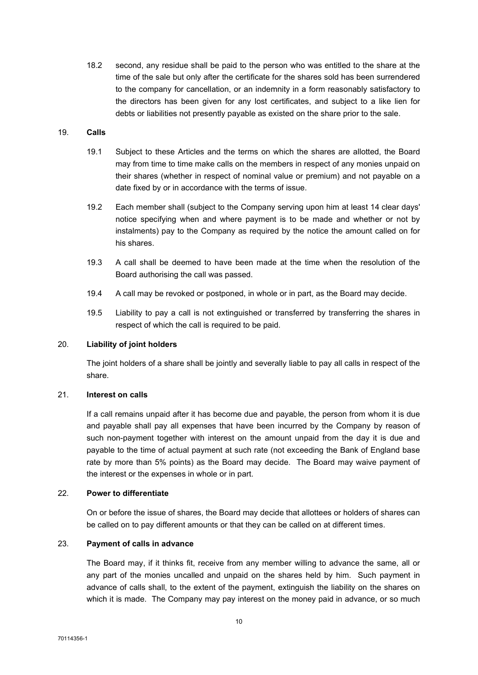18.2 second, any residue shall be paid to the person who was entitled to the share at the time of the sale but only after the certificate for the shares sold has been surrendered to the company for cancellation, or an indemnity in a form reasonably satisfactory to the directors has been given for any lost certificates, and subject to a like lien for debts or liabilities not presently payable as existed on the share prior to the sale.

#### 19. Calls

- 19.1 Subject to these Articles and the terms on which the shares are allotted, the Board may from time to time make calls on the members in respect of any monies unpaid on their shares (whether in respect of nominal value or premium) and not payable on a date fixed by or in accordance with the terms of issue.
- 19.2 Each member shall (subject to the Company serving upon him at least 14 clear days' notice specifying when and where payment is to be made and whether or not by instalments) pay to the Company as required by the notice the amount called on for his shares.
- 19.3 A call shall be deemed to have been made at the time when the resolution of the Board authorising the call was passed.
- 19.4 A call may be revoked or postponed, in whole or in part, as the Board may decide.
- 19.5 Liability to pay a call is not extinguished or transferred by transferring the shares in respect of which the call is required to be paid.

#### 20. Liability of joint holders

The joint holders of a share shall be jointly and severally liable to pay all calls in respect of the share.

#### 21. Interest on calls

If a call remains unpaid after it has become due and payable, the person from whom it is due and payable shall pay all expenses that have been incurred by the Company by reason of such non-payment together with interest on the amount unpaid from the day it is due and payable to the time of actual payment at such rate (not exceeding the Bank of England base rate by more than 5% points) as the Board may decide. The Board may waive payment of the interest or the expenses in whole or in part.

#### 22. Power to differentiate

On or before the issue of shares, the Board may decide that allottees or holders of shares can be called on to pay different amounts or that they can be called on at different times.

## 23. Payment of calls in advance

The Board may, if it thinks fit, receive from any member willing to advance the same, all or any part of the monies uncalled and unpaid on the shares held by him. Such payment in advance of calls shall, to the extent of the payment, extinguish the liability on the shares on which it is made. The Company may pay interest on the money paid in advance, or so much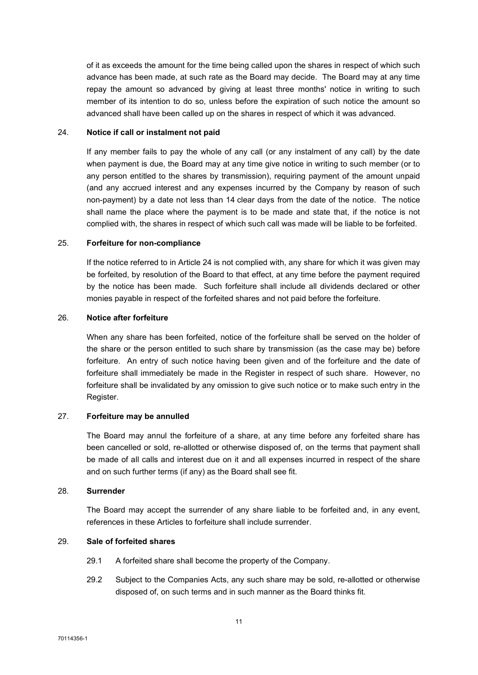of it as exceeds the amount for the time being called upon the shares in respect of which such advance has been made, at such rate as the Board may decide. The Board may at any time repay the amount so advanced by giving at least three months' notice in writing to such member of its intention to do so, unless before the expiration of such notice the amount so advanced shall have been called up on the shares in respect of which it was advanced.

#### 24. Notice if call or instalment not paid

If any member fails to pay the whole of any call (or any instalment of any call) by the date when payment is due, the Board may at any time give notice in writing to such member (or to any person entitled to the shares by transmission), requiring payment of the amount unpaid (and any accrued interest and any expenses incurred by the Company by reason of such non-payment) by a date not less than 14 clear days from the date of the notice. The notice shall name the place where the payment is to be made and state that, if the notice is not complied with, the shares in respect of which such call was made will be liable to be forfeited.

## 25. Forfeiture for non-compliance

If the notice referred to in Article 24 is not complied with, any share for which it was given may be forfeited, by resolution of the Board to that effect, at any time before the payment required by the notice has been made. Such forfeiture shall include all dividends declared or other monies payable in respect of the forfeited shares and not paid before the forfeiture.

#### 26. Notice after forfeiture

When any share has been forfeited, notice of the forfeiture shall be served on the holder of the share or the person entitled to such share by transmission (as the case may be) before forfeiture. An entry of such notice having been given and of the forfeiture and the date of forfeiture shall immediately be made in the Register in respect of such share. However, no forfeiture shall be invalidated by any omission to give such notice or to make such entry in the Register.

# 27. Forfeiture may be annulled

The Board may annul the forfeiture of a share, at any time before any forfeited share has been cancelled or sold, re-allotted or otherwise disposed of, on the terms that payment shall be made of all calls and interest due on it and all expenses incurred in respect of the share and on such further terms (if any) as the Board shall see fit.

## 28. Surrender

The Board may accept the surrender of any share liable to be forfeited and, in any event, references in these Articles to forfeiture shall include surrender.

## 29. Sale of forfeited shares

- 29.1 A forfeited share shall become the property of the Company.
- 29.2 Subject to the Companies Acts, any such share may be sold, re-allotted or otherwise disposed of, on such terms and in such manner as the Board thinks fit.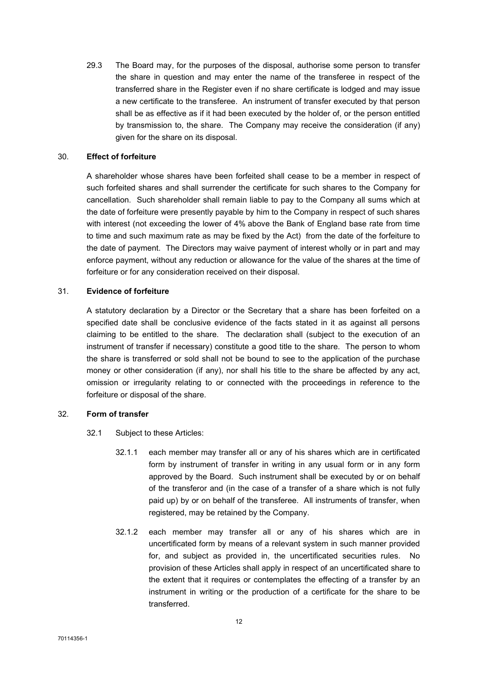29.3 The Board may, for the purposes of the disposal, authorise some person to transfer the share in question and may enter the name of the transferee in respect of the transferred share in the Register even if no share certificate is lodged and may issue a new certificate to the transferee. An instrument of transfer executed by that person shall be as effective as if it had been executed by the holder of, or the person entitled by transmission to, the share. The Company may receive the consideration (if any) given for the share on its disposal.

## 30. Effect of forfeiture

A shareholder whose shares have been forfeited shall cease to be a member in respect of such forfeited shares and shall surrender the certificate for such shares to the Company for cancellation. Such shareholder shall remain liable to pay to the Company all sums which at the date of forfeiture were presently payable by him to the Company in respect of such shares with interest (not exceeding the lower of 4% above the Bank of England base rate from time to time and such maximum rate as may be fixed by the Act) from the date of the forfeiture to the date of payment. The Directors may waive payment of interest wholly or in part and may enforce payment, without any reduction or allowance for the value of the shares at the time of forfeiture or for any consideration received on their disposal.

## 31. Evidence of forfeiture

A statutory declaration by a Director or the Secretary that a share has been forfeited on a specified date shall be conclusive evidence of the facts stated in it as against all persons claiming to be entitled to the share. The declaration shall (subject to the execution of an instrument of transfer if necessary) constitute a good title to the share. The person to whom the share is transferred or sold shall not be bound to see to the application of the purchase money or other consideration (if any), nor shall his title to the share be affected by any act, omission or irregularity relating to or connected with the proceedings in reference to the forfeiture or disposal of the share.

# 32. Form of transfer

- 32.1 Subject to these Articles:
	- 32.1.1 each member may transfer all or any of his shares which are in certificated form by instrument of transfer in writing in any usual form or in any form approved by the Board. Such instrument shall be executed by or on behalf of the transferor and (in the case of a transfer of a share which is not fully paid up) by or on behalf of the transferee. All instruments of transfer, when registered, may be retained by the Company.
	- 32.1.2 each member may transfer all or any of his shares which are in uncertificated form by means of a relevant system in such manner provided for, and subject as provided in, the uncertificated securities rules. No provision of these Articles shall apply in respect of an uncertificated share to the extent that it requires or contemplates the effecting of a transfer by an instrument in writing or the production of a certificate for the share to be transferred.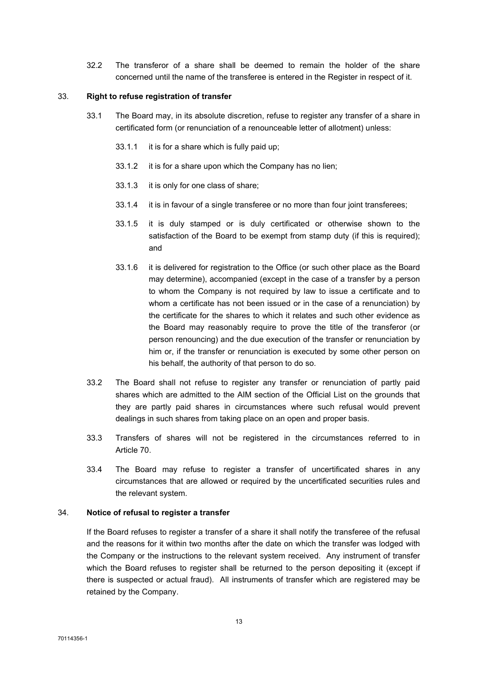32.2 The transferor of a share shall be deemed to remain the holder of the share concerned until the name of the transferee is entered in the Register in respect of it.

## 33. Right to refuse registration of transfer

- 33.1 The Board may, in its absolute discretion, refuse to register any transfer of a share in certificated form (or renunciation of a renounceable letter of allotment) unless:
	- 33.1.1 it is for a share which is fully paid up;
	- 33.1.2 it is for a share upon which the Company has no lien;
	- 33.1.3 it is only for one class of share;
	- 33.1.4 it is in favour of a single transferee or no more than four joint transferees;
	- 33.1.5 it is duly stamped or is duly certificated or otherwise shown to the satisfaction of the Board to be exempt from stamp duty (if this is required): and
	- 33.1.6 it is delivered for registration to the Office (or such other place as the Board may determine), accompanied (except in the case of a transfer by a person to whom the Company is not required by law to issue a certificate and to whom a certificate has not been issued or in the case of a renunciation) by the certificate for the shares to which it relates and such other evidence as the Board may reasonably require to prove the title of the transferor (or person renouncing) and the due execution of the transfer or renunciation by him or, if the transfer or renunciation is executed by some other person on his behalf, the authority of that person to do so.
- 33.2 The Board shall not refuse to register any transfer or renunciation of partly paid shares which are admitted to the AIM section of the Official List on the grounds that they are partly paid shares in circumstances where such refusal would prevent dealings in such shares from taking place on an open and proper basis.
- 33.3 Transfers of shares will not be registered in the circumstances referred to in Article 70.
- 33.4 The Board may refuse to register a transfer of uncertificated shares in any circumstances that are allowed or required by the uncertificated securities rules and the relevant system.

## 34. Notice of refusal to register a transfer

If the Board refuses to register a transfer of a share it shall notify the transferee of the refusal and the reasons for it within two months after the date on which the transfer was lodged with the Company or the instructions to the relevant system received. Any instrument of transfer which the Board refuses to register shall be returned to the person depositing it (except if there is suspected or actual fraud). All instruments of transfer which are registered may be retained by the Company.

70114356-1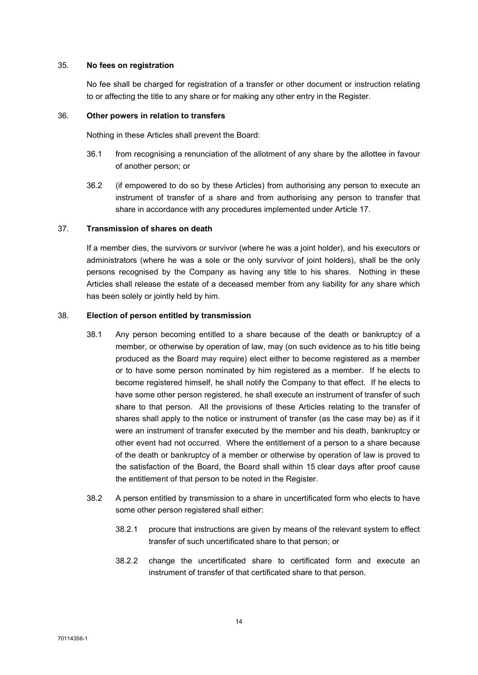#### 35. No fees on registration

No fee shall be charged for registration of a transfer or other document or instruction relating to or affecting the title to any share or for making any other entry in the Register.

#### 36. Other powers in relation to transfers

Nothing in these Articles shall prevent the Board:

- 36.1 from recognising a renunciation of the allotment of any share by the allottee in favour of another person; or
- 36.2 (if empowered to do so by these Articles) from authorising any person to execute an instrument of transfer of a share and from authorising any person to transfer that share in accordance with any procedures implemented under Article 17.

## 37. Transmission of shares on death

If a member dies, the survivors or survivor (where he was a joint holder), and his executors or administrators (where he was a sole or the only survivor of joint holders), shall be the only persons recognised by the Company as having any title to his shares. Nothing in these Articles shall release the estate of a deceased member from any liability for any share which has been solely or jointly held by him.

## 38. Election of person entitled by transmission

- 38.1 Any person becoming entitled to a share because of the death or bankruptcy of a member, or otherwise by operation of law, may (on such evidence as to his title being produced as the Board may require) elect either to become registered as a member or to have some person nominated by him registered as a member. If he elects to become registered himself, he shall notify the Company to that effect. If he elects to have some other person registered, he shall execute an instrument of transfer of such share to that person. All the provisions of these Articles relating to the transfer of shares shall apply to the notice or instrument of transfer (as the case may be) as if it were an instrument of transfer executed by the member and his death, bankruptcy or other event had not occurred. Where the entitlement of a person to a share because of the death or bankruptcy of a member or otherwise by operation of law is proved to the satisfaction of the Board, the Board shall within 15 clear days after proof cause the entitlement of that person to be noted in the Register.
- 38.2 A person entitled by transmission to a share in uncertificated form who elects to have some other person registered shall either:
	- 38.2.1 procure that instructions are given by means of the relevant system to effect transfer of such uncertificated share to that person; or
	- 38.2.2 change the uncertificated share to certificated form and execute an instrument of transfer of that certificated share to that person.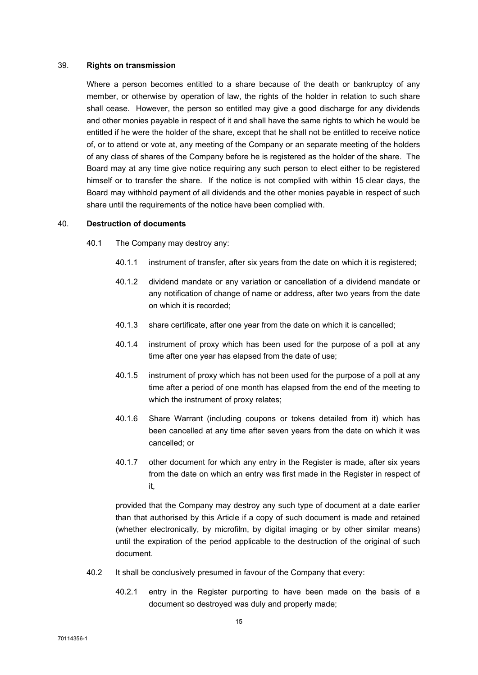#### 39. Rights on transmission

Where a person becomes entitled to a share because of the death or bankruptcy of any member, or otherwise by operation of law, the rights of the holder in relation to such share shall cease. However, the person so entitled may give a good discharge for any dividends and other monies payable in respect of it and shall have the same rights to which he would be entitled if he were the holder of the share, except that he shall not be entitled to receive notice of, or to attend or vote at, any meeting of the Company or an separate meeting of the holders of any class of shares of the Company before he is registered as the holder of the share. The Board may at any time give notice requiring any such person to elect either to be registered himself or to transfer the share. If the notice is not complied with within 15 clear days, the Board may withhold payment of all dividends and the other monies payable in respect of such share until the requirements of the notice have been complied with.

## 40. Destruction of documents

- 40.1 The Company may destroy any:
	- 40.1.1 instrument of transfer, after six years from the date on which it is registered;
	- 40.1.2 dividend mandate or any variation or cancellation of a dividend mandate or any notification of change of name or address, after two years from the date on which it is recorded;
	- 40.1.3 share certificate, after one year from the date on which it is cancelled;
	- 40.1.4 instrument of proxy which has been used for the purpose of a poll at any time after one year has elapsed from the date of use;
	- 40.1.5 instrument of proxy which has not been used for the purpose of a poll at any time after a period of one month has elapsed from the end of the meeting to which the instrument of proxy relates;
	- 40.1.6 Share Warrant (including coupons or tokens detailed from it) which has been cancelled at any time after seven years from the date on which it was cancelled; or
	- 40.1.7 other document for which any entry in the Register is made, after six years from the date on which an entry was first made in the Register in respect of it,

provided that the Company may destroy any such type of document at a date earlier than that authorised by this Article if a copy of such document is made and retained (whether electronically, by microfilm, by digital imaging or by other similar means) until the expiration of the period applicable to the destruction of the original of such document.

- 40.2 It shall be conclusively presumed in favour of the Company that every:
	- 40.2.1 entry in the Register purporting to have been made on the basis of a document so destroyed was duly and properly made;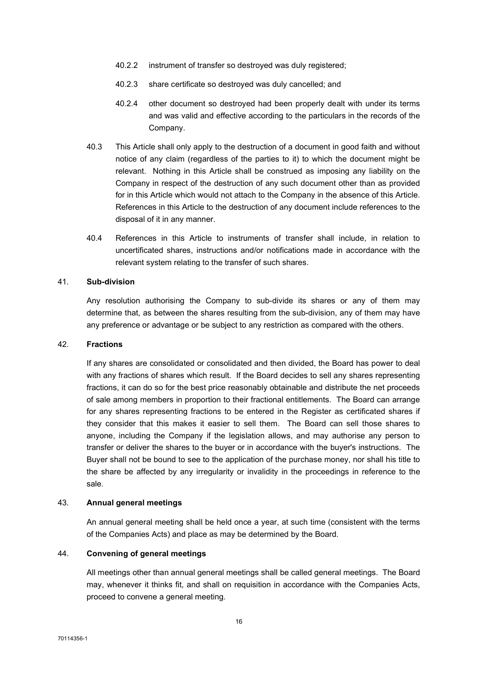- 40.2.2 instrument of transfer so destroyed was duly registered;
- 40.2.3 share certificate so destroyed was duly cancelled; and
- 40.2.4 other document so destroyed had been properly dealt with under its terms and was valid and effective according to the particulars in the records of the Company.
- 40.3 This Article shall only apply to the destruction of a document in good faith and without notice of any claim (regardless of the parties to it) to which the document might be relevant. Nothing in this Article shall be construed as imposing any liability on the Company in respect of the destruction of any such document other than as provided for in this Article which would not attach to the Company in the absence of this Article. References in this Article to the destruction of any document include references to the disposal of it in any manner.
- 40.4 References in this Article to instruments of transfer shall include, in relation to uncertificated shares, instructions and/or notifications made in accordance with the relevant system relating to the transfer of such shares.

## 41. Sub-division

Any resolution authorising the Company to sub-divide its shares or any of them may determine that, as between the shares resulting from the sub-division, any of them may have any preference or advantage or be subject to any restriction as compared with the others.

#### 42. Fractions

If any shares are consolidated or consolidated and then divided, the Board has power to deal with any fractions of shares which result. If the Board decides to sell any shares representing fractions, it can do so for the best price reasonably obtainable and distribute the net proceeds of sale among members in proportion to their fractional entitlements. The Board can arrange for any shares representing fractions to be entered in the Register as certificated shares if they consider that this makes it easier to sell them. The Board can sell those shares to anyone, including the Company if the legislation allows, and may authorise any person to transfer or deliver the shares to the buyer or in accordance with the buyer's instructions. The Buyer shall not be bound to see to the application of the purchase money, nor shall his title to the share be affected by any irregularity or invalidity in the proceedings in reference to the sale.

#### 43. Annual general meetings

An annual general meeting shall be held once a year, at such time (consistent with the terms of the Companies Acts) and place as may be determined by the Board.

# 44. Convening of general meetings

All meetings other than annual general meetings shall be called general meetings. The Board may, whenever it thinks fit, and shall on requisition in accordance with the Companies Acts, proceed to convene a general meeting.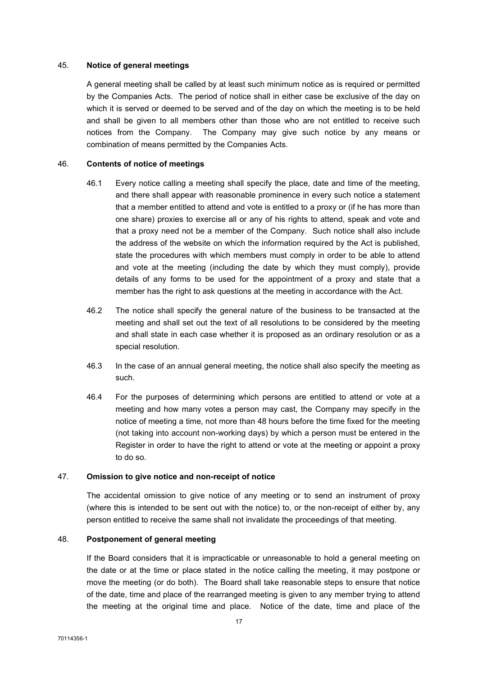## 45. Notice of general meetings

A general meeting shall be called by at least such minimum notice as is required or permitted by the Companies Acts. The period of notice shall in either case be exclusive of the day on which it is served or deemed to be served and of the day on which the meeting is to be held and shall be given to all members other than those who are not entitled to receive such notices from the Company. The Company may give such notice by any means or combination of means permitted by the Companies Acts.

## 46. Contents of notice of meetings

- 46.1 Every notice calling a meeting shall specify the place, date and time of the meeting, and there shall appear with reasonable prominence in every such notice a statement that a member entitled to attend and vote is entitled to a proxy or (if he has more than one share) proxies to exercise all or any of his rights to attend, speak and vote and that a proxy need not be a member of the Company. Such notice shall also include the address of the website on which the information required by the Act is published, state the procedures with which members must comply in order to be able to attend and vote at the meeting (including the date by which they must comply), provide details of any forms to be used for the appointment of a proxy and state that a member has the right to ask questions at the meeting in accordance with the Act.
- 46.2 The notice shall specify the general nature of the business to be transacted at the meeting and shall set out the text of all resolutions to be considered by the meeting and shall state in each case whether it is proposed as an ordinary resolution or as a special resolution.
- 46.3 In the case of an annual general meeting, the notice shall also specify the meeting as such.
- 46.4 For the purposes of determining which persons are entitled to attend or vote at a meeting and how many votes a person may cast, the Company may specify in the notice of meeting a time, not more than 48 hours before the time fixed for the meeting (not taking into account non-working days) by which a person must be entered in the Register in order to have the right to attend or vote at the meeting or appoint a proxy to do so.

#### 47. Omission to give notice and non-receipt of notice

The accidental omission to give notice of any meeting or to send an instrument of proxy (where this is intended to be sent out with the notice) to, or the non-receipt of either by, any person entitled to receive the same shall not invalidate the proceedings of that meeting.

## 48. Postponement of general meeting

If the Board considers that it is impracticable or unreasonable to hold a general meeting on the date or at the time or place stated in the notice calling the meeting, it may postpone or move the meeting (or do both). The Board shall take reasonable steps to ensure that notice of the date, time and place of the rearranged meeting is given to any member trying to attend the meeting at the original time and place. Notice of the date, time and place of the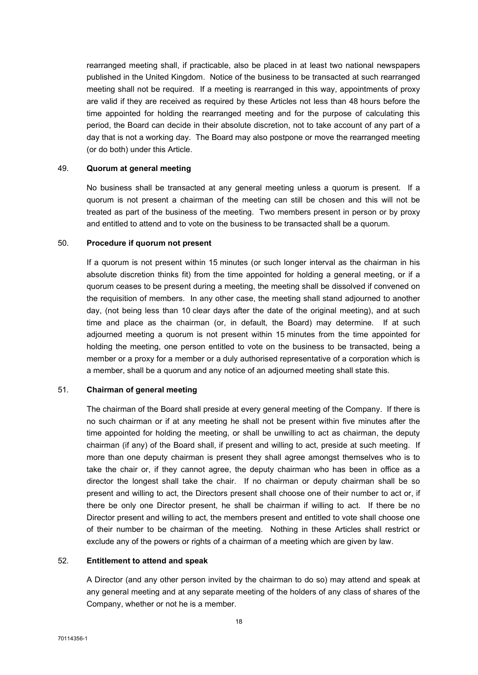rearranged meeting shall, if practicable, also be placed in at least two national newspapers published in the United Kingdom. Notice of the business to be transacted at such rearranged meeting shall not be required. If a meeting is rearranged in this way, appointments of proxy are valid if they are received as required by these Articles not less than 48 hours before the time appointed for holding the rearranged meeting and for the purpose of calculating this period, the Board can decide in their absolute discretion, not to take account of any part of a day that is not a working day. The Board may also postpone or move the rearranged meeting (or do both) under this Article.

#### 49. Quorum at general meeting

No business shall be transacted at any general meeting unless a quorum is present. If a quorum is not present a chairman of the meeting can still be chosen and this will not be treated as part of the business of the meeting. Two members present in person or by proxy and entitled to attend and to vote on the business to be transacted shall be a quorum.

#### 50. Procedure if quorum not present

If a quorum is not present within 15 minutes (or such longer interval as the chairman in his absolute discretion thinks fit) from the time appointed for holding a general meeting, or if a quorum ceases to be present during a meeting, the meeting shall be dissolved if convened on the requisition of members. In any other case, the meeting shall stand adjourned to another day, (not being less than 10 clear days after the date of the original meeting), and at such time and place as the chairman (or, in default, the Board) may determine. If at such adjourned meeting a quorum is not present within 15 minutes from the time appointed for holding the meeting, one person entitled to vote on the business to be transacted, being a member or a proxy for a member or a duly authorised representative of a corporation which is a member, shall be a quorum and any notice of an adjourned meeting shall state this.

# 51. Chairman of general meeting

The chairman of the Board shall preside at every general meeting of the Company. If there is no such chairman or if at any meeting he shall not be present within five minutes after the time appointed for holding the meeting, or shall be unwilling to act as chairman, the deputy chairman (if any) of the Board shall, if present and willing to act, preside at such meeting. If more than one deputy chairman is present they shall agree amongst themselves who is to take the chair or, if they cannot agree, the deputy chairman who has been in office as a director the longest shall take the chair. If no chairman or deputy chairman shall be so present and willing to act, the Directors present shall choose one of their number to act or, if there be only one Director present, he shall be chairman if willing to act. If there be no Director present and willing to act, the members present and entitled to vote shall choose one of their number to be chairman of the meeting. Nothing in these Articles shall restrict or exclude any of the powers or rights of a chairman of a meeting which are given by law.

# 52. Entitlement to attend and speak

A Director (and any other person invited by the chairman to do so) may attend and speak at any general meeting and at any separate meeting of the holders of any class of shares of the Company, whether or not he is a member.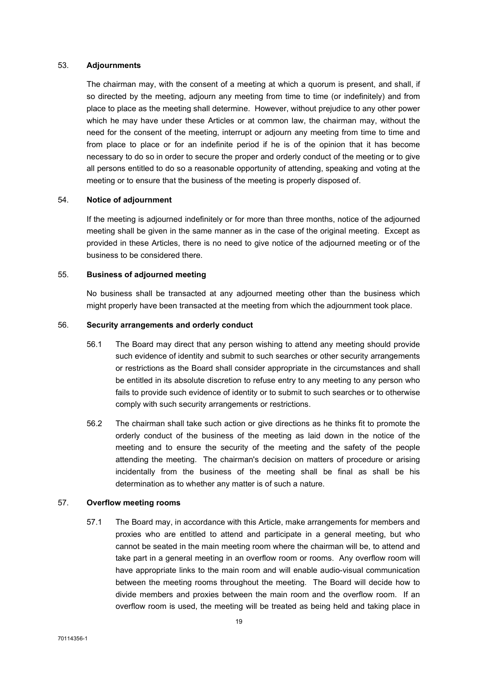#### 53. Adjournments

The chairman may, with the consent of a meeting at which a quorum is present, and shall, if so directed by the meeting, adjourn any meeting from time to time (or indefinitely) and from place to place as the meeting shall determine. However, without prejudice to any other power which he may have under these Articles or at common law, the chairman may, without the need for the consent of the meeting, interrupt or adjourn any meeting from time to time and from place to place or for an indefinite period if he is of the opinion that it has become necessary to do so in order to secure the proper and orderly conduct of the meeting or to give all persons entitled to do so a reasonable opportunity of attending, speaking and voting at the meeting or to ensure that the business of the meeting is properly disposed of.

# 54. Notice of adjournment

If the meeting is adjourned indefinitely or for more than three months, notice of the adjourned meeting shall be given in the same manner as in the case of the original meeting. Except as provided in these Articles, there is no need to give notice of the adjourned meeting or of the business to be considered there.

#### 55. Business of adjourned meeting

No business shall be transacted at any adjourned meeting other than the business which might properly have been transacted at the meeting from which the adjournment took place.

## 56. Security arrangements and orderly conduct

- 56.1 The Board may direct that any person wishing to attend any meeting should provide such evidence of identity and submit to such searches or other security arrangements or restrictions as the Board shall consider appropriate in the circumstances and shall be entitled in its absolute discretion to refuse entry to any meeting to any person who fails to provide such evidence of identity or to submit to such searches or to otherwise comply with such security arrangements or restrictions.
- 56.2 The chairman shall take such action or give directions as he thinks fit to promote the orderly conduct of the business of the meeting as laid down in the notice of the meeting and to ensure the security of the meeting and the safety of the people attending the meeting. The chairman's decision on matters of procedure or arising incidentally from the business of the meeting shall be final as shall be his determination as to whether any matter is of such a nature.

#### 57. Overflow meeting rooms

57.1 The Board may, in accordance with this Article, make arrangements for members and proxies who are entitled to attend and participate in a general meeting, but who cannot be seated in the main meeting room where the chairman will be, to attend and take part in a general meeting in an overflow room or rooms. Any overflow room will have appropriate links to the main room and will enable audio-visual communication between the meeting rooms throughout the meeting. The Board will decide how to divide members and proxies between the main room and the overflow room. If an overflow room is used, the meeting will be treated as being held and taking place in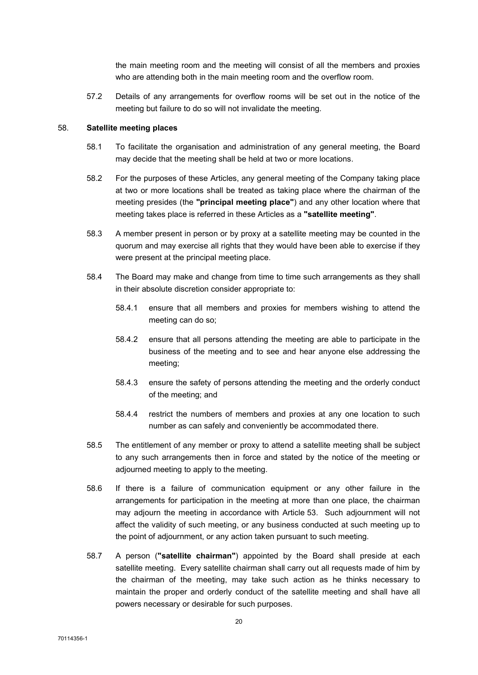the main meeting room and the meeting will consist of all the members and proxies who are attending both in the main meeting room and the overflow room.

57.2 Details of any arrangements for overflow rooms will be set out in the notice of the meeting but failure to do so will not invalidate the meeting.

#### 58. Satellite meeting places

- 58.1 To facilitate the organisation and administration of any general meeting, the Board may decide that the meeting shall be held at two or more locations.
- 58.2 For the purposes of these Articles, any general meeting of the Company taking place at two or more locations shall be treated as taking place where the chairman of the meeting presides (the "principal meeting place") and any other location where that meeting takes place is referred in these Articles as a "satellite meeting".
- 58.3 A member present in person or by proxy at a satellite meeting may be counted in the quorum and may exercise all rights that they would have been able to exercise if they were present at the principal meeting place.
- 58.4 The Board may make and change from time to time such arrangements as they shall in their absolute discretion consider appropriate to:
	- 58.4.1 ensure that all members and proxies for members wishing to attend the meeting can do so;
	- 58.4.2 ensure that all persons attending the meeting are able to participate in the business of the meeting and to see and hear anyone else addressing the meeting;
	- 58.4.3 ensure the safety of persons attending the meeting and the orderly conduct of the meeting; and
	- 58.4.4 restrict the numbers of members and proxies at any one location to such number as can safely and conveniently be accommodated there.
- 58.5 The entitlement of any member or proxy to attend a satellite meeting shall be subject to any such arrangements then in force and stated by the notice of the meeting or adjourned meeting to apply to the meeting.
- 58.6 If there is a failure of communication equipment or any other failure in the arrangements for participation in the meeting at more than one place, the chairman may adjourn the meeting in accordance with Article 53. Such adjournment will not affect the validity of such meeting, or any business conducted at such meeting up to the point of adjournment, or any action taken pursuant to such meeting.
- 58.7 A person ("satellite chairman") appointed by the Board shall preside at each satellite meeting. Every satellite chairman shall carry out all requests made of him by the chairman of the meeting, may take such action as he thinks necessary to maintain the proper and orderly conduct of the satellite meeting and shall have all powers necessary or desirable for such purposes.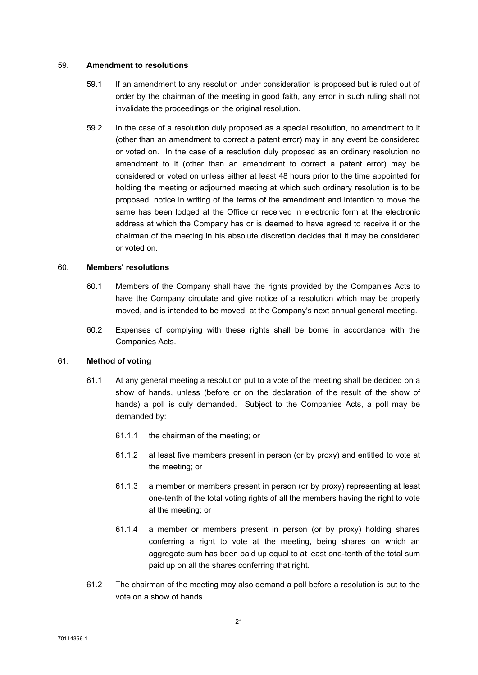#### 59. Amendment to resolutions

- 59.1 If an amendment to any resolution under consideration is proposed but is ruled out of order by the chairman of the meeting in good faith, any error in such ruling shall not invalidate the proceedings on the original resolution.
- 59.2 In the case of a resolution duly proposed as a special resolution, no amendment to it (other than an amendment to correct a patent error) may in any event be considered or voted on. In the case of a resolution duly proposed as an ordinary resolution no amendment to it (other than an amendment to correct a patent error) may be considered or voted on unless either at least 48 hours prior to the time appointed for holding the meeting or adjourned meeting at which such ordinary resolution is to be proposed, notice in writing of the terms of the amendment and intention to move the same has been lodged at the Office or received in electronic form at the electronic address at which the Company has or is deemed to have agreed to receive it or the chairman of the meeting in his absolute discretion decides that it may be considered or voted on.

## 60. Members' resolutions

- 60.1 Members of the Company shall have the rights provided by the Companies Acts to have the Company circulate and give notice of a resolution which may be properly moved, and is intended to be moved, at the Company's next annual general meeting.
- 60.2 Expenses of complying with these rights shall be borne in accordance with the Companies Acts.

#### 61. Method of voting

- 61.1 At any general meeting a resolution put to a vote of the meeting shall be decided on a show of hands, unless (before or on the declaration of the result of the show of hands) a poll is duly demanded. Subject to the Companies Acts, a poll may be demanded by:
	- 61.1.1 the chairman of the meeting; or
	- 61.1.2 at least five members present in person (or by proxy) and entitled to vote at the meeting; or
	- 61.1.3 a member or members present in person (or by proxy) representing at least one-tenth of the total voting rights of all the members having the right to vote at the meeting; or
	- 61.1.4 a member or members present in person (or by proxy) holding shares conferring a right to vote at the meeting, being shares on which an aggregate sum has been paid up equal to at least one-tenth of the total sum paid up on all the shares conferring that right.
- 61.2 The chairman of the meeting may also demand a poll before a resolution is put to the vote on a show of hands.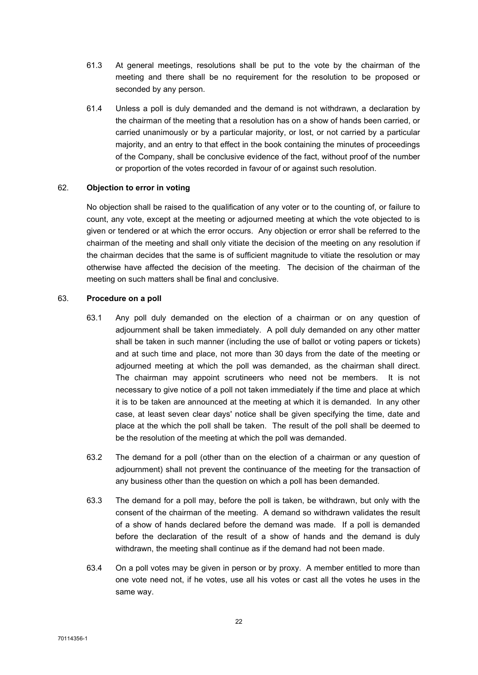- 61.3 At general meetings, resolutions shall be put to the vote by the chairman of the meeting and there shall be no requirement for the resolution to be proposed or seconded by any person.
- 61.4 Unless a poll is duly demanded and the demand is not withdrawn, a declaration by the chairman of the meeting that a resolution has on a show of hands been carried, or carried unanimously or by a particular majority, or lost, or not carried by a particular majority, and an entry to that effect in the book containing the minutes of proceedings of the Company, shall be conclusive evidence of the fact, without proof of the number or proportion of the votes recorded in favour of or against such resolution.

## 62. Objection to error in voting

No objection shall be raised to the qualification of any voter or to the counting of, or failure to count, any vote, except at the meeting or adjourned meeting at which the vote objected to is given or tendered or at which the error occurs. Any objection or error shall be referred to the chairman of the meeting and shall only vitiate the decision of the meeting on any resolution if the chairman decides that the same is of sufficient magnitude to vitiate the resolution or may otherwise have affected the decision of the meeting. The decision of the chairman of the meeting on such matters shall be final and conclusive.

#### 63. Procedure on a poll

- 63.1 Any poll duly demanded on the election of a chairman or on any question of adjournment shall be taken immediately. A poll duly demanded on any other matter shall be taken in such manner (including the use of ballot or voting papers or tickets) and at such time and place, not more than 30 days from the date of the meeting or adjourned meeting at which the poll was demanded, as the chairman shall direct. The chairman may appoint scrutineers who need not be members. It is not necessary to give notice of a poll not taken immediately if the time and place at which it is to be taken are announced at the meeting at which it is demanded. In any other case, at least seven clear days' notice shall be given specifying the time, date and place at the which the poll shall be taken. The result of the poll shall be deemed to be the resolution of the meeting at which the poll was demanded.
- 63.2 The demand for a poll (other than on the election of a chairman or any question of adjournment) shall not prevent the continuance of the meeting for the transaction of any business other than the question on which a poll has been demanded.
- 63.3 The demand for a poll may, before the poll is taken, be withdrawn, but only with the consent of the chairman of the meeting. A demand so withdrawn validates the result of a show of hands declared before the demand was made. If a poll is demanded before the declaration of the result of a show of hands and the demand is duly withdrawn, the meeting shall continue as if the demand had not been made.
- 63.4 On a poll votes may be given in person or by proxy. A member entitled to more than one vote need not, if he votes, use all his votes or cast all the votes he uses in the same way.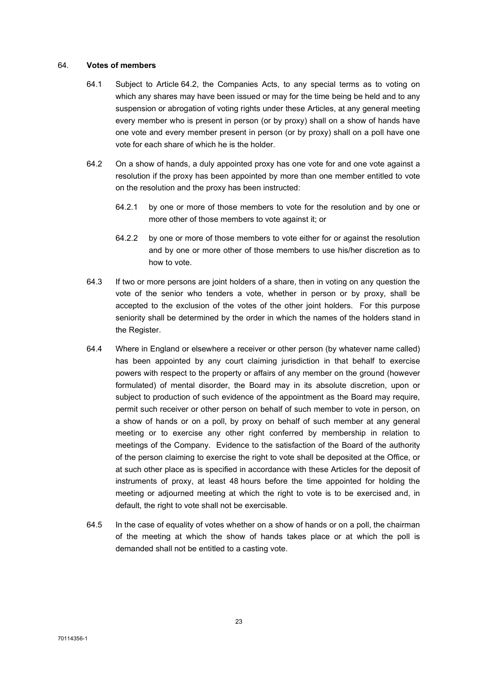#### 64. Votes of members

- 64.1 Subject to Article 64.2, the Companies Acts, to any special terms as to voting on which any shares may have been issued or may for the time being be held and to any suspension or abrogation of voting rights under these Articles, at any general meeting every member who is present in person (or by proxy) shall on a show of hands have one vote and every member present in person (or by proxy) shall on a poll have one vote for each share of which he is the holder.
- 64.2 On a show of hands, a duly appointed proxy has one vote for and one vote against a resolution if the proxy has been appointed by more than one member entitled to vote on the resolution and the proxy has been instructed:
	- 64.2.1 by one or more of those members to vote for the resolution and by one or more other of those members to vote against it; or
	- 64.2.2 by one or more of those members to vote either for or against the resolution and by one or more other of those members to use his/her discretion as to how to vote.
- 64.3 If two or more persons are joint holders of a share, then in voting on any question the vote of the senior who tenders a vote, whether in person or by proxy, shall be accepted to the exclusion of the votes of the other joint holders. For this purpose seniority shall be determined by the order in which the names of the holders stand in the Register.
- 64.4 Where in England or elsewhere a receiver or other person (by whatever name called) has been appointed by any court claiming jurisdiction in that behalf to exercise powers with respect to the property or affairs of any member on the ground (however formulated) of mental disorder, the Board may in its absolute discretion, upon or subject to production of such evidence of the appointment as the Board may require, permit such receiver or other person on behalf of such member to vote in person, on a show of hands or on a poll, by proxy on behalf of such member at any general meeting or to exercise any other right conferred by membership in relation to meetings of the Company. Evidence to the satisfaction of the Board of the authority of the person claiming to exercise the right to vote shall be deposited at the Office, or at such other place as is specified in accordance with these Articles for the deposit of instruments of proxy, at least 48 hours before the time appointed for holding the meeting or adjourned meeting at which the right to vote is to be exercised and, in default, the right to vote shall not be exercisable.
- 64.5 In the case of equality of votes whether on a show of hands or on a poll, the chairman of the meeting at which the show of hands takes place or at which the poll is demanded shall not be entitled to a casting vote.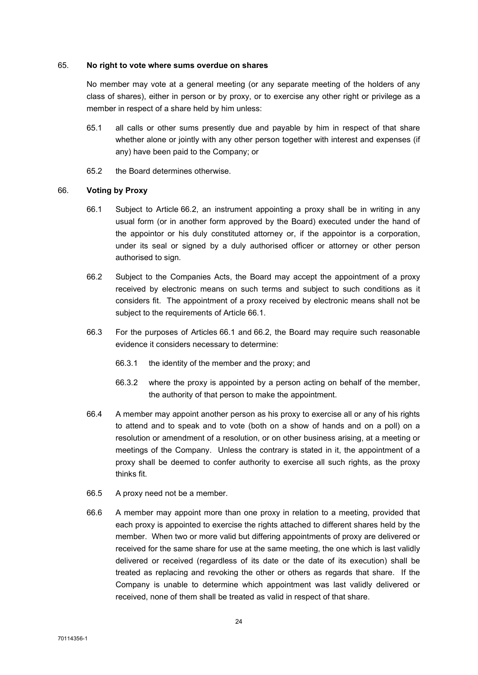#### 65. No right to vote where sums overdue on shares

No member may vote at a general meeting (or any separate meeting of the holders of any class of shares), either in person or by proxy, or to exercise any other right or privilege as a member in respect of a share held by him unless:

- 65.1 all calls or other sums presently due and payable by him in respect of that share whether alone or jointly with any other person together with interest and expenses (if any) have been paid to the Company; or
- 65.2 the Board determines otherwise.

## 66. Voting by Proxy

- 66.1 Subject to Article 66.2, an instrument appointing a proxy shall be in writing in any usual form (or in another form approved by the Board) executed under the hand of the appointor or his duly constituted attorney or, if the appointor is a corporation, under its seal or signed by a duly authorised officer or attorney or other person authorised to sign.
- 66.2 Subject to the Companies Acts, the Board may accept the appointment of a proxy received by electronic means on such terms and subject to such conditions as it considers fit. The appointment of a proxy received by electronic means shall not be subject to the requirements of Article 66.1.
- 66.3 For the purposes of Articles 66.1 and 66.2, the Board may require such reasonable evidence it considers necessary to determine:
	- 66.3.1 the identity of the member and the proxy; and
	- 66.3.2 where the proxy is appointed by a person acting on behalf of the member, the authority of that person to make the appointment.
- 66.4 A member may appoint another person as his proxy to exercise all or any of his rights to attend and to speak and to vote (both on a show of hands and on a poll) on a resolution or amendment of a resolution, or on other business arising, at a meeting or meetings of the Company. Unless the contrary is stated in it, the appointment of a proxy shall be deemed to confer authority to exercise all such rights, as the proxy thinks fit.
- 66.5 A proxy need not be a member.
- 66.6 A member may appoint more than one proxy in relation to a meeting, provided that each proxy is appointed to exercise the rights attached to different shares held by the member. When two or more valid but differing appointments of proxy are delivered or received for the same share for use at the same meeting, the one which is last validly delivered or received (regardless of its date or the date of its execution) shall be treated as replacing and revoking the other or others as regards that share. If the Company is unable to determine which appointment was last validly delivered or received, none of them shall be treated as valid in respect of that share.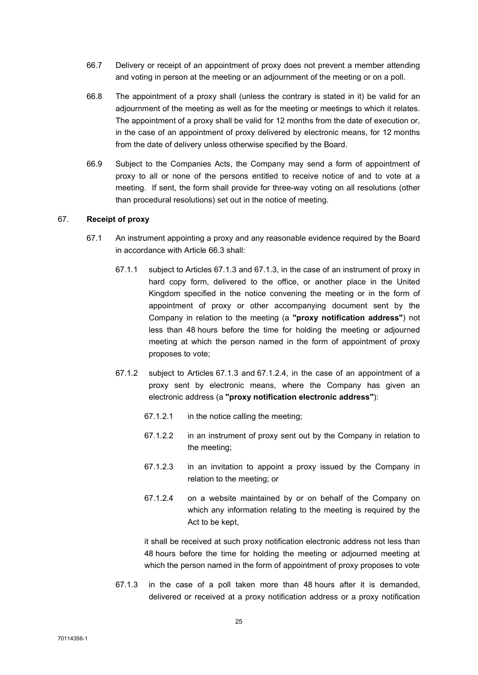- 66.7 Delivery or receipt of an appointment of proxy does not prevent a member attending and voting in person at the meeting or an adjournment of the meeting or on a poll.
- 66.8 The appointment of a proxy shall (unless the contrary is stated in it) be valid for an adjournment of the meeting as well as for the meeting or meetings to which it relates. The appointment of a proxy shall be valid for 12 months from the date of execution or, in the case of an appointment of proxy delivered by electronic means, for 12 months from the date of delivery unless otherwise specified by the Board.
- 66.9 Subject to the Companies Acts, the Company may send a form of appointment of proxy to all or none of the persons entitled to receive notice of and to vote at a meeting. If sent, the form shall provide for three-way voting on all resolutions (other than procedural resolutions) set out in the notice of meeting.

# 67. Receipt of proxy

- 67.1 An instrument appointing a proxy and any reasonable evidence required by the Board in accordance with Article 66.3 shall:
	- 67.1.1 subject to Articles 67.1.3 and 67.1.3, in the case of an instrument of proxy in hard copy form, delivered to the office, or another place in the United Kingdom specified in the notice convening the meeting or in the form of appointment of proxy or other accompanying document sent by the Company in relation to the meeting (a "proxy notification address") not less than 48 hours before the time for holding the meeting or adjourned meeting at which the person named in the form of appointment of proxy proposes to vote;
	- 67.1.2 subject to Articles 67.1.3 and 67.1.2.4, in the case of an appointment of a proxy sent by electronic means, where the Company has given an electronic address (a "proxy notification electronic address"):
		- 67.1.2.1 in the notice calling the meeting;
		- 67.1.2.2 in an instrument of proxy sent out by the Company in relation to the meeting;
		- 67.1.2.3 in an invitation to appoint a proxy issued by the Company in relation to the meeting; or
		- 67.1.2.4 on a website maintained by or on behalf of the Company on which any information relating to the meeting is required by the Act to be kept,

it shall be received at such proxy notification electronic address not less than 48 hours before the time for holding the meeting or adjourned meeting at which the person named in the form of appointment of proxy proposes to vote

67.1.3 in the case of a poll taken more than 48 hours after it is demanded, delivered or received at a proxy notification address or a proxy notification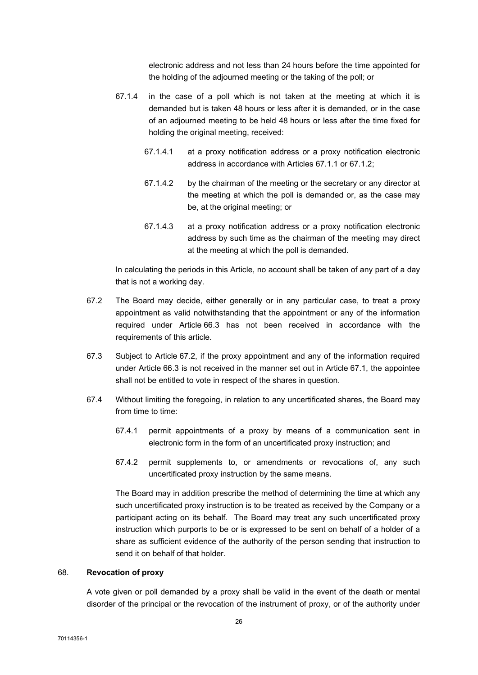electronic address and not less than 24 hours before the time appointed for the holding of the adjourned meeting or the taking of the poll; or

- 67.1.4 in the case of a poll which is not taken at the meeting at which it is demanded but is taken 48 hours or less after it is demanded, or in the case of an adjourned meeting to be held 48 hours or less after the time fixed for holding the original meeting, received:
	- 67.1.4.1 at a proxy notification address or a proxy notification electronic address in accordance with Articles 67.1.1 or 67.1.2;
	- 67.1.4.2 by the chairman of the meeting or the secretary or any director at the meeting at which the poll is demanded or, as the case may be, at the original meeting; or
	- 67.1.4.3 at a proxy notification address or a proxy notification electronic address by such time as the chairman of the meeting may direct at the meeting at which the poll is demanded.

In calculating the periods in this Article, no account shall be taken of any part of a day that is not a working day.

- 67.2 The Board may decide, either generally or in any particular case, to treat a proxy appointment as valid notwithstanding that the appointment or any of the information required under Article 66.3 has not been received in accordance with the requirements of this article.
- 67.3 Subject to Article 67.2, if the proxy appointment and any of the information required under Article 66.3 is not received in the manner set out in Article 67.1, the appointee shall not be entitled to vote in respect of the shares in question.
- 67.4 Without limiting the foregoing, in relation to any uncertificated shares, the Board may from time to time:
	- 67.4.1 permit appointments of a proxy by means of a communication sent in electronic form in the form of an uncertificated proxy instruction; and
	- 67.4.2 permit supplements to, or amendments or revocations of, any such uncertificated proxy instruction by the same means.

The Board may in addition prescribe the method of determining the time at which any such uncertificated proxy instruction is to be treated as received by the Company or a participant acting on its behalf. The Board may treat any such uncertificated proxy instruction which purports to be or is expressed to be sent on behalf of a holder of a share as sufficient evidence of the authority of the person sending that instruction to send it on behalf of that holder.

### 68. Revocation of proxy

A vote given or poll demanded by a proxy shall be valid in the event of the death or mental disorder of the principal or the revocation of the instrument of proxy, or of the authority under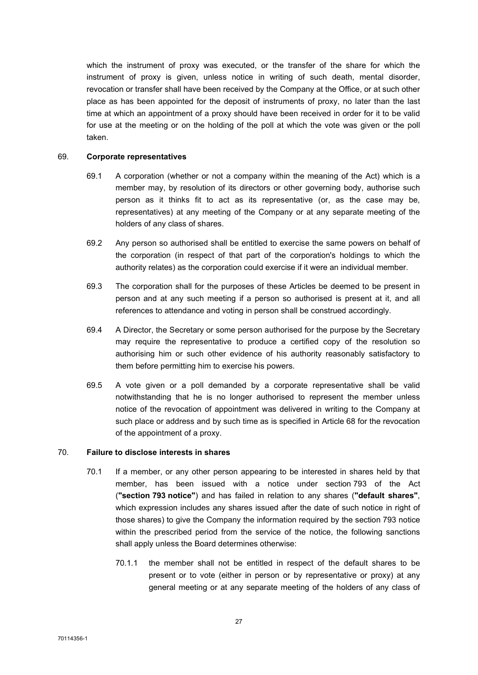which the instrument of proxy was executed, or the transfer of the share for which the instrument of proxy is given, unless notice in writing of such death, mental disorder, revocation or transfer shall have been received by the Company at the Office, or at such other place as has been appointed for the deposit of instruments of proxy, no later than the last time at which an appointment of a proxy should have been received in order for it to be valid for use at the meeting or on the holding of the poll at which the vote was given or the poll taken.

### 69. Corporate representatives

- 69.1 A corporation (whether or not a company within the meaning of the Act) which is a member may, by resolution of its directors or other governing body, authorise such person as it thinks fit to act as its representative (or, as the case may be, representatives) at any meeting of the Company or at any separate meeting of the holders of any class of shares.
- 69.2 Any person so authorised shall be entitled to exercise the same powers on behalf of the corporation (in respect of that part of the corporation's holdings to which the authority relates) as the corporation could exercise if it were an individual member.
- 69.3 The corporation shall for the purposes of these Articles be deemed to be present in person and at any such meeting if a person so authorised is present at it, and all references to attendance and voting in person shall be construed accordingly.
- 69.4 A Director, the Secretary or some person authorised for the purpose by the Secretary may require the representative to produce a certified copy of the resolution so authorising him or such other evidence of his authority reasonably satisfactory to them before permitting him to exercise his powers.
- 69.5 A vote given or a poll demanded by a corporate representative shall be valid notwithstanding that he is no longer authorised to represent the member unless notice of the revocation of appointment was delivered in writing to the Company at such place or address and by such time as is specified in Article 68 for the revocation of the appointment of a proxy.

# 70. Failure to disclose interests in shares

- 70.1 If a member, or any other person appearing to be interested in shares held by that member, has been issued with a notice under section 793 of the Act ("section 793 notice") and has failed in relation to any shares ("default shares", which expression includes any shares issued after the date of such notice in right of those shares) to give the Company the information required by the section 793 notice within the prescribed period from the service of the notice, the following sanctions shall apply unless the Board determines otherwise:
	- 70.1.1 the member shall not be entitled in respect of the default shares to be present or to vote (either in person or by representative or proxy) at any general meeting or at any separate meeting of the holders of any class of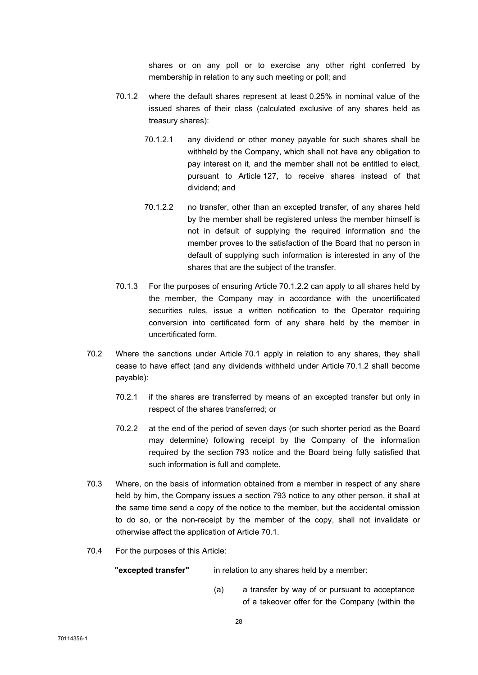shares or on any poll or to exercise any other right conferred by membership in relation to any such meeting or poll; and

- 70.1.2 where the default shares represent at least 0.25% in nominal value of the issued shares of their class (calculated exclusive of any shares held as treasury shares):
	- 70.1.2.1 any dividend or other money payable for such shares shall be withheld by the Company, which shall not have any obligation to pay interest on it, and the member shall not be entitled to elect, pursuant to Article 127, to receive shares instead of that dividend; and
	- 70.1.2.2 no transfer, other than an excepted transfer, of any shares held by the member shall be registered unless the member himself is not in default of supplying the required information and the member proves to the satisfaction of the Board that no person in default of supplying such information is interested in any of the shares that are the subject of the transfer.
- 70.1.3 For the purposes of ensuring Article 70.1.2.2 can apply to all shares held by the member, the Company may in accordance with the uncertificated securities rules, issue a written notification to the Operator requiring conversion into certificated form of any share held by the member in uncertificated form.
- 70.2 Where the sanctions under Article 70.1 apply in relation to any shares, they shall cease to have effect (and any dividends withheld under Article 70.1.2 shall become payable):
	- 70.2.1 if the shares are transferred by means of an excepted transfer but only in respect of the shares transferred; or
	- 70.2.2 at the end of the period of seven days (or such shorter period as the Board may determine) following receipt by the Company of the information required by the section 793 notice and the Board being fully satisfied that such information is full and complete.
- 70.3 Where, on the basis of information obtained from a member in respect of any share held by him, the Company issues a section 793 notice to any other person, it shall at the same time send a copy of the notice to the member, but the accidental omission to do so, or the non-receipt by the member of the copy, shall not invalidate or otherwise affect the application of Article 70.1.
- 70.4 For the purposes of this Article:

"excepted transfer" in relation to any shares held by a member:

 (a) a transfer by way of or pursuant to acceptance of a takeover offer for the Company (within the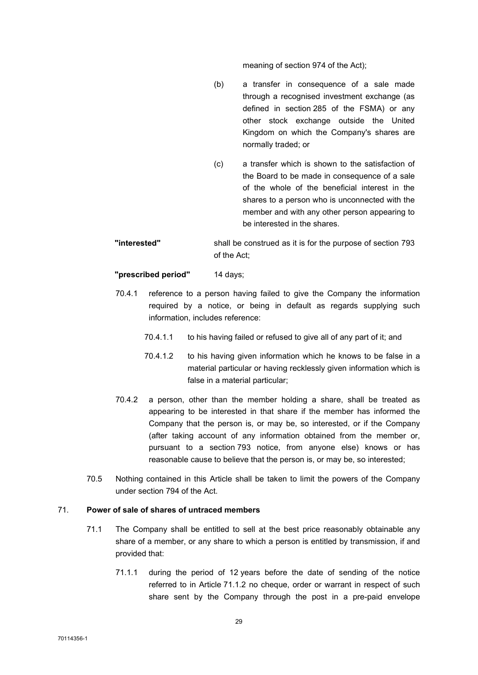meaning of section 974 of the Act);

- (b) a transfer in consequence of a sale made through a recognised investment exchange (as defined in section 285 of the FSMA) or any other stock exchange outside the United Kingdom on which the Company's shares are normally traded; or
- (c) a transfer which is shown to the satisfaction of the Board to be made in consequence of a sale of the whole of the beneficial interest in the shares to a person who is unconnected with the member and with any other person appearing to be interested in the shares.
- "interested" shall be construed as it is for the purpose of section 793 of the Act;

"prescribed period" 14 days;

- 70.4.1 reference to a person having failed to give the Company the information required by a notice, or being in default as regards supplying such information, includes reference:
	- 70.4.1.1 to his having failed or refused to give all of any part of it; and
	- 70.4.1.2 to his having given information which he knows to be false in a material particular or having recklessly given information which is false in a material particular;
- 70.4.2 a person, other than the member holding a share, shall be treated as appearing to be interested in that share if the member has informed the Company that the person is, or may be, so interested, or if the Company (after taking account of any information obtained from the member or, pursuant to a section 793 notice, from anyone else) knows or has reasonable cause to believe that the person is, or may be, so interested;
- 70.5 Nothing contained in this Article shall be taken to limit the powers of the Company under section 794 of the Act.

#### 71. Power of sale of shares of untraced members

- 71.1 The Company shall be entitled to sell at the best price reasonably obtainable any share of a member, or any share to which a person is entitled by transmission, if and provided that:
	- 71.1.1 during the period of 12 years before the date of sending of the notice referred to in Article 71.1.2 no cheque, order or warrant in respect of such share sent by the Company through the post in a pre-paid envelope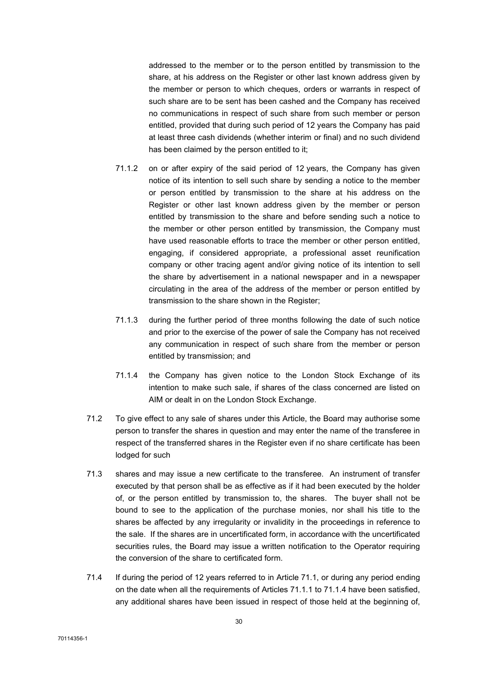addressed to the member or to the person entitled by transmission to the share, at his address on the Register or other last known address given by the member or person to which cheques, orders or warrants in respect of such share are to be sent has been cashed and the Company has received no communications in respect of such share from such member or person entitled, provided that during such period of 12 years the Company has paid at least three cash dividends (whether interim or final) and no such dividend has been claimed by the person entitled to it;

- 71.1.2 on or after expiry of the said period of 12 years, the Company has given notice of its intention to sell such share by sending a notice to the member or person entitled by transmission to the share at his address on the Register or other last known address given by the member or person entitled by transmission to the share and before sending such a notice to the member or other person entitled by transmission, the Company must have used reasonable efforts to trace the member or other person entitled, engaging, if considered appropriate, a professional asset reunification company or other tracing agent and/or giving notice of its intention to sell the share by advertisement in a national newspaper and in a newspaper circulating in the area of the address of the member or person entitled by transmission to the share shown in the Register;
- 71.1.3 during the further period of three months following the date of such notice and prior to the exercise of the power of sale the Company has not received any communication in respect of such share from the member or person entitled by transmission; and
- 71.1.4 the Company has given notice to the London Stock Exchange of its intention to make such sale, if shares of the class concerned are listed on AIM or dealt in on the London Stock Exchange.
- 71.2 To give effect to any sale of shares under this Article, the Board may authorise some person to transfer the shares in question and may enter the name of the transferee in respect of the transferred shares in the Register even if no share certificate has been lodged for such
- 71.3 shares and may issue a new certificate to the transferee. An instrument of transfer executed by that person shall be as effective as if it had been executed by the holder of, or the person entitled by transmission to, the shares. The buyer shall not be bound to see to the application of the purchase monies, nor shall his title to the shares be affected by any irregularity or invalidity in the proceedings in reference to the sale. If the shares are in uncertificated form, in accordance with the uncertificated securities rules, the Board may issue a written notification to the Operator requiring the conversion of the share to certificated form.
- 71.4 If during the period of 12 years referred to in Article 71.1, or during any period ending on the date when all the requirements of Articles 71.1.1 to 71.1.4 have been satisfied, any additional shares have been issued in respect of those held at the beginning of,

70114356-1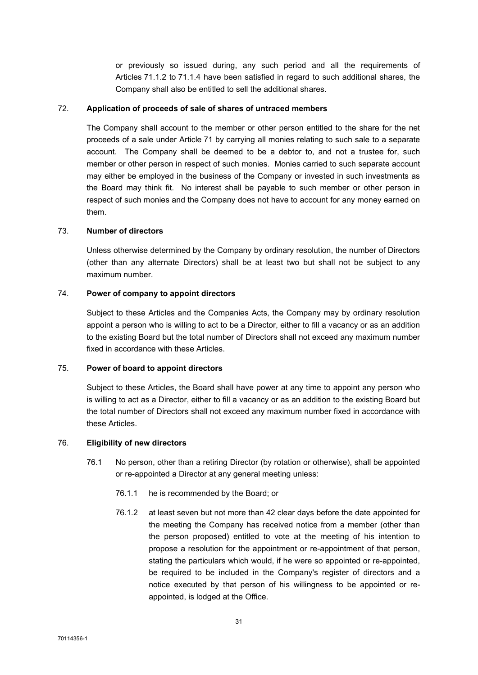or previously so issued during, any such period and all the requirements of Articles 71.1.2 to 71.1.4 have been satisfied in regard to such additional shares, the Company shall also be entitled to sell the additional shares.

#### 72. Application of proceeds of sale of shares of untraced members

The Company shall account to the member or other person entitled to the share for the net proceeds of a sale under Article 71 by carrying all monies relating to such sale to a separate account. The Company shall be deemed to be a debtor to, and not a trustee for, such member or other person in respect of such monies. Monies carried to such separate account may either be employed in the business of the Company or invested in such investments as the Board may think fit. No interest shall be payable to such member or other person in respect of such monies and the Company does not have to account for any money earned on them.

## 73. Number of directors

Unless otherwise determined by the Company by ordinary resolution, the number of Directors (other than any alternate Directors) shall be at least two but shall not be subject to any maximum number.

## 74. Power of company to appoint directors

Subject to these Articles and the Companies Acts, the Company may by ordinary resolution appoint a person who is willing to act to be a Director, either to fill a vacancy or as an addition to the existing Board but the total number of Directors shall not exceed any maximum number fixed in accordance with these Articles.

## 75. Power of board to appoint directors

Subject to these Articles, the Board shall have power at any time to appoint any person who is willing to act as a Director, either to fill a vacancy or as an addition to the existing Board but the total number of Directors shall not exceed any maximum number fixed in accordance with these Articles.

# 76. Eligibility of new directors

- 76.1 No person, other than a retiring Director (by rotation or otherwise), shall be appointed or re-appointed a Director at any general meeting unless:
	- 76.1.1 he is recommended by the Board; or
	- 76.1.2 at least seven but not more than 42 clear days before the date appointed for the meeting the Company has received notice from a member (other than the person proposed) entitled to vote at the meeting of his intention to propose a resolution for the appointment or re-appointment of that person, stating the particulars which would, if he were so appointed or re-appointed. be required to be included in the Company's register of directors and a notice executed by that person of his willingness to be appointed or reappointed, is lodged at the Office.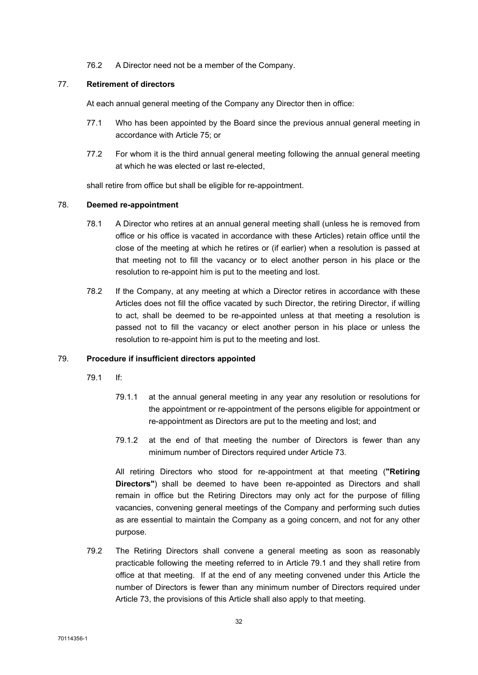76.2 A Director need not be a member of the Company.

## 77. Retirement of directors

At each annual general meeting of the Company any Director then in office:

- 77.1 Who has been appointed by the Board since the previous annual general meeting in accordance with Article 75; or
- 77.2 For whom it is the third annual general meeting following the annual general meeting at which he was elected or last re-elected,

shall retire from office but shall be eligible for re-appointment.

## 78. Deemed re-appointment

- 78.1 A Director who retires at an annual general meeting shall (unless he is removed from office or his office is vacated in accordance with these Articles) retain office until the close of the meeting at which he retires or (if earlier) when a resolution is passed at that meeting not to fill the vacancy or to elect another person in his place or the resolution to re-appoint him is put to the meeting and lost.
- 78.2 If the Company, at any meeting at which a Director retires in accordance with these Articles does not fill the office vacated by such Director, the retiring Director, if willing to act, shall be deemed to be re-appointed unless at that meeting a resolution is passed not to fill the vacancy or elect another person in his place or unless the resolution to re-appoint him is put to the meeting and lost.

# 79. Procedure if insufficient directors appointed

- 79.1 If:
	- 79.1.1 at the annual general meeting in any year any resolution or resolutions for the appointment or re-appointment of the persons eligible for appointment or re-appointment as Directors are put to the meeting and lost; and
	- 79.1.2 at the end of that meeting the number of Directors is fewer than any minimum number of Directors required under Article 73.

All retiring Directors who stood for re-appointment at that meeting ("Retiring Directors") shall be deemed to have been re-appointed as Directors and shall remain in office but the Retiring Directors may only act for the purpose of filling vacancies, convening general meetings of the Company and performing such duties as are essential to maintain the Company as a going concern, and not for any other purpose.

79.2 The Retiring Directors shall convene a general meeting as soon as reasonably practicable following the meeting referred to in Article 79.1 and they shall retire from office at that meeting. If at the end of any meeting convened under this Article the number of Directors is fewer than any minimum number of Directors required under Article 73, the provisions of this Article shall also apply to that meeting.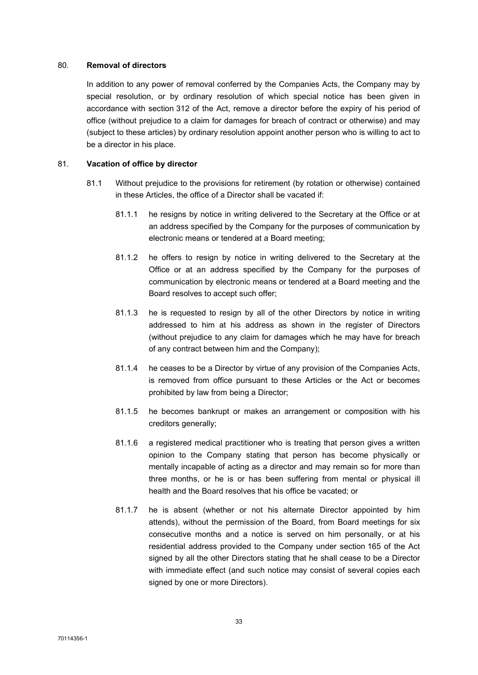## 80. Removal of directors

In addition to any power of removal conferred by the Companies Acts, the Company may by special resolution, or by ordinary resolution of which special notice has been given in accordance with section 312 of the Act, remove a director before the expiry of his period of office (without prejudice to a claim for damages for breach of contract or otherwise) and may (subject to these articles) by ordinary resolution appoint another person who is willing to act to be a director in his place.

## 81. Vacation of office by director

- 81.1 Without prejudice to the provisions for retirement (by rotation or otherwise) contained in these Articles, the office of a Director shall be vacated if:
	- 81.1.1 he resigns by notice in writing delivered to the Secretary at the Office or at an address specified by the Company for the purposes of communication by electronic means or tendered at a Board meeting;
	- 81.1.2 he offers to resign by notice in writing delivered to the Secretary at the Office or at an address specified by the Company for the purposes of communication by electronic means or tendered at a Board meeting and the Board resolves to accept such offer;
	- 81.1.3 he is requested to resign by all of the other Directors by notice in writing addressed to him at his address as shown in the register of Directors (without prejudice to any claim for damages which he may have for breach of any contract between him and the Company);
	- 81.1.4 he ceases to be a Director by virtue of any provision of the Companies Acts, is removed from office pursuant to these Articles or the Act or becomes prohibited by law from being a Director;
	- 81.1.5 he becomes bankrupt or makes an arrangement or composition with his creditors generally;
	- 81.1.6 a registered medical practitioner who is treating that person gives a written opinion to the Company stating that person has become physically or mentally incapable of acting as a director and may remain so for more than three months, or he is or has been suffering from mental or physical ill health and the Board resolves that his office be vacated; or
	- 81.1.7 he is absent (whether or not his alternate Director appointed by him attends), without the permission of the Board, from Board meetings for six consecutive months and a notice is served on him personally, or at his residential address provided to the Company under section 165 of the Act signed by all the other Directors stating that he shall cease to be a Director with immediate effect (and such notice may consist of several copies each signed by one or more Directors).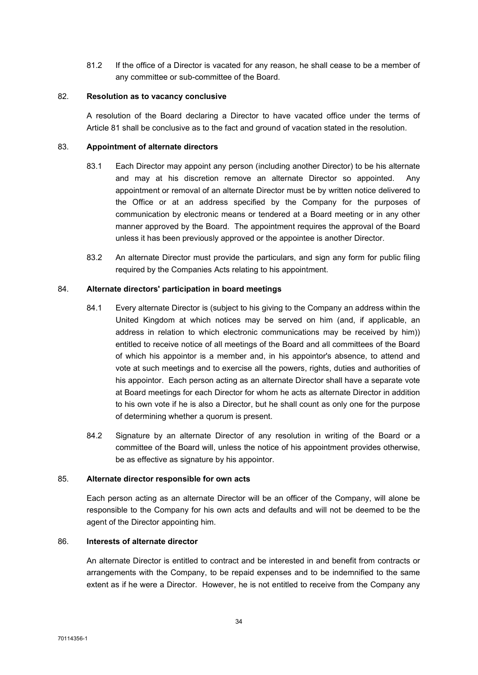81.2 If the office of a Director is vacated for any reason, he shall cease to be a member of any committee or sub-committee of the Board.

#### 82. Resolution as to vacancy conclusive

A resolution of the Board declaring a Director to have vacated office under the terms of Article 81 shall be conclusive as to the fact and ground of vacation stated in the resolution.

## 83. Appointment of alternate directors

- 83.1 Each Director may appoint any person (including another Director) to be his alternate and may at his discretion remove an alternate Director so appointed. Any appointment or removal of an alternate Director must be by written notice delivered to the Office or at an address specified by the Company for the purposes of communication by electronic means or tendered at a Board meeting or in any other manner approved by the Board. The appointment requires the approval of the Board unless it has been previously approved or the appointee is another Director.
- 83.2 An alternate Director must provide the particulars, and sign any form for public filing required by the Companies Acts relating to his appointment.

## 84. Alternate directors' participation in board meetings

- 84.1 Every alternate Director is (subject to his giving to the Company an address within the United Kingdom at which notices may be served on him (and, if applicable, an address in relation to which electronic communications may be received by him)) entitled to receive notice of all meetings of the Board and all committees of the Board of which his appointor is a member and, in his appointor's absence, to attend and vote at such meetings and to exercise all the powers, rights, duties and authorities of his appointor. Each person acting as an alternate Director shall have a separate vote at Board meetings for each Director for whom he acts as alternate Director in addition to his own vote if he is also a Director, but he shall count as only one for the purpose of determining whether a quorum is present.
- 84.2 Signature by an alternate Director of any resolution in writing of the Board or a committee of the Board will, unless the notice of his appointment provides otherwise, be as effective as signature by his appointor.

#### 85. Alternate director responsible for own acts

Each person acting as an alternate Director will be an officer of the Company, will alone be responsible to the Company for his own acts and defaults and will not be deemed to be the agent of the Director appointing him.

## 86. Interests of alternate director

An alternate Director is entitled to contract and be interested in and benefit from contracts or arrangements with the Company, to be repaid expenses and to be indemnified to the same extent as if he were a Director. However, he is not entitled to receive from the Company any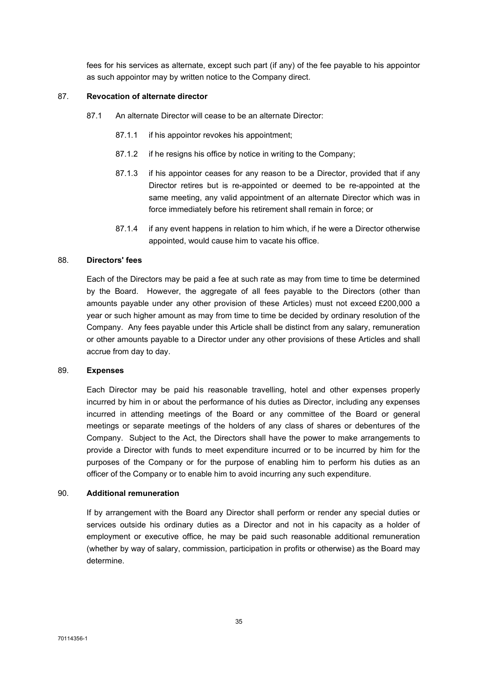fees for his services as alternate, except such part (if any) of the fee payable to his appointor as such appointor may by written notice to the Company direct.

## 87. Revocation of alternate director

- 87.1 An alternate Director will cease to be an alternate Director:
	- 87.1.1 if his appointor revokes his appointment;
	- 87.1.2 if he resigns his office by notice in writing to the Company;
	- 87.1.3 if his appointor ceases for any reason to be a Director, provided that if any Director retires but is re-appointed or deemed to be re-appointed at the same meeting, any valid appointment of an alternate Director which was in force immediately before his retirement shall remain in force; or
	- 87.1.4 if any event happens in relation to him which, if he were a Director otherwise appointed, would cause him to vacate his office.

# 88. Directors' fees

Each of the Directors may be paid a fee at such rate as may from time to time be determined by the Board. However, the aggregate of all fees payable to the Directors (other than amounts payable under any other provision of these Articles) must not exceed £200,000 a year or such higher amount as may from time to time be decided by ordinary resolution of the Company. Any fees payable under this Article shall be distinct from any salary, remuneration or other amounts payable to a Director under any other provisions of these Articles and shall accrue from day to day.

#### 89. Expenses

Each Director may be paid his reasonable travelling, hotel and other expenses properly incurred by him in or about the performance of his duties as Director, including any expenses incurred in attending meetings of the Board or any committee of the Board or general meetings or separate meetings of the holders of any class of shares or debentures of the Company. Subject to the Act, the Directors shall have the power to make arrangements to provide a Director with funds to meet expenditure incurred or to be incurred by him for the purposes of the Company or for the purpose of enabling him to perform his duties as an officer of the Company or to enable him to avoid incurring any such expenditure.

#### 90. Additional remuneration

If by arrangement with the Board any Director shall perform or render any special duties or services outside his ordinary duties as a Director and not in his capacity as a holder of employment or executive office, he may be paid such reasonable additional remuneration (whether by way of salary, commission, participation in profits or otherwise) as the Board may determine.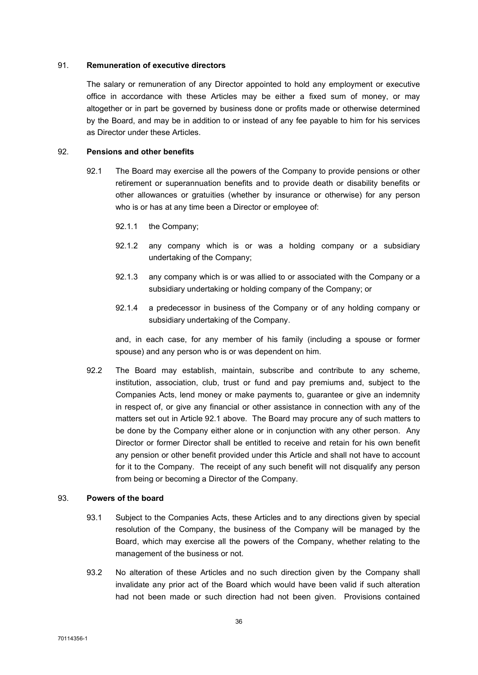#### 91. Remuneration of executive directors

The salary or remuneration of any Director appointed to hold any employment or executive office in accordance with these Articles may be either a fixed sum of money, or may altogether or in part be governed by business done or profits made or otherwise determined by the Board, and may be in addition to or instead of any fee payable to him for his services as Director under these Articles.

# 92. Pensions and other benefits

- 92.1 The Board may exercise all the powers of the Company to provide pensions or other retirement or superannuation benefits and to provide death or disability benefits or other allowances or gratuities (whether by insurance or otherwise) for any person who is or has at any time been a Director or employee of:
	- 92.1.1 the Company;
	- 92.1.2 any company which is or was a holding company or a subsidiary undertaking of the Company;
	- 92.1.3 any company which is or was allied to or associated with the Company or a subsidiary undertaking or holding company of the Company; or
	- 92.1.4 a predecessor in business of the Company or of any holding company or subsidiary undertaking of the Company.

and, in each case, for any member of his family (including a spouse or former spouse) and any person who is or was dependent on him.

92.2 The Board may establish, maintain, subscribe and contribute to any scheme, institution, association, club, trust or fund and pay premiums and, subject to the Companies Acts, lend money or make payments to, guarantee or give an indemnity in respect of, or give any financial or other assistance in connection with any of the matters set out in Article 92.1 above. The Board may procure any of such matters to be done by the Company either alone or in conjunction with any other person. Any Director or former Director shall be entitled to receive and retain for his own benefit any pension or other benefit provided under this Article and shall not have to account for it to the Company. The receipt of any such benefit will not disqualify any person from being or becoming a Director of the Company.

# 93. Powers of the board

- 93.1 Subject to the Companies Acts, these Articles and to any directions given by special resolution of the Company, the business of the Company will be managed by the Board, which may exercise all the powers of the Company, whether relating to the management of the business or not.
- 93.2 No alteration of these Articles and no such direction given by the Company shall invalidate any prior act of the Board which would have been valid if such alteration had not been made or such direction had not been given. Provisions contained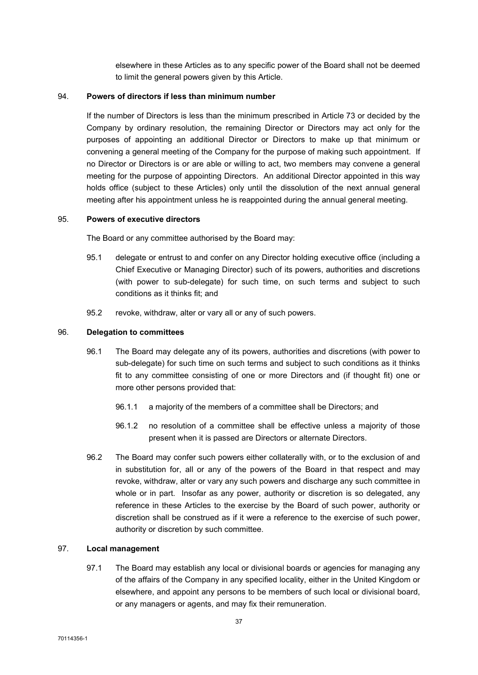elsewhere in these Articles as to any specific power of the Board shall not be deemed to limit the general powers given by this Article.

## 94. Powers of directors if less than minimum number

If the number of Directors is less than the minimum prescribed in Article 73 or decided by the Company by ordinary resolution, the remaining Director or Directors may act only for the purposes of appointing an additional Director or Directors to make up that minimum or convening a general meeting of the Company for the purpose of making such appointment. If no Director or Directors is or are able or willing to act, two members may convene a general meeting for the purpose of appointing Directors. An additional Director appointed in this way holds office (subject to these Articles) only until the dissolution of the next annual general meeting after his appointment unless he is reappointed during the annual general meeting.

## 95. Powers of executive directors

The Board or any committee authorised by the Board may:

- 95.1 delegate or entrust to and confer on any Director holding executive office (including a Chief Executive or Managing Director) such of its powers, authorities and discretions (with power to sub-delegate) for such time, on such terms and subject to such conditions as it thinks fit; and
- 95.2 revoke, withdraw, alter or vary all or any of such powers.

#### 96. Delegation to committees

- 96.1 The Board may delegate any of its powers, authorities and discretions (with power to sub-delegate) for such time on such terms and subject to such conditions as it thinks fit to any committee consisting of one or more Directors and (if thought fit) one or more other persons provided that:
	- 96.1.1 a majority of the members of a committee shall be Directors; and
	- 96.1.2 no resolution of a committee shall be effective unless a majority of those present when it is passed are Directors or alternate Directors.
- 96.2 The Board may confer such powers either collaterally with, or to the exclusion of and in substitution for, all or any of the powers of the Board in that respect and may revoke, withdraw, alter or vary any such powers and discharge any such committee in whole or in part. Insofar as any power, authority or discretion is so delegated, any reference in these Articles to the exercise by the Board of such power, authority or discretion shall be construed as if it were a reference to the exercise of such power, authority or discretion by such committee.

## 97. Local management

97.1 The Board may establish any local or divisional boards or agencies for managing any of the affairs of the Company in any specified locality, either in the United Kingdom or elsewhere, and appoint any persons to be members of such local or divisional board, or any managers or agents, and may fix their remuneration.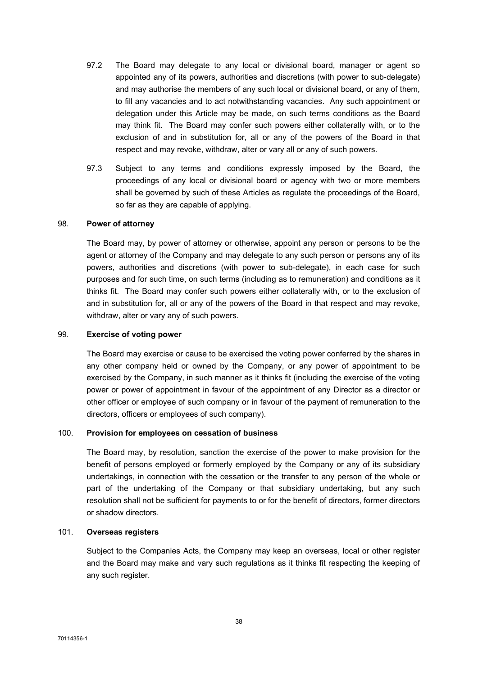- 97.2 The Board may delegate to any local or divisional board, manager or agent so appointed any of its powers, authorities and discretions (with power to sub-delegate) and may authorise the members of any such local or divisional board, or any of them, to fill any vacancies and to act notwithstanding vacancies. Any such appointment or delegation under this Article may be made, on such terms conditions as the Board may think fit. The Board may confer such powers either collaterally with, or to the exclusion of and in substitution for, all or any of the powers of the Board in that respect and may revoke, withdraw, alter or vary all or any of such powers.
- 97.3 Subject to any terms and conditions expressly imposed by the Board, the proceedings of any local or divisional board or agency with two or more members shall be governed by such of these Articles as regulate the proceedings of the Board, so far as they are capable of applying.

# 98. Power of attorney

The Board may, by power of attorney or otherwise, appoint any person or persons to be the agent or attorney of the Company and may delegate to any such person or persons any of its powers, authorities and discretions (with power to sub-delegate), in each case for such purposes and for such time, on such terms (including as to remuneration) and conditions as it thinks fit. The Board may confer such powers either collaterally with, or to the exclusion of and in substitution for, all or any of the powers of the Board in that respect and may revoke, withdraw, alter or vary any of such powers.

## 99. Exercise of voting power

The Board may exercise or cause to be exercised the voting power conferred by the shares in any other company held or owned by the Company, or any power of appointment to be exercised by the Company, in such manner as it thinks fit (including the exercise of the voting power or power of appointment in favour of the appointment of any Director as a director or other officer or employee of such company or in favour of the payment of remuneration to the directors, officers or employees of such company).

#### 100. Provision for employees on cessation of business

The Board may, by resolution, sanction the exercise of the power to make provision for the benefit of persons employed or formerly employed by the Company or any of its subsidiary undertakings, in connection with the cessation or the transfer to any person of the whole or part of the undertaking of the Company or that subsidiary undertaking, but any such resolution shall not be sufficient for payments to or for the benefit of directors, former directors or shadow directors.

# 101. Overseas registers

Subject to the Companies Acts, the Company may keep an overseas, local or other register and the Board may make and vary such regulations as it thinks fit respecting the keeping of any such register.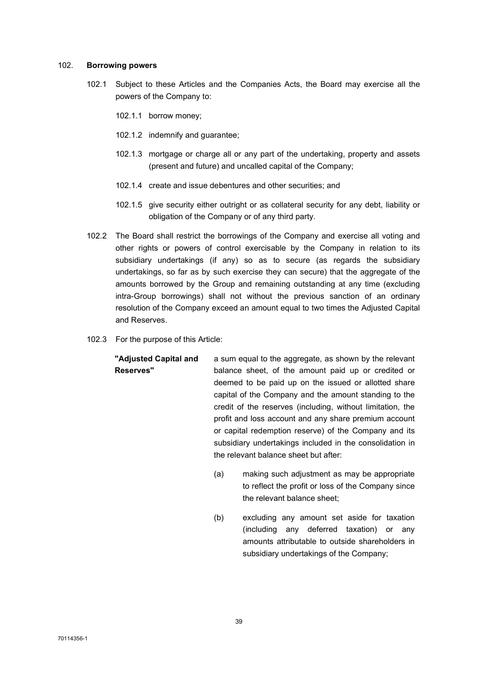#### 102. Borrowing powers

- 102.1 Subject to these Articles and the Companies Acts, the Board may exercise all the powers of the Company to:
	- 102.1.1 borrow money;
	- 102.1.2 indemnify and guarantee;
	- 102.1.3 mortgage or charge all or any part of the undertaking, property and assets (present and future) and uncalled capital of the Company;
	- 102.1.4 create and issue debentures and other securities; and
	- 102.1.5 give security either outright or as collateral security for any debt, liability or obligation of the Company or of any third party.
- 102.2 The Board shall restrict the borrowings of the Company and exercise all voting and other rights or powers of control exercisable by the Company in relation to its subsidiary undertakings (if any) so as to secure (as regards the subsidiary undertakings, so far as by such exercise they can secure) that the aggregate of the amounts borrowed by the Group and remaining outstanding at any time (excluding intra-Group borrowings) shall not without the previous sanction of an ordinary resolution of the Company exceed an amount equal to two times the Adjusted Capital and Reserves.
- 102.3 For the purpose of this Article:
	- "Adjusted Capital and Reserves" a sum equal to the aggregate, as shown by the relevant balance sheet, of the amount paid up or credited or deemed to be paid up on the issued or allotted share capital of the Company and the amount standing to the credit of the reserves (including, without limitation, the profit and loss account and any share premium account or capital redemption reserve) of the Company and its subsidiary undertakings included in the consolidation in the relevant balance sheet but after:
		- (a) making such adjustment as may be appropriate to reflect the profit or loss of the Company since the relevant balance sheet;
		- (b) excluding any amount set aside for taxation (including any deferred taxation) or any amounts attributable to outside shareholders in subsidiary undertakings of the Company;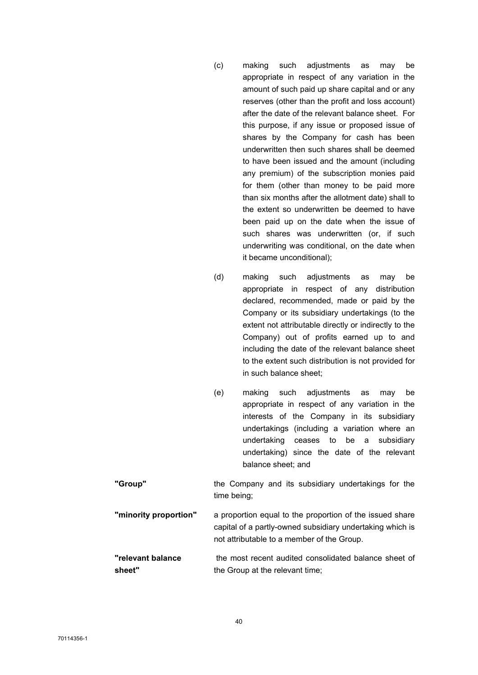- (c) making such adjustments as may be appropriate in respect of any variation in the amount of such paid up share capital and or any reserves (other than the profit and loss account) after the date of the relevant balance sheet. For this purpose, if any issue or proposed issue of shares by the Company for cash has been underwritten then such shares shall be deemed to have been issued and the amount (including any premium) of the subscription monies paid for them (other than money to be paid more than six months after the allotment date) shall to the extent so underwritten be deemed to have been paid up on the date when the issue of such shares was underwritten (or, if such underwriting was conditional, on the date when it became unconditional);
- (d) making such adjustments as may be appropriate in respect of any distribution declared, recommended, made or paid by the Company or its subsidiary undertakings (to the extent not attributable directly or indirectly to the Company) out of profits earned up to and including the date of the relevant balance sheet to the extent such distribution is not provided for in such balance sheet;
- (e) making such adjustments as may be appropriate in respect of any variation in the interests of the Company in its subsidiary undertakings (including a variation where an undertaking ceases to be a subsidiary undertaking) since the date of the relevant balance sheet; and
- "Group" the Company and its subsidiary undertakings for the time being; **"minority proportion"** a proportion equal to the proportion of the issued share capital of a partly-owned subsidiary undertaking which is not attributable to a member of the Group.

#### "relevant balance sheet" the most recent audited consolidated balance sheet of the Group at the relevant time;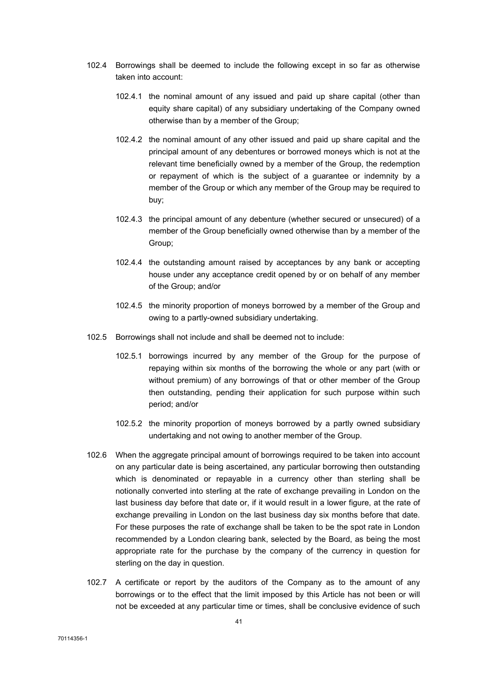- 102.4 Borrowings shall be deemed to include the following except in so far as otherwise taken into account:
	- 102.4.1 the nominal amount of any issued and paid up share capital (other than equity share capital) of any subsidiary undertaking of the Company owned otherwise than by a member of the Group;
	- 102.4.2 the nominal amount of any other issued and paid up share capital and the principal amount of any debentures or borrowed moneys which is not at the relevant time beneficially owned by a member of the Group, the redemption or repayment of which is the subject of a guarantee or indemnity by a member of the Group or which any member of the Group may be required to buy;
	- 102.4.3 the principal amount of any debenture (whether secured or unsecured) of a member of the Group beneficially owned otherwise than by a member of the Group;
	- 102.4.4 the outstanding amount raised by acceptances by any bank or accepting house under any acceptance credit opened by or on behalf of any member of the Group; and/or
	- 102.4.5 the minority proportion of moneys borrowed by a member of the Group and owing to a partly-owned subsidiary undertaking.
- 102.5 Borrowings shall not include and shall be deemed not to include:
	- 102.5.1 borrowings incurred by any member of the Group for the purpose of repaying within six months of the borrowing the whole or any part (with or without premium) of any borrowings of that or other member of the Group then outstanding, pending their application for such purpose within such period; and/or
	- 102.5.2 the minority proportion of moneys borrowed by a partly owned subsidiary undertaking and not owing to another member of the Group.
- 102.6 When the aggregate principal amount of borrowings required to be taken into account on any particular date is being ascertained, any particular borrowing then outstanding which is denominated or repayable in a currency other than sterling shall be notionally converted into sterling at the rate of exchange prevailing in London on the last business day before that date or, if it would result in a lower figure, at the rate of exchange prevailing in London on the last business day six months before that date. For these purposes the rate of exchange shall be taken to be the spot rate in London recommended by a London clearing bank, selected by the Board, as being the most appropriate rate for the purchase by the company of the currency in question for sterling on the day in question.
- 102.7 A certificate or report by the auditors of the Company as to the amount of any borrowings or to the effect that the limit imposed by this Article has not been or will not be exceeded at any particular time or times, shall be conclusive evidence of such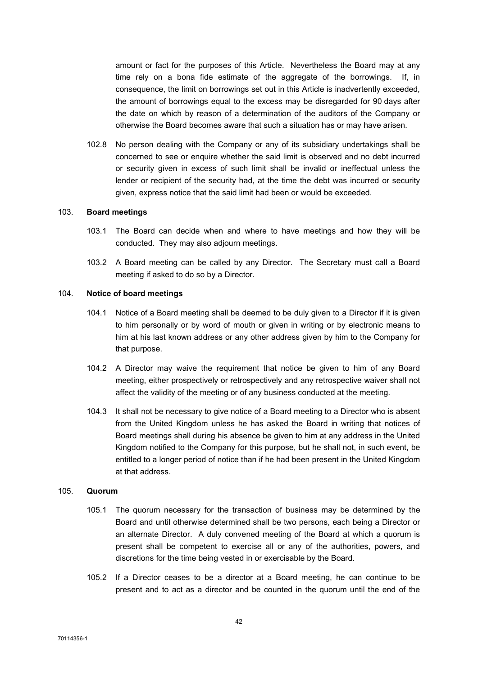amount or fact for the purposes of this Article. Nevertheless the Board may at any time rely on a bona fide estimate of the aggregate of the borrowings. If, in consequence, the limit on borrowings set out in this Article is inadvertently exceeded, the amount of borrowings equal to the excess may be disregarded for 90 days after the date on which by reason of a determination of the auditors of the Company or otherwise the Board becomes aware that such a situation has or may have arisen.

102.8 No person dealing with the Company or any of its subsidiary undertakings shall be concerned to see or enquire whether the said limit is observed and no debt incurred or security given in excess of such limit shall be invalid or ineffectual unless the lender or recipient of the security had, at the time the debt was incurred or security given, express notice that the said limit had been or would be exceeded.

#### 103. Board meetings

- 103.1 The Board can decide when and where to have meetings and how they will be conducted. They may also adjourn meetings.
- 103.2 A Board meeting can be called by any Director. The Secretary must call a Board meeting if asked to do so by a Director.

## 104. Notice of board meetings

- 104.1 Notice of a Board meeting shall be deemed to be duly given to a Director if it is given to him personally or by word of mouth or given in writing or by electronic means to him at his last known address or any other address given by him to the Company for that purpose.
- 104.2 A Director may waive the requirement that notice be given to him of any Board meeting, either prospectively or retrospectively and any retrospective waiver shall not affect the validity of the meeting or of any business conducted at the meeting.
- 104.3 It shall not be necessary to give notice of a Board meeting to a Director who is absent from the United Kingdom unless he has asked the Board in writing that notices of Board meetings shall during his absence be given to him at any address in the United Kingdom notified to the Company for this purpose, but he shall not, in such event, be entitled to a longer period of notice than if he had been present in the United Kingdom at that address.

#### 105. Quorum

- 105.1 The quorum necessary for the transaction of business may be determined by the Board and until otherwise determined shall be two persons, each being a Director or an alternate Director. A duly convened meeting of the Board at which a quorum is present shall be competent to exercise all or any of the authorities, powers, and discretions for the time being vested in or exercisable by the Board.
- 105.2 If a Director ceases to be a director at a Board meeting, he can continue to be present and to act as a director and be counted in the quorum until the end of the

70114356-1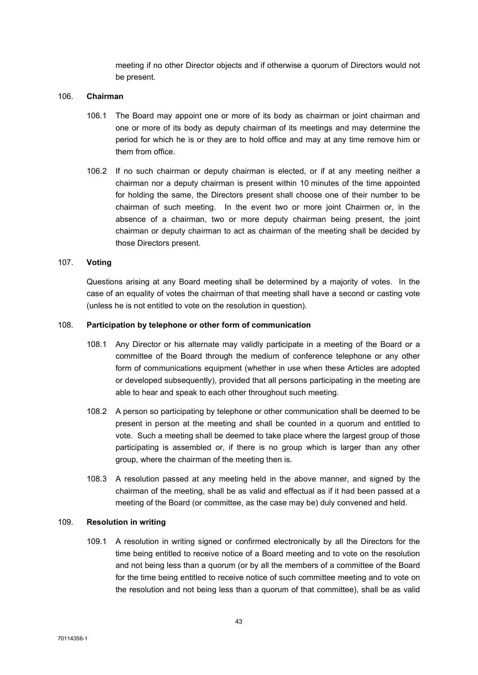meeting if no other Director objects and if otherwise a quorum of Directors would not be present.

#### 106. Chairman

- 106.1 The Board may appoint one or more of its body as chairman or joint chairman and one or more of its body as deputy chairman of its meetings and may determine the period for which he is or they are to hold office and may at any time remove him or them from office.
- 106.2 If no such chairman or deputy chairman is elected, or if at any meeting neither a chairman nor a deputy chairman is present within 10 minutes of the time appointed for holding the same, the Directors present shall choose one of their number to be chairman of such meeting. In the event two or more joint Chairmen or, in the absence of a chairman, two or more deputy chairman being present, the joint chairman or deputy chairman to act as chairman of the meeting shall be decided by those Directors present.

# 107. Voting

Questions arising at any Board meeting shall be determined by a majority of votes. In the case of an equality of votes the chairman of that meeting shall have a second or casting vote (unless he is not entitled to vote on the resolution in question).

# 108. Participation by telephone or other form of communication

- 108.1 Any Director or his alternate may validly participate in a meeting of the Board or a committee of the Board through the medium of conference telephone or any other form of communications equipment (whether in use when these Articles are adopted or developed subsequently), provided that all persons participating in the meeting are able to hear and speak to each other throughout such meeting.
- 108.2 A person so participating by telephone or other communication shall be deemed to be present in person at the meeting and shall be counted in a quorum and entitled to vote. Such a meeting shall be deemed to take place where the largest group of those participating is assembled or, if there is no group which is larger than any other group, where the chairman of the meeting then is.
- 108.3 A resolution passed at any meeting held in the above manner, and signed by the chairman of the meeting, shall be as valid and effectual as if it had been passed at a meeting of the Board (or committee, as the case may be) duly convened and held.

## 109. Resolution in writing

109.1 A resolution in writing signed or confirmed electronically by all the Directors for the time being entitled to receive notice of a Board meeting and to vote on the resolution and not being less than a quorum (or by all the members of a committee of the Board for the time being entitled to receive notice of such committee meeting and to vote on the resolution and not being less than a quorum of that committee), shall be as valid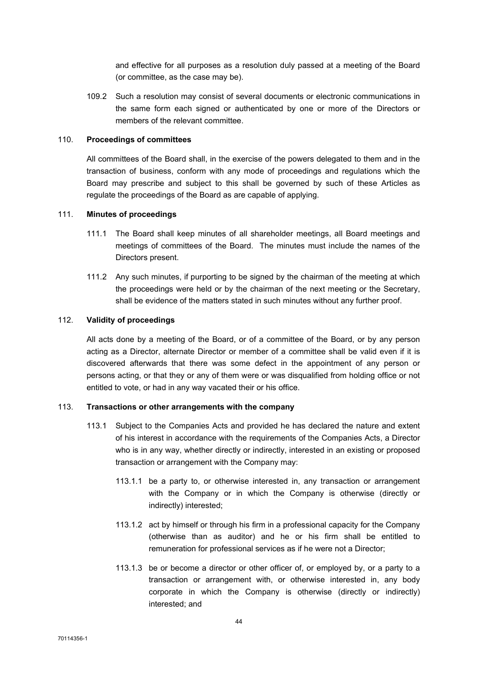and effective for all purposes as a resolution duly passed at a meeting of the Board (or committee, as the case may be).

109.2 Such a resolution may consist of several documents or electronic communications in the same form each signed or authenticated by one or more of the Directors or members of the relevant committee.

#### 110. Proceedings of committees

All committees of the Board shall, in the exercise of the powers delegated to them and in the transaction of business, conform with any mode of proceedings and regulations which the Board may prescribe and subject to this shall be governed by such of these Articles as regulate the proceedings of the Board as are capable of applying.

## 111. Minutes of proceedings

- 111.1 The Board shall keep minutes of all shareholder meetings, all Board meetings and meetings of committees of the Board. The minutes must include the names of the Directors present.
- 111.2 Any such minutes, if purporting to be signed by the chairman of the meeting at which the proceedings were held or by the chairman of the next meeting or the Secretary, shall be evidence of the matters stated in such minutes without any further proof.

## 112. Validity of proceedings

All acts done by a meeting of the Board, or of a committee of the Board, or by any person acting as a Director, alternate Director or member of a committee shall be valid even if it is discovered afterwards that there was some defect in the appointment of any person or persons acting, or that they or any of them were or was disqualified from holding office or not entitled to vote, or had in any way vacated their or his office.

# 113. Transactions or other arrangements with the company

- 113.1 Subject to the Companies Acts and provided he has declared the nature and extent of his interest in accordance with the requirements of the Companies Acts, a Director who is in any way, whether directly or indirectly, interested in an existing or proposed transaction or arrangement with the Company may:
	- 113.1.1 be a party to, or otherwise interested in, any transaction or arrangement with the Company or in which the Company is otherwise (directly or indirectly) interested;
	- 113.1.2 act by himself or through his firm in a professional capacity for the Company (otherwise than as auditor) and he or his firm shall be entitled to remuneration for professional services as if he were not a Director;
	- 113.1.3 be or become a director or other officer of, or employed by, or a party to a transaction or arrangement with, or otherwise interested in, any body corporate in which the Company is otherwise (directly or indirectly) interested; and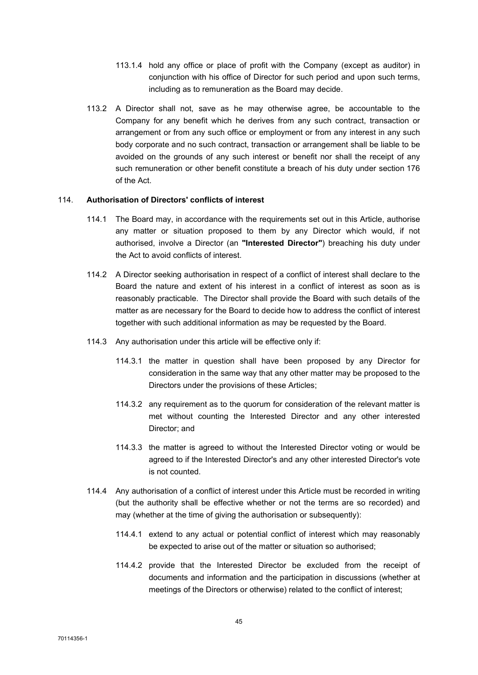- 113.1.4 hold any office or place of profit with the Company (except as auditor) in conjunction with his office of Director for such period and upon such terms, including as to remuneration as the Board may decide.
- 113.2 A Director shall not, save as he may otherwise agree, be accountable to the Company for any benefit which he derives from any such contract, transaction or arrangement or from any such office or employment or from any interest in any such body corporate and no such contract, transaction or arrangement shall be liable to be avoided on the grounds of any such interest or benefit nor shall the receipt of any such remuneration or other benefit constitute a breach of his duty under section 176 of the Act.

## 114. Authorisation of Directors' conflicts of interest

- 114.1 The Board may, in accordance with the requirements set out in this Article, authorise any matter or situation proposed to them by any Director which would, if not authorised, involve a Director (an "Interested Director") breaching his duty under the Act to avoid conflicts of interest.
- 114.2 A Director seeking authorisation in respect of a conflict of interest shall declare to the Board the nature and extent of his interest in a conflict of interest as soon as is reasonably practicable. The Director shall provide the Board with such details of the matter as are necessary for the Board to decide how to address the conflict of interest together with such additional information as may be requested by the Board.
- 114.3 Any authorisation under this article will be effective only if:
	- 114.3.1 the matter in question shall have been proposed by any Director for consideration in the same way that any other matter may be proposed to the Directors under the provisions of these Articles;
	- 114.3.2 any requirement as to the quorum for consideration of the relevant matter is met without counting the Interested Director and any other interested Director; and
	- 114.3.3 the matter is agreed to without the Interested Director voting or would be agreed to if the Interested Director's and any other interested Director's vote is not counted.
- 114.4 Any authorisation of a conflict of interest under this Article must be recorded in writing (but the authority shall be effective whether or not the terms are so recorded) and may (whether at the time of giving the authorisation or subsequently):
	- 114.4.1 extend to any actual or potential conflict of interest which may reasonably be expected to arise out of the matter or situation so authorised;
	- 114.4.2 provide that the Interested Director be excluded from the receipt of documents and information and the participation in discussions (whether at meetings of the Directors or otherwise) related to the conflict of interest;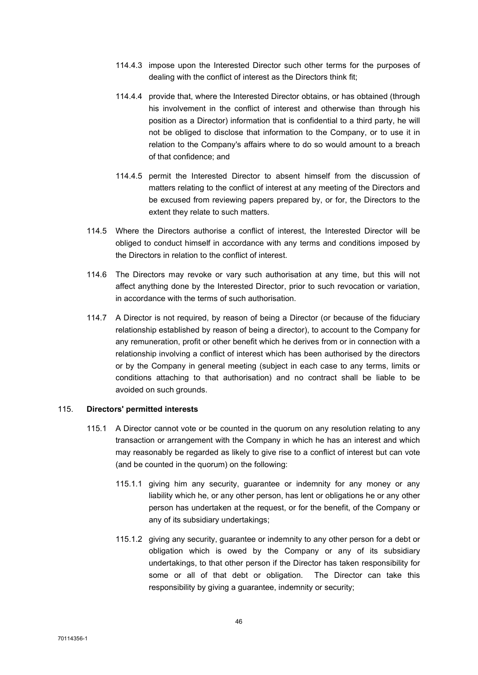- 114.4.3 impose upon the Interested Director such other terms for the purposes of dealing with the conflict of interest as the Directors think fit;
- 114.4.4 provide that, where the Interested Director obtains, or has obtained (through his involvement in the conflict of interest and otherwise than through his position as a Director) information that is confidential to a third party, he will not be obliged to disclose that information to the Company, or to use it in relation to the Company's affairs where to do so would amount to a breach of that confidence; and
- 114.4.5 permit the Interested Director to absent himself from the discussion of matters relating to the conflict of interest at any meeting of the Directors and be excused from reviewing papers prepared by, or for, the Directors to the extent they relate to such matters.
- 114.5 Where the Directors authorise a conflict of interest, the Interested Director will be obliged to conduct himself in accordance with any terms and conditions imposed by the Directors in relation to the conflict of interest.
- 114.6 The Directors may revoke or vary such authorisation at any time, but this will not affect anything done by the Interested Director, prior to such revocation or variation, in accordance with the terms of such authorisation.
- 114.7 A Director is not required, by reason of being a Director (or because of the fiduciary relationship established by reason of being a director), to account to the Company for any remuneration, profit or other benefit which he derives from or in connection with a relationship involving a conflict of interest which has been authorised by the directors or by the Company in general meeting (subject in each case to any terms, limits or conditions attaching to that authorisation) and no contract shall be liable to be avoided on such grounds.

# 115. Directors' permitted interests

- 115.1 A Director cannot vote or be counted in the quorum on any resolution relating to any transaction or arrangement with the Company in which he has an interest and which may reasonably be regarded as likely to give rise to a conflict of interest but can vote (and be counted in the quorum) on the following:
	- 115.1.1 giving him any security, guarantee or indemnity for any money or any liability which he, or any other person, has lent or obligations he or any other person has undertaken at the request, or for the benefit, of the Company or any of its subsidiary undertakings;
	- 115.1.2 giving any security, guarantee or indemnity to any other person for a debt or obligation which is owed by the Company or any of its subsidiary undertakings, to that other person if the Director has taken responsibility for some or all of that debt or obligation. The Director can take this responsibility by giving a guarantee, indemnity or security;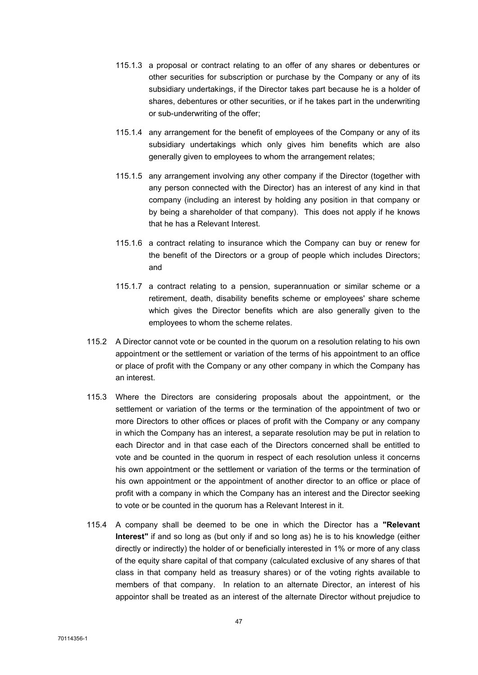- 115.1.3 a proposal or contract relating to an offer of any shares or debentures or other securities for subscription or purchase by the Company or any of its subsidiary undertakings, if the Director takes part because he is a holder of shares, debentures or other securities, or if he takes part in the underwriting or sub-underwriting of the offer;
- 115.1.4 any arrangement for the benefit of employees of the Company or any of its subsidiary undertakings which only gives him benefits which are also generally given to employees to whom the arrangement relates;
- 115.1.5 any arrangement involving any other company if the Director (together with any person connected with the Director) has an interest of any kind in that company (including an interest by holding any position in that company or by being a shareholder of that company). This does not apply if he knows that he has a Relevant Interest.
- 115.1.6 a contract relating to insurance which the Company can buy or renew for the benefit of the Directors or a group of people which includes Directors; and
- 115.1.7 a contract relating to a pension, superannuation or similar scheme or a retirement, death, disability benefits scheme or employees' share scheme which gives the Director benefits which are also generally given to the employees to whom the scheme relates.
- 115.2 A Director cannot vote or be counted in the quorum on a resolution relating to his own appointment or the settlement or variation of the terms of his appointment to an office or place of profit with the Company or any other company in which the Company has an interest.
- 115.3 Where the Directors are considering proposals about the appointment, or the settlement or variation of the terms or the termination of the appointment of two or more Directors to other offices or places of profit with the Company or any company in which the Company has an interest, a separate resolution may be put in relation to each Director and in that case each of the Directors concerned shall be entitled to vote and be counted in the quorum in respect of each resolution unless it concerns his own appointment or the settlement or variation of the terms or the termination of his own appointment or the appointment of another director to an office or place of profit with a company in which the Company has an interest and the Director seeking to vote or be counted in the quorum has a Relevant Interest in it.
- 115.4 A company shall be deemed to be one in which the Director has a "Relevant Interest" if and so long as (but only if and so long as) he is to his knowledge (either directly or indirectly) the holder of or beneficially interested in 1% or more of any class of the equity share capital of that company (calculated exclusive of any shares of that class in that company held as treasury shares) or of the voting rights available to members of that company. In relation to an alternate Director, an interest of his appointor shall be treated as an interest of the alternate Director without prejudice to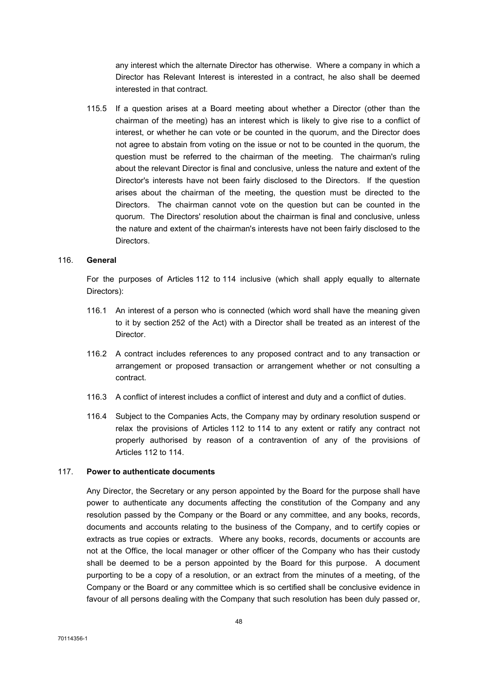any interest which the alternate Director has otherwise. Where a company in which a Director has Relevant Interest is interested in a contract, he also shall be deemed interested in that contract.

115.5 If a question arises at a Board meeting about whether a Director (other than the chairman of the meeting) has an interest which is likely to give rise to a conflict of interest, or whether he can vote or be counted in the quorum, and the Director does not agree to abstain from voting on the issue or not to be counted in the quorum, the question must be referred to the chairman of the meeting. The chairman's ruling about the relevant Director is final and conclusive, unless the nature and extent of the Director's interests have not been fairly disclosed to the Directors. If the question arises about the chairman of the meeting, the question must be directed to the Directors. The chairman cannot vote on the question but can be counted in the quorum. The Directors' resolution about the chairman is final and conclusive, unless the nature and extent of the chairman's interests have not been fairly disclosed to the Directors.

# 116. General

For the purposes of Articles 112 to 114 inclusive (which shall apply equally to alternate Directors):

- 116.1 An interest of a person who is connected (which word shall have the meaning given to it by section 252 of the Act) with a Director shall be treated as an interest of the Director.
- 116.2 A contract includes references to any proposed contract and to any transaction or arrangement or proposed transaction or arrangement whether or not consulting a contract.
- 116.3 A conflict of interest includes a conflict of interest and duty and a conflict of duties.
- 116.4 Subject to the Companies Acts, the Company may by ordinary resolution suspend or relax the provisions of Articles 112 to 114 to any extent or ratify any contract not properly authorised by reason of a contravention of any of the provisions of Articles 112 to 114.

## 117. Power to authenticate documents

Any Director, the Secretary or any person appointed by the Board for the purpose shall have power to authenticate any documents affecting the constitution of the Company and any resolution passed by the Company or the Board or any committee, and any books, records, documents and accounts relating to the business of the Company, and to certify copies or extracts as true copies or extracts. Where any books, records, documents or accounts are not at the Office, the local manager or other officer of the Company who has their custody shall be deemed to be a person appointed by the Board for this purpose. A document purporting to be a copy of a resolution, or an extract from the minutes of a meeting, of the Company or the Board or any committee which is so certified shall be conclusive evidence in favour of all persons dealing with the Company that such resolution has been duly passed or,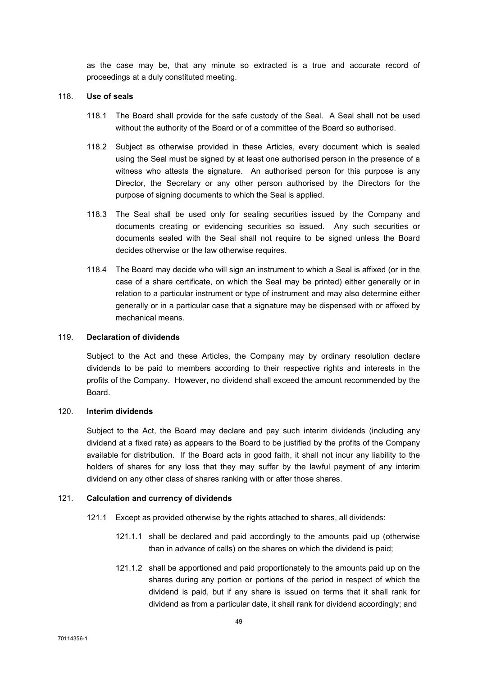as the case may be, that any minute so extracted is a true and accurate record of proceedings at a duly constituted meeting.

#### 118. Use of seals

- 118.1 The Board shall provide for the safe custody of the Seal. A Seal shall not be used without the authority of the Board or of a committee of the Board so authorised.
- 118.2 Subject as otherwise provided in these Articles, every document which is sealed using the Seal must be signed by at least one authorised person in the presence of a witness who attests the signature. An authorised person for this purpose is any Director, the Secretary or any other person authorised by the Directors for the purpose of signing documents to which the Seal is applied.
- 118.3 The Seal shall be used only for sealing securities issued by the Company and documents creating or evidencing securities so issued. Any such securities or documents sealed with the Seal shall not require to be signed unless the Board decides otherwise or the law otherwise requires.
- 118.4 The Board may decide who will sign an instrument to which a Seal is affixed (or in the case of a share certificate, on which the Seal may be printed) either generally or in relation to a particular instrument or type of instrument and may also determine either generally or in a particular case that a signature may be dispensed with or affixed by mechanical means.

## 119. Declaration of dividends

Subject to the Act and these Articles, the Company may by ordinary resolution declare dividends to be paid to members according to their respective rights and interests in the profits of the Company. However, no dividend shall exceed the amount recommended by the Board.

## 120. Interim dividends

Subject to the Act, the Board may declare and pay such interim dividends (including any dividend at a fixed rate) as appears to the Board to be justified by the profits of the Company available for distribution. If the Board acts in good faith, it shall not incur any liability to the holders of shares for any loss that they may suffer by the lawful payment of any interim dividend on any other class of shares ranking with or after those shares.

# 121. Calculation and currency of dividends

- 121.1 Except as provided otherwise by the rights attached to shares, all dividends:
	- 121.1.1 shall be declared and paid accordingly to the amounts paid up (otherwise than in advance of calls) on the shares on which the dividend is paid;
	- 121.1.2 shall be apportioned and paid proportionately to the amounts paid up on the shares during any portion or portions of the period in respect of which the dividend is paid, but if any share is issued on terms that it shall rank for dividend as from a particular date, it shall rank for dividend accordingly; and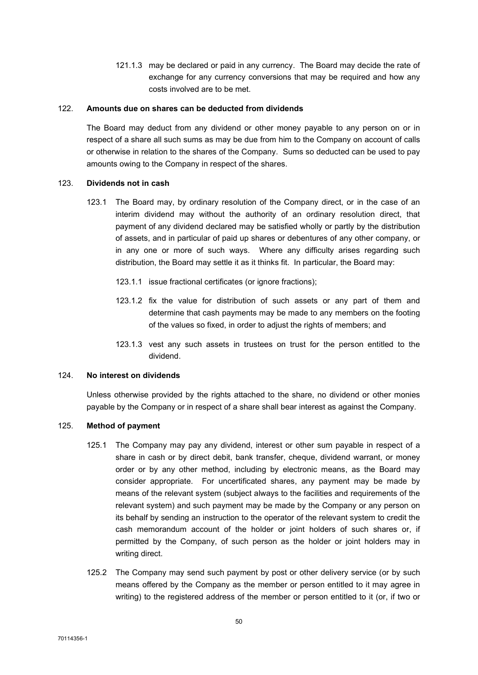121.1.3 may be declared or paid in any currency. The Board may decide the rate of exchange for any currency conversions that may be required and how any costs involved are to be met.

#### 122. Amounts due on shares can be deducted from dividends

The Board may deduct from any dividend or other money payable to any person on or in respect of a share all such sums as may be due from him to the Company on account of calls or otherwise in relation to the shares of the Company. Sums so deducted can be used to pay amounts owing to the Company in respect of the shares.

#### 123. Dividends not in cash

- 123.1 The Board may, by ordinary resolution of the Company direct, or in the case of an interim dividend may without the authority of an ordinary resolution direct, that payment of any dividend declared may be satisfied wholly or partly by the distribution of assets, and in particular of paid up shares or debentures of any other company, or in any one or more of such ways. Where any difficulty arises regarding such distribution, the Board may settle it as it thinks fit. In particular, the Board may:
	- 123.1.1 issue fractional certificates (or ignore fractions):
	- 123.1.2 fix the value for distribution of such assets or any part of them and determine that cash payments may be made to any members on the footing of the values so fixed, in order to adjust the rights of members; and
	- 123.1.3 vest any such assets in trustees on trust for the person entitled to the dividend.

### 124. No interest on dividends

Unless otherwise provided by the rights attached to the share, no dividend or other monies payable by the Company or in respect of a share shall bear interest as against the Company.

# 125. Method of payment

- 125.1 The Company may pay any dividend, interest or other sum payable in respect of a share in cash or by direct debit, bank transfer, cheque, dividend warrant, or money order or by any other method, including by electronic means, as the Board may consider appropriate. For uncertificated shares, any payment may be made by means of the relevant system (subject always to the facilities and requirements of the relevant system) and such payment may be made by the Company or any person on its behalf by sending an instruction to the operator of the relevant system to credit the cash memorandum account of the holder or joint holders of such shares or, if permitted by the Company, of such person as the holder or joint holders may in writing direct.
- 125.2 The Company may send such payment by post or other delivery service (or by such means offered by the Company as the member or person entitled to it may agree in writing) to the registered address of the member or person entitled to it (or, if two or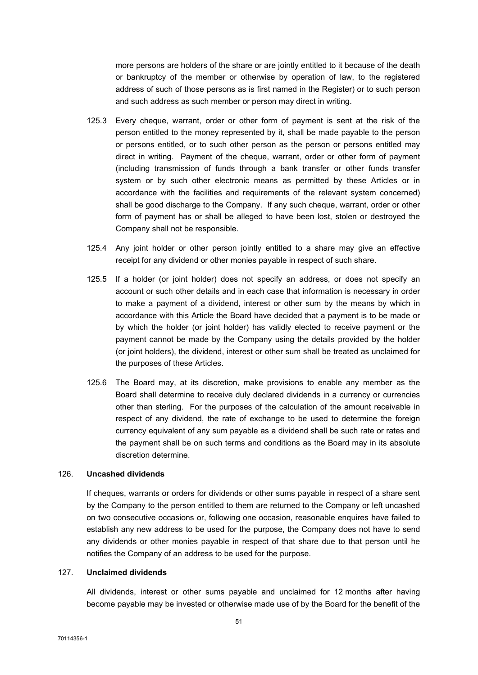more persons are holders of the share or are jointly entitled to it because of the death or bankruptcy of the member or otherwise by operation of law, to the registered address of such of those persons as is first named in the Register) or to such person and such address as such member or person may direct in writing.

- 125.3 Every cheque, warrant, order or other form of payment is sent at the risk of the person entitled to the money represented by it, shall be made payable to the person or persons entitled, or to such other person as the person or persons entitled may direct in writing. Payment of the cheque, warrant, order or other form of payment (including transmission of funds through a bank transfer or other funds transfer system or by such other electronic means as permitted by these Articles or in accordance with the facilities and requirements of the relevant system concerned) shall be good discharge to the Company. If any such cheque, warrant, order or other form of payment has or shall be alleged to have been lost, stolen or destroyed the Company shall not be responsible.
- 125.4 Any joint holder or other person jointly entitled to a share may give an effective receipt for any dividend or other monies payable in respect of such share.
- 125.5 If a holder (or joint holder) does not specify an address, or does not specify an account or such other details and in each case that information is necessary in order to make a payment of a dividend, interest or other sum by the means by which in accordance with this Article the Board have decided that a payment is to be made or by which the holder (or joint holder) has validly elected to receive payment or the payment cannot be made by the Company using the details provided by the holder (or joint holders), the dividend, interest or other sum shall be treated as unclaimed for the purposes of these Articles.
- 125.6 The Board may, at its discretion, make provisions to enable any member as the Board shall determine to receive duly declared dividends in a currency or currencies other than sterling. For the purposes of the calculation of the amount receivable in respect of any dividend, the rate of exchange to be used to determine the foreign currency equivalent of any sum payable as a dividend shall be such rate or rates and the payment shall be on such terms and conditions as the Board may in its absolute discretion determine.

## 126. Uncashed dividends

If cheques, warrants or orders for dividends or other sums payable in respect of a share sent by the Company to the person entitled to them are returned to the Company or left uncashed on two consecutive occasions or, following one occasion, reasonable enquires have failed to establish any new address to be used for the purpose, the Company does not have to send any dividends or other monies payable in respect of that share due to that person until he notifies the Company of an address to be used for the purpose.

#### 127. Unclaimed dividends

All dividends, interest or other sums payable and unclaimed for 12 months after having become payable may be invested or otherwise made use of by the Board for the benefit of the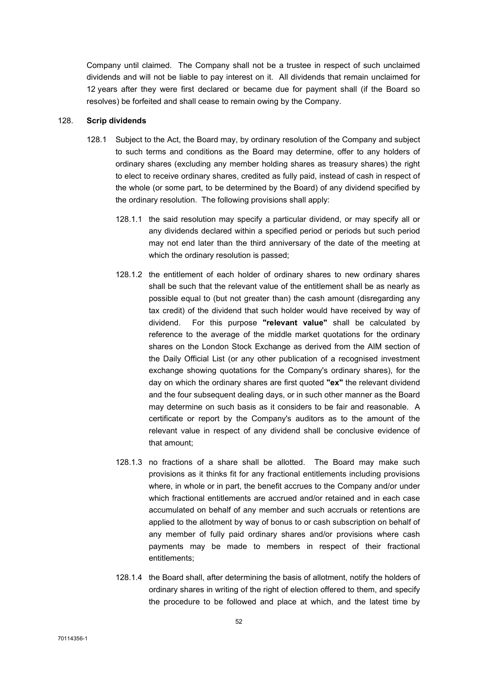Company until claimed. The Company shall not be a trustee in respect of such unclaimed dividends and will not be liable to pay interest on it. All dividends that remain unclaimed for 12 years after they were first declared or became due for payment shall (if the Board so resolves) be forfeited and shall cease to remain owing by the Company.

#### 128. Scrip dividends

- 128.1 Subject to the Act, the Board may, by ordinary resolution of the Company and subject to such terms and conditions as the Board may determine, offer to any holders of ordinary shares (excluding any member holding shares as treasury shares) the right to elect to receive ordinary shares, credited as fully paid, instead of cash in respect of the whole (or some part, to be determined by the Board) of any dividend specified by the ordinary resolution. The following provisions shall apply:
	- 128.1.1 the said resolution may specify a particular dividend, or may specify all or any dividends declared within a specified period or periods but such period may not end later than the third anniversary of the date of the meeting at which the ordinary resolution is passed;
	- 128.1.2 the entitlement of each holder of ordinary shares to new ordinary shares shall be such that the relevant value of the entitlement shall be as nearly as possible equal to (but not greater than) the cash amount (disregarding any tax credit) of the dividend that such holder would have received by way of dividend. For this purpose "relevant value" shall be calculated by reference to the average of the middle market quotations for the ordinary shares on the London Stock Exchange as derived from the AIM section of the Daily Official List (or any other publication of a recognised investment exchange showing quotations for the Company's ordinary shares), for the day on which the ordinary shares are first quoted "ex" the relevant dividend and the four subsequent dealing days, or in such other manner as the Board may determine on such basis as it considers to be fair and reasonable. A certificate or report by the Company's auditors as to the amount of the relevant value in respect of any dividend shall be conclusive evidence of that amount;
	- 128.1.3 no fractions of a share shall be allotted. The Board may make such provisions as it thinks fit for any fractional entitlements including provisions where, in whole or in part, the benefit accrues to the Company and/or under which fractional entitlements are accrued and/or retained and in each case accumulated on behalf of any member and such accruals or retentions are applied to the allotment by way of bonus to or cash subscription on behalf of any member of fully paid ordinary shares and/or provisions where cash payments may be made to members in respect of their fractional entitlements;
	- 128.1.4 the Board shall, after determining the basis of allotment, notify the holders of ordinary shares in writing of the right of election offered to them, and specify the procedure to be followed and place at which, and the latest time by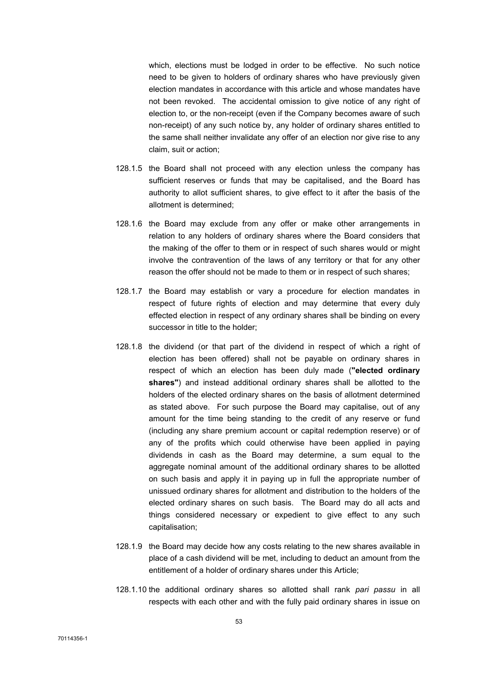which, elections must be lodged in order to be effective. No such notice need to be given to holders of ordinary shares who have previously given election mandates in accordance with this article and whose mandates have not been revoked. The accidental omission to give notice of any right of election to, or the non-receipt (even if the Company becomes aware of such non-receipt) of any such notice by, any holder of ordinary shares entitled to the same shall neither invalidate any offer of an election nor give rise to any claim, suit or action;

- 128.1.5 the Board shall not proceed with any election unless the company has sufficient reserves or funds that may be capitalised, and the Board has authority to allot sufficient shares, to give effect to it after the basis of the allotment is determined;
- 128.1.6 the Board may exclude from any offer or make other arrangements in relation to any holders of ordinary shares where the Board considers that the making of the offer to them or in respect of such shares would or might involve the contravention of the laws of any territory or that for any other reason the offer should not be made to them or in respect of such shares;
- 128.1.7 the Board may establish or vary a procedure for election mandates in respect of future rights of election and may determine that every duly effected election in respect of any ordinary shares shall be binding on every successor in title to the holder;
- 128.1.8 the dividend (or that part of the dividend in respect of which a right of election has been offered) shall not be payable on ordinary shares in respect of which an election has been duly made ("elected ordinary shares") and instead additional ordinary shares shall be allotted to the holders of the elected ordinary shares on the basis of allotment determined as stated above. For such purpose the Board may capitalise, out of any amount for the time being standing to the credit of any reserve or fund (including any share premium account or capital redemption reserve) or of any of the profits which could otherwise have been applied in paying dividends in cash as the Board may determine, a sum equal to the aggregate nominal amount of the additional ordinary shares to be allotted on such basis and apply it in paying up in full the appropriate number of unissued ordinary shares for allotment and distribution to the holders of the elected ordinary shares on such basis. The Board may do all acts and things considered necessary or expedient to give effect to any such capitalisation;
- 128.1.9 the Board may decide how any costs relating to the new shares available in place of a cash dividend will be met, including to deduct an amount from the entitlement of a holder of ordinary shares under this Article;
- 128.1.10 the additional ordinary shares so allotted shall rank pari passu in all respects with each other and with the fully paid ordinary shares in issue on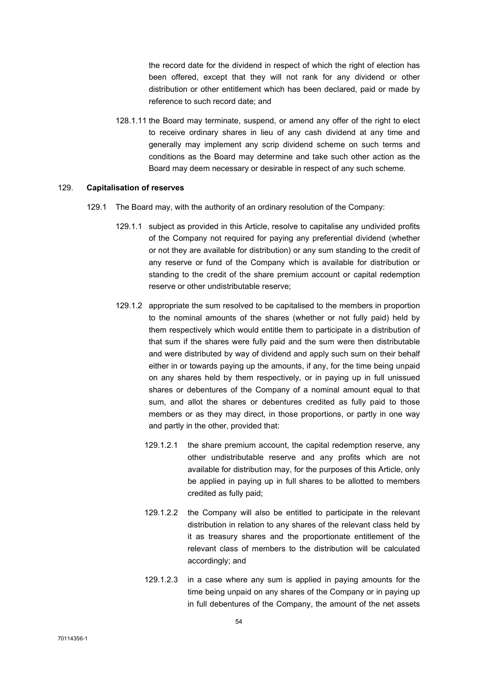the record date for the dividend in respect of which the right of election has been offered, except that they will not rank for any dividend or other distribution or other entitlement which has been declared, paid or made by reference to such record date; and

128.1.11 the Board may terminate, suspend, or amend any offer of the right to elect to receive ordinary shares in lieu of any cash dividend at any time and generally may implement any scrip dividend scheme on such terms and conditions as the Board may determine and take such other action as the Board may deem necessary or desirable in respect of any such scheme.

#### 129. Capitalisation of reserves

- 129.1 The Board may, with the authority of an ordinary resolution of the Company:
	- 129.1.1 subject as provided in this Article, resolve to capitalise any undivided profits of the Company not required for paying any preferential dividend (whether or not they are available for distribution) or any sum standing to the credit of any reserve or fund of the Company which is available for distribution or standing to the credit of the share premium account or capital redemption reserve or other undistributable reserve;
	- 129.1.2 appropriate the sum resolved to be capitalised to the members in proportion to the nominal amounts of the shares (whether or not fully paid) held by them respectively which would entitle them to participate in a distribution of that sum if the shares were fully paid and the sum were then distributable and were distributed by way of dividend and apply such sum on their behalf either in or towards paying up the amounts, if any, for the time being unpaid on any shares held by them respectively, or in paying up in full unissued shares or debentures of the Company of a nominal amount equal to that sum, and allot the shares or debentures credited as fully paid to those members or as they may direct, in those proportions, or partly in one way and partly in the other, provided that:
		- 129.1.2.1 the share premium account, the capital redemption reserve, any other undistributable reserve and any profits which are not available for distribution may, for the purposes of this Article, only be applied in paying up in full shares to be allotted to members credited as fully paid;
		- 129.1.2.2 the Company will also be entitled to participate in the relevant distribution in relation to any shares of the relevant class held by it as treasury shares and the proportionate entitlement of the relevant class of members to the distribution will be calculated accordingly; and
		- 129.1.2.3 in a case where any sum is applied in paying amounts for the time being unpaid on any shares of the Company or in paying up in full debentures of the Company, the amount of the net assets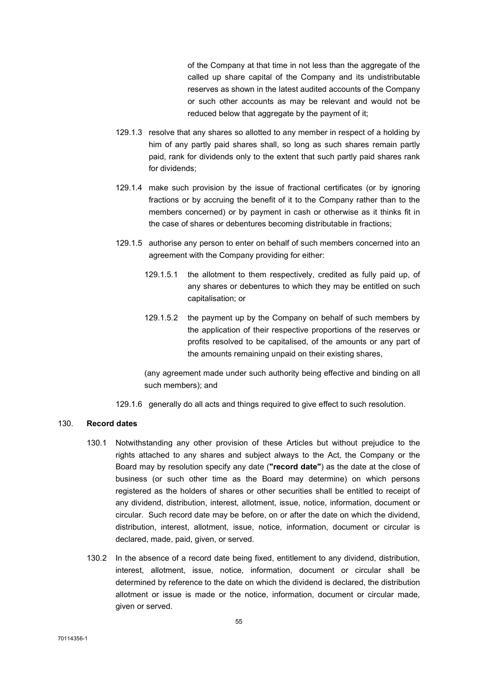of the Company at that time in not less than the aggregate of the called up share capital of the Company and its undistributable reserves as shown in the latest audited accounts of the Company or such other accounts as may be relevant and would not be reduced below that aggregate by the payment of it;

- 129.1.3 resolve that any shares so allotted to any member in respect of a holding by him of any partly paid shares shall, so long as such shares remain partly paid, rank for dividends only to the extent that such partly paid shares rank for dividends;
- 129.1.4 make such provision by the issue of fractional certificates (or by ignoring fractions or by accruing the benefit of it to the Company rather than to the members concerned) or by payment in cash or otherwise as it thinks fit in the case of shares or debentures becoming distributable in fractions;
- 129.1.5 authorise any person to enter on behalf of such members concerned into an agreement with the Company providing for either:
	- 129.1.5.1 the allotment to them respectively, credited as fully paid up, of any shares or debentures to which they may be entitled on such capitalisation; or
	- 129.1.5.2 the payment up by the Company on behalf of such members by the application of their respective proportions of the reserves or profits resolved to be capitalised, of the amounts or any part of the amounts remaining unpaid on their existing shares,

(any agreement made under such authority being effective and binding on all such members); and

129.1.6 generally do all acts and things required to give effect to such resolution.

## 130. Record dates

- 130.1 Notwithstanding any other provision of these Articles but without prejudice to the rights attached to any shares and subject always to the Act, the Company or the Board may by resolution specify any date ("record date") as the date at the close of business (or such other time as the Board may determine) on which persons registered as the holders of shares or other securities shall be entitled to receipt of any dividend, distribution, interest, allotment, issue, notice, information, document or circular. Such record date may be before, on or after the date on which the dividend, distribution, interest, allotment, issue, notice, information, document or circular is declared, made, paid, given, or served.
- 130.2 In the absence of a record date being fixed, entitlement to any dividend, distribution, interest, allotment, issue, notice, information, document or circular shall be determined by reference to the date on which the dividend is declared, the distribution allotment or issue is made or the notice, information, document or circular made, given or served.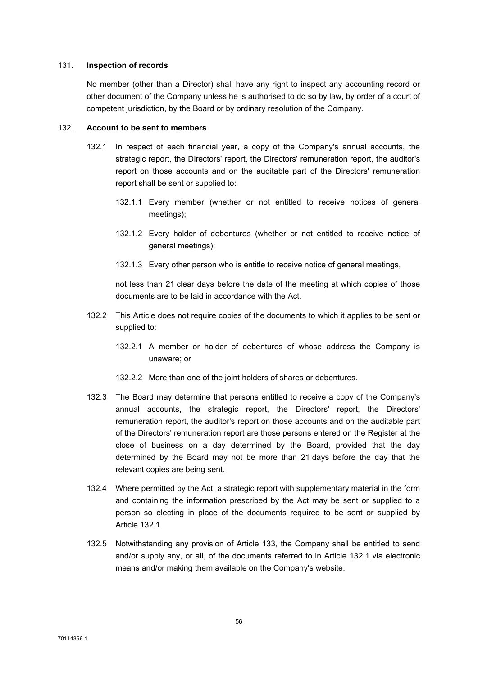#### 131. Inspection of records

No member (other than a Director) shall have any right to inspect any accounting record or other document of the Company unless he is authorised to do so by law, by order of a court of competent jurisdiction, by the Board or by ordinary resolution of the Company.

## 132. Account to be sent to members

- 132.1 In respect of each financial year, a copy of the Company's annual accounts, the strategic report, the Directors' report, the Directors' remuneration report, the auditor's report on those accounts and on the auditable part of the Directors' remuneration report shall be sent or supplied to:
	- 132.1.1 Every member (whether or not entitled to receive notices of general meetings);
	- 132.1.2 Every holder of debentures (whether or not entitled to receive notice of general meetings);
	- 132.1.3 Every other person who is entitle to receive notice of general meetings,

not less than 21 clear days before the date of the meeting at which copies of those documents are to be laid in accordance with the Act.

- 132.2 This Article does not require copies of the documents to which it applies to be sent or supplied to:
	- 132.2.1 A member or holder of debentures of whose address the Company is unaware; or
	- 132.2.2 More than one of the joint holders of shares or debentures.
- 132.3 The Board may determine that persons entitled to receive a copy of the Company's annual accounts, the strategic report, the Directors' report, the Directors' remuneration report, the auditor's report on those accounts and on the auditable part of the Directors' remuneration report are those persons entered on the Register at the close of business on a day determined by the Board, provided that the day determined by the Board may not be more than 21 days before the day that the relevant copies are being sent.
- 132.4 Where permitted by the Act, a strategic report with supplementary material in the form and containing the information prescribed by the Act may be sent or supplied to a person so electing in place of the documents required to be sent or supplied by Article 132.1.
- 132.5 Notwithstanding any provision of Article 133, the Company shall be entitled to send and/or supply any, or all, of the documents referred to in Article 132.1 via electronic means and/or making them available on the Company's website.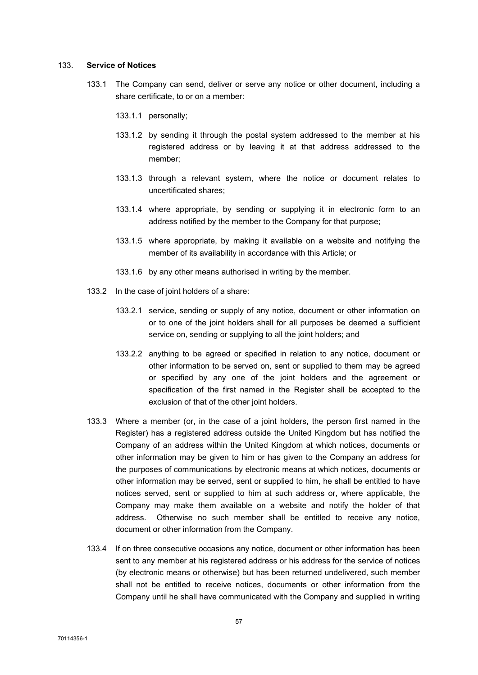#### 133. Service of Notices

- 133.1 The Company can send, deliver or serve any notice or other document, including a share certificate, to or on a member:
	- 133.1.1 personally;
	- 133.1.2 by sending it through the postal system addressed to the member at his registered address or by leaving it at that address addressed to the member;
	- 133.1.3 through a relevant system, where the notice or document relates to uncertificated shares;
	- 133.1.4 where appropriate, by sending or supplying it in electronic form to an address notified by the member to the Company for that purpose;
	- 133.1.5 where appropriate, by making it available on a website and notifying the member of its availability in accordance with this Article; or
	- 133.1.6 by any other means authorised in writing by the member.
- 133.2 In the case of joint holders of a share:
	- 133.2.1 service, sending or supply of any notice, document or other information on or to one of the joint holders shall for all purposes be deemed a sufficient service on, sending or supplying to all the joint holders; and
	- 133.2.2 anything to be agreed or specified in relation to any notice, document or other information to be served on, sent or supplied to them may be agreed or specified by any one of the joint holders and the agreement or specification of the first named in the Register shall be accepted to the exclusion of that of the other joint holders.
- 133.3 Where a member (or, in the case of a joint holders, the person first named in the Register) has a registered address outside the United Kingdom but has notified the Company of an address within the United Kingdom at which notices, documents or other information may be given to him or has given to the Company an address for the purposes of communications by electronic means at which notices, documents or other information may be served, sent or supplied to him, he shall be entitled to have notices served, sent or supplied to him at such address or, where applicable, the Company may make them available on a website and notify the holder of that address. Otherwise no such member shall be entitled to receive any notice, document or other information from the Company.
- 133.4 If on three consecutive occasions any notice, document or other information has been sent to any member at his registered address or his address for the service of notices (by electronic means or otherwise) but has been returned undelivered, such member shall not be entitled to receive notices, documents or other information from the Company until he shall have communicated with the Company and supplied in writing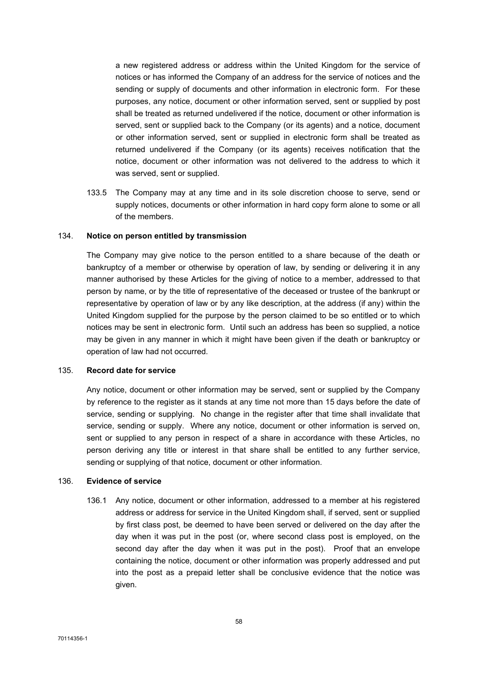a new registered address or address within the United Kingdom for the service of notices or has informed the Company of an address for the service of notices and the sending or supply of documents and other information in electronic form. For these purposes, any notice, document or other information served, sent or supplied by post shall be treated as returned undelivered if the notice, document or other information is served, sent or supplied back to the Company (or its agents) and a notice, document or other information served, sent or supplied in electronic form shall be treated as returned undelivered if the Company (or its agents) receives notification that the notice, document or other information was not delivered to the address to which it was served, sent or supplied.

133.5 The Company may at any time and in its sole discretion choose to serve, send or supply notices, documents or other information in hard copy form alone to some or all of the members.

#### 134. Notice on person entitled by transmission

The Company may give notice to the person entitled to a share because of the death or bankruptcy of a member or otherwise by operation of law, by sending or delivering it in any manner authorised by these Articles for the giving of notice to a member, addressed to that person by name, or by the title of representative of the deceased or trustee of the bankrupt or representative by operation of law or by any like description, at the address (if any) within the United Kingdom supplied for the purpose by the person claimed to be so entitled or to which notices may be sent in electronic form. Until such an address has been so supplied, a notice may be given in any manner in which it might have been given if the death or bankruptcy or operation of law had not occurred.

## 135. Record date for service

Any notice, document or other information may be served, sent or supplied by the Company by reference to the register as it stands at any time not more than 15 days before the date of service, sending or supplying. No change in the register after that time shall invalidate that service, sending or supply. Where any notice, document or other information is served on, sent or supplied to any person in respect of a share in accordance with these Articles, no person deriving any title or interest in that share shall be entitled to any further service, sending or supplying of that notice, document or other information.

#### 136. Evidence of service

136.1 Any notice, document or other information, addressed to a member at his registered address or address for service in the United Kingdom shall, if served, sent or supplied by first class post, be deemed to have been served or delivered on the day after the day when it was put in the post (or, where second class post is employed, on the second day after the day when it was put in the post). Proof that an envelope containing the notice, document or other information was properly addressed and put into the post as a prepaid letter shall be conclusive evidence that the notice was given.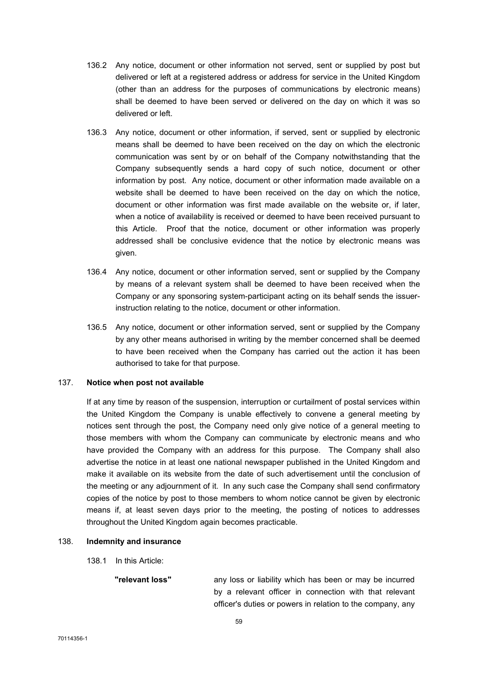- 136.2 Any notice, document or other information not served, sent or supplied by post but delivered or left at a registered address or address for service in the United Kingdom (other than an address for the purposes of communications by electronic means) shall be deemed to have been served or delivered on the day on which it was so delivered or left.
- 136.3 Any notice, document or other information, if served, sent or supplied by electronic means shall be deemed to have been received on the day on which the electronic communication was sent by or on behalf of the Company notwithstanding that the Company subsequently sends a hard copy of such notice, document or other information by post. Any notice, document or other information made available on a website shall be deemed to have been received on the day on which the notice, document or other information was first made available on the website or, if later, when a notice of availability is received or deemed to have been received pursuant to this Article. Proof that the notice, document or other information was properly addressed shall be conclusive evidence that the notice by electronic means was given.
- 136.4 Any notice, document or other information served, sent or supplied by the Company by means of a relevant system shall be deemed to have been received when the Company or any sponsoring system-participant acting on its behalf sends the issuerinstruction relating to the notice, document or other information.
- 136.5 Any notice, document or other information served, sent or supplied by the Company by any other means authorised in writing by the member concerned shall be deemed to have been received when the Company has carried out the action it has been authorised to take for that purpose.

#### 137. Notice when post not available

If at any time by reason of the suspension, interruption or curtailment of postal services within the United Kingdom the Company is unable effectively to convene a general meeting by notices sent through the post, the Company need only give notice of a general meeting to those members with whom the Company can communicate by electronic means and who have provided the Company with an address for this purpose. The Company shall also advertise the notice in at least one national newspaper published in the United Kingdom and make it available on its website from the date of such advertisement until the conclusion of the meeting or any adjournment of it. In any such case the Company shall send confirmatory copies of the notice by post to those members to whom notice cannot be given by electronic means if, at least seven days prior to the meeting, the posting of notices to addresses throughout the United Kingdom again becomes practicable.

#### 138. Indemnity and insurance

138.1 In this Article:

"relevant loss" any loss or liability which has been or may be incurred by a relevant officer in connection with that relevant officer's duties or powers in relation to the company, any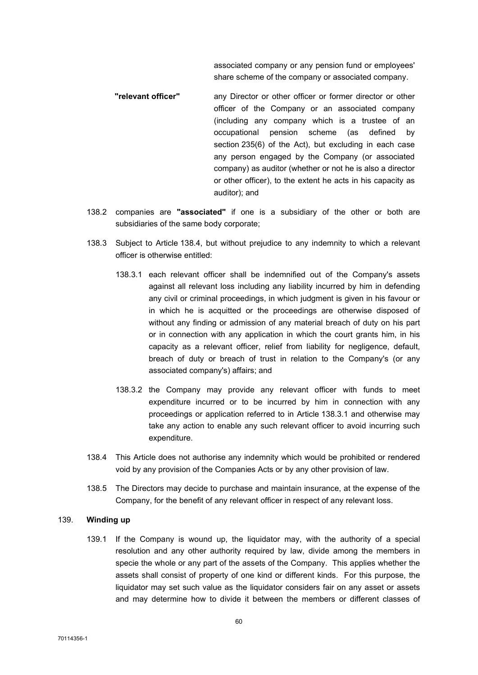associated company or any pension fund or employees' share scheme of the company or associated company.

- "relevant officer" any Director or other officer or former director or other officer of the Company or an associated company (including any company which is a trustee of an occupational pension scheme (as defined by section 235(6) of the Act), but excluding in each case any person engaged by the Company (or associated company) as auditor (whether or not he is also a director or other officer), to the extent he acts in his capacity as auditor); and
- 138.2 companies are "associated" if one is a subsidiary of the other or both are subsidiaries of the same body corporate;
- 138.3 Subject to Article 138.4, but without prejudice to any indemnity to which a relevant officer is otherwise entitled:
	- 138.3.1 each relevant officer shall be indemnified out of the Company's assets against all relevant loss including any liability incurred by him in defending any civil or criminal proceedings, in which judgment is given in his favour or in which he is acquitted or the proceedings are otherwise disposed of without any finding or admission of any material breach of duty on his part or in connection with any application in which the court grants him, in his capacity as a relevant officer, relief from liability for negligence, default, breach of duty or breach of trust in relation to the Company's (or any associated company's) affairs; and
	- 138.3.2 the Company may provide any relevant officer with funds to meet expenditure incurred or to be incurred by him in connection with any proceedings or application referred to in Article 138.3.1 and otherwise may take any action to enable any such relevant officer to avoid incurring such expenditure.
- 138.4 This Article does not authorise any indemnity which would be prohibited or rendered void by any provision of the Companies Acts or by any other provision of law.
- 138.5 The Directors may decide to purchase and maintain insurance, at the expense of the Company, for the benefit of any relevant officer in respect of any relevant loss.

#### 139. Winding up

139.1 If the Company is wound up, the liquidator may, with the authority of a special resolution and any other authority required by law, divide among the members in specie the whole or any part of the assets of the Company. This applies whether the assets shall consist of property of one kind or different kinds. For this purpose, the liquidator may set such value as the liquidator considers fair on any asset or assets and may determine how to divide it between the members or different classes of